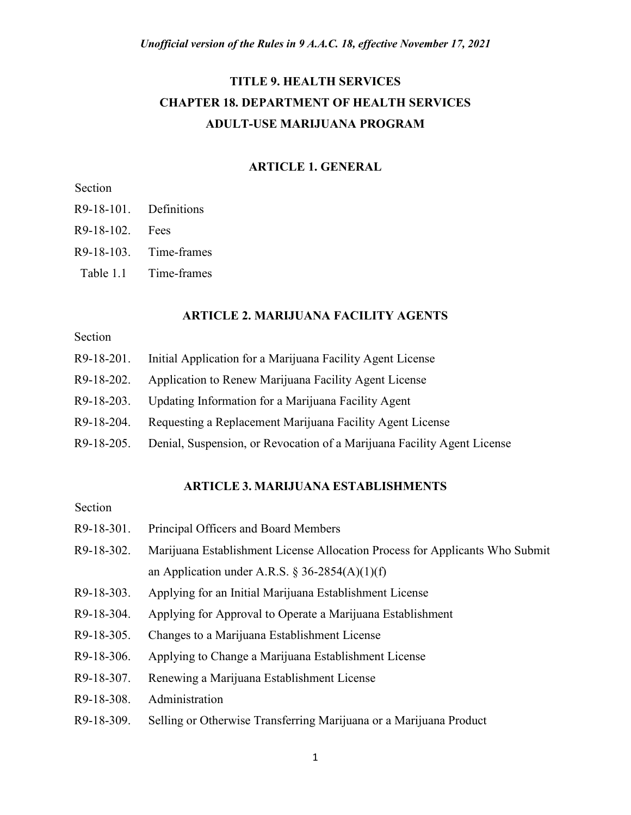# **TITLE 9. HEALTH SERVICES CHAPTER 18. DEPARTMENT OF HEALTH SERVICES ADULT-USE MARIJUANA PROGRAM**

## **ARTICLE 1. GENERAL**

# Section

- R9-18-101. Definitions
- R9-18-102. Fees
- R9-18-103. Time-frames
- Table 1.1 Time-frames

### **ARTICLE 2. MARIJUANA FACILITY AGENTS**

# Section

- R9-18-201. Initial Application for a Marijuana Facility Agent License
- R9-18-202. Application to Renew Marijuana Facility Agent License
- R9-18-203. Updating Information for a Marijuana Facility Agent
- R9-18-204. Requesting a Replacement Marijuana Facility Agent License
- R9-18-205. Denial, Suspension, or Revocation of a Marijuana Facility Agent License

#### **ARTICLE 3. MARIJUANA ESTABLISHMENTS**

## Section

- R9-18-301. Principal Officers and Board Members
- R9-18-302. Marijuana Establishment License Allocation Process for Applicants Who Submit an Application under A.R.S. § 36-2854(A)(1)(f)
- R9-18-303. Applying for an Initial Marijuana Establishment License
- R9-18-304. Applying for Approval to Operate a Marijuana Establishment
- R9-18-305. Changes to a Marijuana Establishment License
- R9-18-306. Applying to Change a Marijuana Establishment License
- R9-18-307. Renewing a Marijuana Establishment License
- R9-18-308. Administration
- R9-18-309. Selling or Otherwise Transferring Marijuana or a Marijuana Product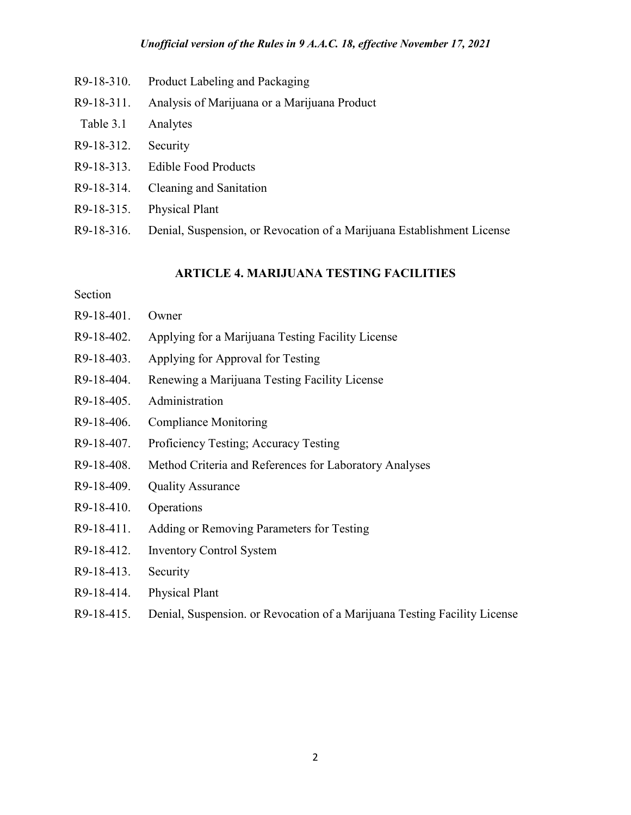- R9-18-310. Product Labeling and Packaging
- R9-18-311. Analysis of Marijuana or a Marijuana Product
- Table 3.1 Analytes
- R9-18-312. Security
- R9-18-313. Edible Food Products
- R9-18-314. Cleaning and Sanitation
- R9-18-315. Physical Plant
- R9-18-316. Denial, Suspension, or Revocation of a Marijuana Establishment License

## **ARTICLE 4. MARIJUANA TESTING FACILITIES**

## Section

- R9-18-401. Owner
- R9-18-402. Applying for a Marijuana Testing Facility License
- R9-18-403. Applying for Approval for Testing
- R9-18-404. Renewing a Marijuana Testing Facility License
- R9-18-405. Administration
- R9-18-406. Compliance Monitoring
- R9-18-407. Proficiency Testing; Accuracy Testing
- R9-18-408. Method Criteria and References for Laboratory Analyses
- R9-18-409. Quality Assurance
- R9-18-410. Operations
- R9-18-411. Adding or Removing Parameters for Testing
- R9-18-412. Inventory Control System
- R9-18-413. Security
- R9-18-414. Physical Plant
- R9-18-415. Denial, Suspension. or Revocation of a Marijuana Testing Facility License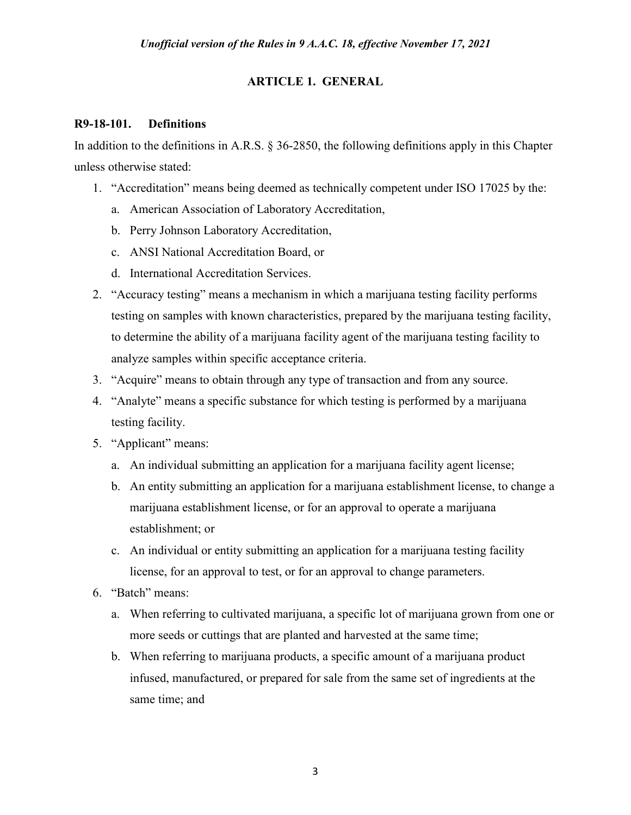# **ARTICLE 1. GENERAL**

## **R9-18-101. Definitions**

In addition to the definitions in A.R.S. § 36-2850, the following definitions apply in this Chapter unless otherwise stated:

- 1. "Accreditation" means being deemed as technically competent under ISO 17025 by the:
	- a. American Association of Laboratory Accreditation,
	- b. Perry Johnson Laboratory Accreditation,
	- c. ANSI National Accreditation Board, or
	- d. International Accreditation Services.
- 2. "Accuracy testing" means a mechanism in which a marijuana testing facility performs testing on samples with known characteristics, prepared by the marijuana testing facility, to determine the ability of a marijuana facility agent of the marijuana testing facility to analyze samples within specific acceptance criteria.
- 3. "Acquire" means to obtain through any type of transaction and from any source.
- 4. "Analyte" means a specific substance for which testing is performed by a marijuana testing facility.
- 5. "Applicant" means:
	- a. An individual submitting an application for a marijuana facility agent license;
	- b. An entity submitting an application for a marijuana establishment license, to change a marijuana establishment license, or for an approval to operate a marijuana establishment; or
	- c. An individual or entity submitting an application for a marijuana testing facility license, for an approval to test, or for an approval to change parameters.
- 6. "Batch" means:
	- a. When referring to cultivated marijuana, a specific lot of marijuana grown from one or more seeds or cuttings that are planted and harvested at the same time;
	- b. When referring to marijuana products, a specific amount of a marijuana product infused, manufactured, or prepared for sale from the same set of ingredients at the same time; and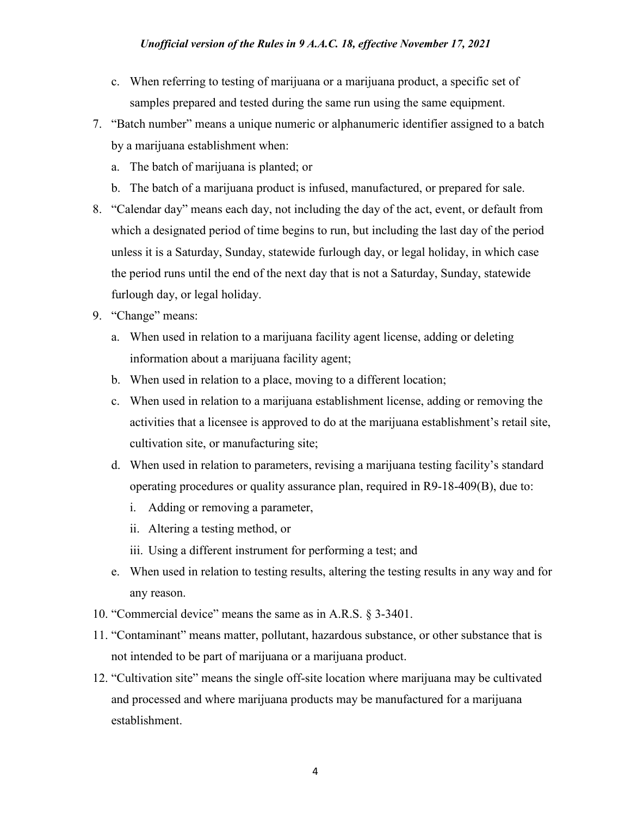- c. When referring to testing of marijuana or a marijuana product, a specific set of samples prepared and tested during the same run using the same equipment.
- 7. "Batch number" means a unique numeric or alphanumeric identifier assigned to a batch by a marijuana establishment when:
	- a. The batch of marijuana is planted; or
	- b. The batch of a marijuana product is infused, manufactured, or prepared for sale.
- 8. "Calendar day" means each day, not including the day of the act, event, or default from which a designated period of time begins to run, but including the last day of the period unless it is a Saturday, Sunday, statewide furlough day, or legal holiday, in which case the period runs until the end of the next day that is not a Saturday, Sunday, statewide furlough day, or legal holiday.
- 9. "Change" means:
	- a. When used in relation to a marijuana facility agent license, adding or deleting information about a marijuana facility agent;
	- b. When used in relation to a place, moving to a different location;
	- c. When used in relation to a marijuana establishment license, adding or removing the activities that a licensee is approved to do at the marijuana establishment's retail site, cultivation site, or manufacturing site;
	- d. When used in relation to parameters, revising a marijuana testing facility's standard operating procedures or quality assurance plan, required in R9-18-409(B), due to:
		- i. Adding or removing a parameter,
		- ii. Altering a testing method, or
		- iii. Using a different instrument for performing a test; and
	- e. When used in relation to testing results, altering the testing results in any way and for any reason.
- 10. "Commercial device" means the same as in A.R.S. § 3-3401.
- 11. "Contaminant" means matter, pollutant, hazardous substance, or other substance that is not intended to be part of marijuana or a marijuana product.
- 12. "Cultivation site" means the single off-site location where marijuana may be cultivated and processed and where marijuana products may be manufactured for a marijuana establishment.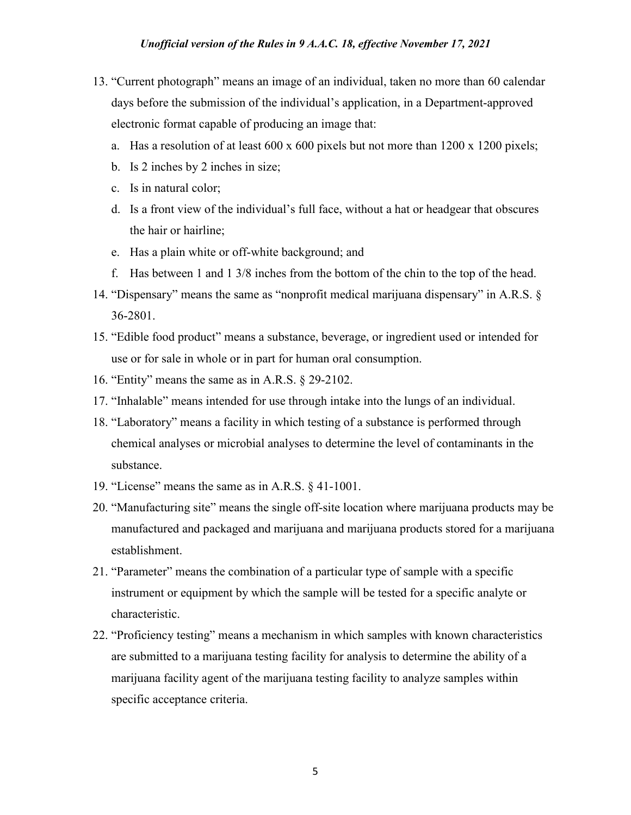- 13. "Current photograph" means an image of an individual, taken no more than 60 calendar days before the submission of the individual's application, in a Department-approved electronic format capable of producing an image that:
	- a. Has a resolution of at least  $600 \times 600$  pixels but not more than  $1200 \times 1200$  pixels;
	- b. Is 2 inches by 2 inches in size;
	- c. Is in natural color;
	- d. Is a front view of the individual's full face, without a hat or headgear that obscures the hair or hairline;
	- e. Has a plain white or off-white background; and
	- f. Has between 1 and 1 3/8 inches from the bottom of the chin to the top of the head.
- 14. "Dispensary" means the same as "nonprofit medical marijuana dispensary" in A.R.S. § 36-2801.
- 15. "Edible food product" means a substance, beverage, or ingredient used or intended for use or for sale in whole or in part for human oral consumption.
- 16. "Entity" means the same as in A.R.S. § 29-2102.
- 17. "Inhalable" means intended for use through intake into the lungs of an individual.
- 18. "Laboratory" means a facility in which testing of a substance is performed through chemical analyses or microbial analyses to determine the level of contaminants in the substance.
- 19. "License" means the same as in A.R.S. § 41-1001.
- 20. "Manufacturing site" means the single off-site location where marijuana products may be manufactured and packaged and marijuana and marijuana products stored for a marijuana establishment.
- 21. "Parameter" means the combination of a particular type of sample with a specific instrument or equipment by which the sample will be tested for a specific analyte or characteristic.
- 22. "Proficiency testing" means a mechanism in which samples with known characteristics are submitted to a marijuana testing facility for analysis to determine the ability of a marijuana facility agent of the marijuana testing facility to analyze samples within specific acceptance criteria.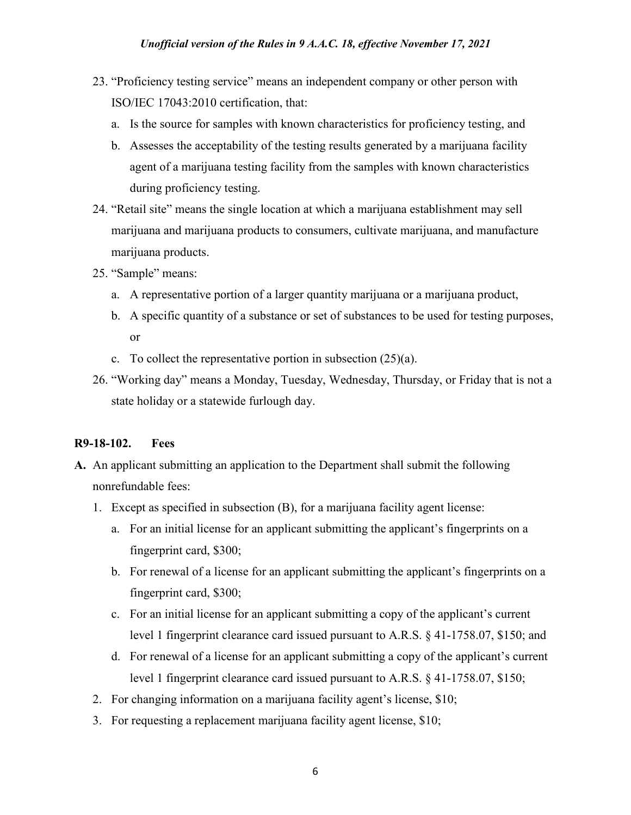- 23. "Proficiency testing service" means an independent company or other person with ISO/IEC 17043:2010 certification, that:
	- a. Is the source for samples with known characteristics for proficiency testing, and
	- b. Assesses the acceptability of the testing results generated by a marijuana facility agent of a marijuana testing facility from the samples with known characteristics during proficiency testing.
- 24. "Retail site" means the single location at which a marijuana establishment may sell marijuana and marijuana products to consumers, cultivate marijuana, and manufacture marijuana products.
- 25. "Sample" means:
	- a. A representative portion of a larger quantity marijuana or a marijuana product,
	- b. A specific quantity of a substance or set of substances to be used for testing purposes, or
	- c. To collect the representative portion in subsection  $(25)(a)$ .
- 26. "Working day" means a Monday, Tuesday, Wednesday, Thursday, or Friday that is not a state holiday or a statewide furlough day.

# **R9-18-102. Fees**

- **A.** An applicant submitting an application to the Department shall submit the following nonrefundable fees:
	- 1. Except as specified in subsection (B), for a marijuana facility agent license:
		- a. For an initial license for an applicant submitting the applicant's fingerprints on a fingerprint card, \$300;
		- b. For renewal of a license for an applicant submitting the applicant's fingerprints on a fingerprint card, \$300;
		- c. For an initial license for an applicant submitting a copy of the applicant's current level 1 fingerprint clearance card issued pursuant to A.R.S. § 41-1758.07, \$150; and
		- d. For renewal of a license for an applicant submitting a copy of the applicant's current level 1 fingerprint clearance card issued pursuant to A.R.S. § 41-1758.07, \$150;
	- 2. For changing information on a marijuana facility agent's license, \$10;
	- 3. For requesting a replacement marijuana facility agent license, \$10;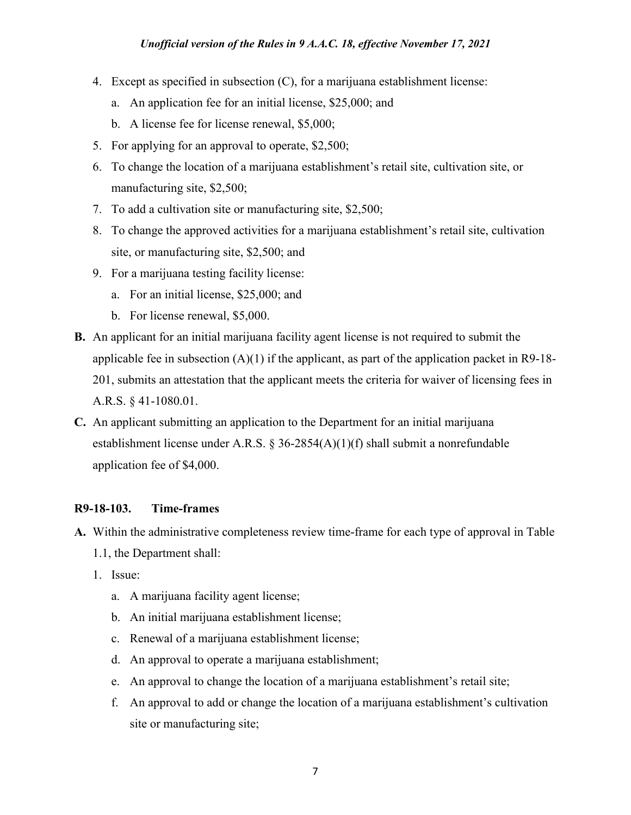- 4. Except as specified in subsection (C), for a marijuana establishment license:
	- a. An application fee for an initial license, \$25,000; and
	- b. A license fee for license renewal, \$5,000;
- 5. For applying for an approval to operate, \$2,500;
- 6. To change the location of a marijuana establishment's retail site, cultivation site, or manufacturing site, \$2,500;
- 7. To add a cultivation site or manufacturing site, \$2,500;
- 8. To change the approved activities for a marijuana establishment's retail site, cultivation site, or manufacturing site, \$2,500; and
- 9. For a marijuana testing facility license:
	- a. For an initial license, \$25,000; and
	- b. For license renewal, \$5,000.
- **B.** An applicant for an initial marijuana facility agent license is not required to submit the applicable fee in subsection  $(A)(1)$  if the applicant, as part of the application packet in R9-18-201, submits an attestation that the applicant meets the criteria for waiver of licensing fees in A.R.S. § 41-1080.01.
- **C.** An applicant submitting an application to the Department for an initial marijuana establishment license under A.R.S. § 36-2854(A)(1)(f) shall submit a nonrefundable application fee of \$4,000.

## **R9-18-103. Time-frames**

- **A.** Within the administrative completeness review time-frame for each type of approval in Table 1.1, the Department shall:
	- 1. Issue:
		- a. A marijuana facility agent license;
		- b. An initial marijuana establishment license;
		- c. Renewal of a marijuana establishment license;
		- d. An approval to operate a marijuana establishment;
		- e. An approval to change the location of a marijuana establishment's retail site;
		- f. An approval to add or change the location of a marijuana establishment's cultivation site or manufacturing site;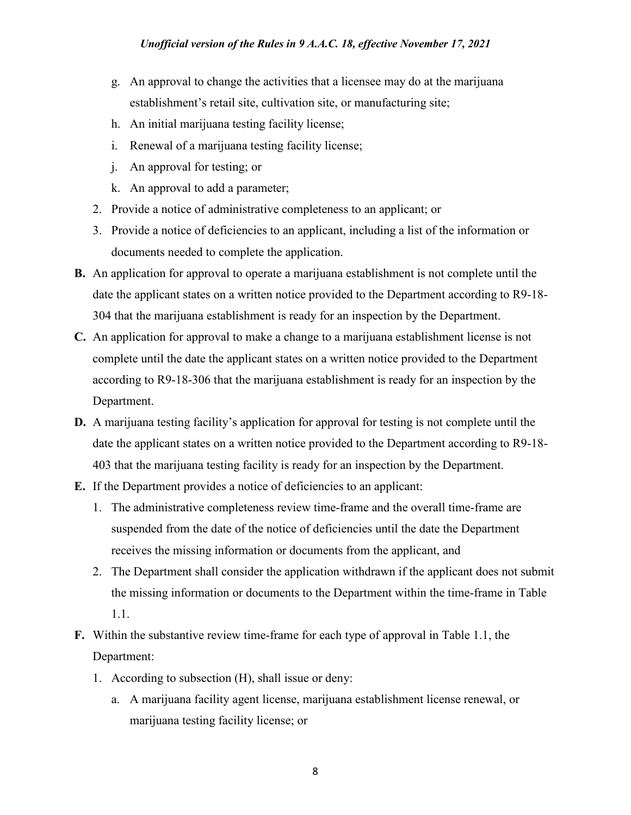- g. An approval to change the activities that a licensee may do at the marijuana establishment's retail site, cultivation site, or manufacturing site;
- h. An initial marijuana testing facility license;
- i. Renewal of a marijuana testing facility license;
- j. An approval for testing; or
- k. An approval to add a parameter;
- 2. Provide a notice of administrative completeness to an applicant; or
- 3. Provide a notice of deficiencies to an applicant, including a list of the information or documents needed to complete the application.
- **B.** An application for approval to operate a marijuana establishment is not complete until the date the applicant states on a written notice provided to the Department according to R9-18- 304 that the marijuana establishment is ready for an inspection by the Department.
- **C.** An application for approval to make a change to a marijuana establishment license is not complete until the date the applicant states on a written notice provided to the Department according to R9-18-306 that the marijuana establishment is ready for an inspection by the Department.
- **D.** A marijuana testing facility's application for approval for testing is not complete until the date the applicant states on a written notice provided to the Department according to R9-18- 403 that the marijuana testing facility is ready for an inspection by the Department.
- **E.** If the Department provides a notice of deficiencies to an applicant:
	- 1. The administrative completeness review time-frame and the overall time-frame are suspended from the date of the notice of deficiencies until the date the Department receives the missing information or documents from the applicant, and
	- 2. The Department shall consider the application withdrawn if the applicant does not submit the missing information or documents to the Department within the time-frame in Table 1.1.
- **F.** Within the substantive review time-frame for each type of approval in Table 1.1, the Department:
	- 1. According to subsection (H), shall issue or deny:
		- a. A marijuana facility agent license, marijuana establishment license renewal, or marijuana testing facility license; or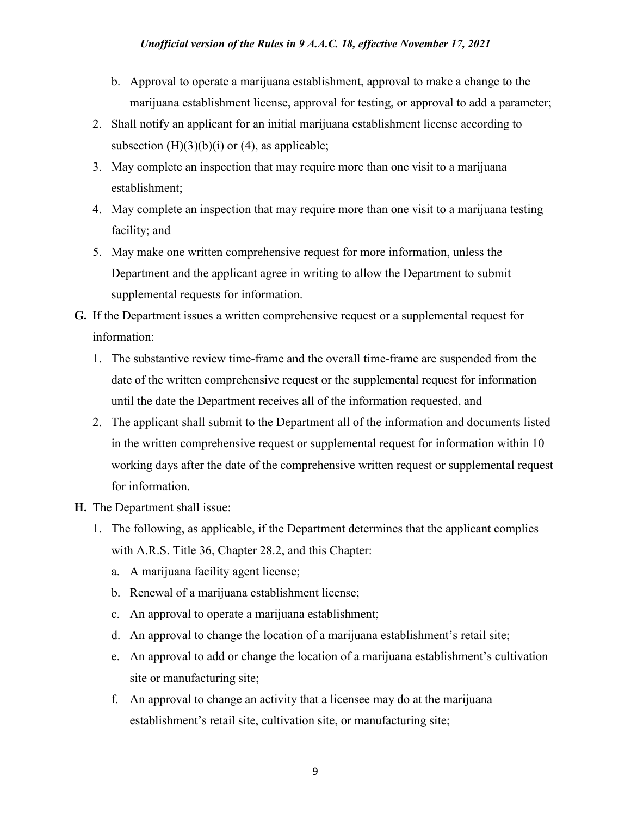- b. Approval to operate a marijuana establishment, approval to make a change to the marijuana establishment license, approval for testing, or approval to add a parameter;
- 2. Shall notify an applicant for an initial marijuana establishment license according to subsection  $(H)(3)(b)(i)$  or  $(4)$ , as applicable;
- 3. May complete an inspection that may require more than one visit to a marijuana establishment;
- 4. May complete an inspection that may require more than one visit to a marijuana testing facility; and
- 5. May make one written comprehensive request for more information, unless the Department and the applicant agree in writing to allow the Department to submit supplemental requests for information.
- **G.** If the Department issues a written comprehensive request or a supplemental request for information:
	- 1. The substantive review time-frame and the overall time-frame are suspended from the date of the written comprehensive request or the supplemental request for information until the date the Department receives all of the information requested, and
	- 2. The applicant shall submit to the Department all of the information and documents listed in the written comprehensive request or supplemental request for information within 10 working days after the date of the comprehensive written request or supplemental request for information.
- **H.** The Department shall issue:
	- 1. The following, as applicable, if the Department determines that the applicant complies with A.R.S. Title 36, Chapter 28.2, and this Chapter:
		- a. A marijuana facility agent license;
		- b. Renewal of a marijuana establishment license;
		- c. An approval to operate a marijuana establishment;
		- d. An approval to change the location of a marijuana establishment's retail site;
		- e. An approval to add or change the location of a marijuana establishment's cultivation site or manufacturing site;
		- f. An approval to change an activity that a licensee may do at the marijuana establishment's retail site, cultivation site, or manufacturing site;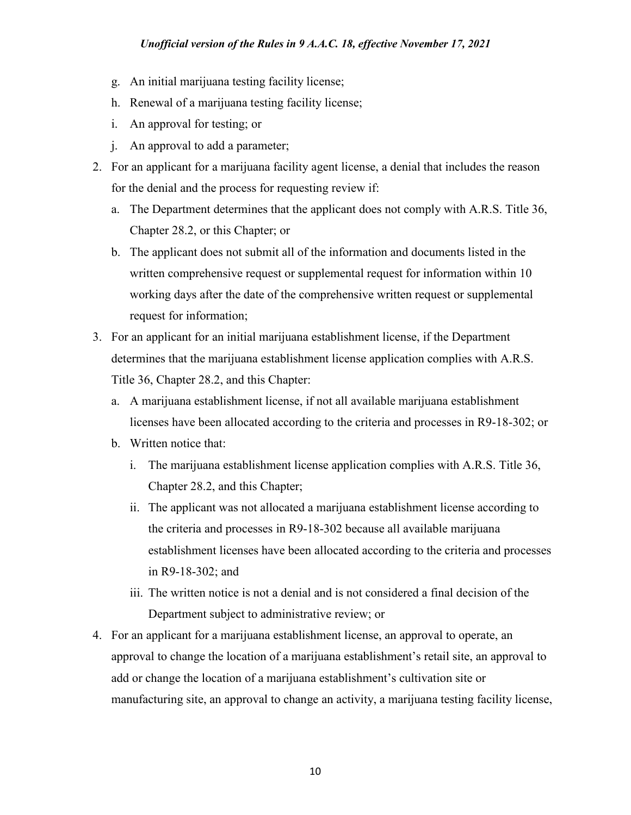- g. An initial marijuana testing facility license;
- h. Renewal of a marijuana testing facility license;
- i. An approval for testing; or
- j. An approval to add a parameter;
- 2. For an applicant for a marijuana facility agent license, a denial that includes the reason for the denial and the process for requesting review if:
	- a. The Department determines that the applicant does not comply with A.R.S. Title 36, Chapter 28.2, or this Chapter; or
	- b. The applicant does not submit all of the information and documents listed in the written comprehensive request or supplemental request for information within 10 working days after the date of the comprehensive written request or supplemental request for information;
- 3. For an applicant for an initial marijuana establishment license, if the Department determines that the marijuana establishment license application complies with A.R.S. Title 36, Chapter 28.2, and this Chapter:
	- a. A marijuana establishment license, if not all available marijuana establishment licenses have been allocated according to the criteria and processes in R9-18-302; or
	- b. Written notice that:
		- i. The marijuana establishment license application complies with A.R.S. Title 36, Chapter 28.2, and this Chapter;
		- ii. The applicant was not allocated a marijuana establishment license according to the criteria and processes in R9-18-302 because all available marijuana establishment licenses have been allocated according to the criteria and processes in R9-18-302; and
		- iii. The written notice is not a denial and is not considered a final decision of the Department subject to administrative review; or
- 4. For an applicant for a marijuana establishment license, an approval to operate, an approval to change the location of a marijuana establishment's retail site, an approval to add or change the location of a marijuana establishment's cultivation site or manufacturing site, an approval to change an activity, a marijuana testing facility license,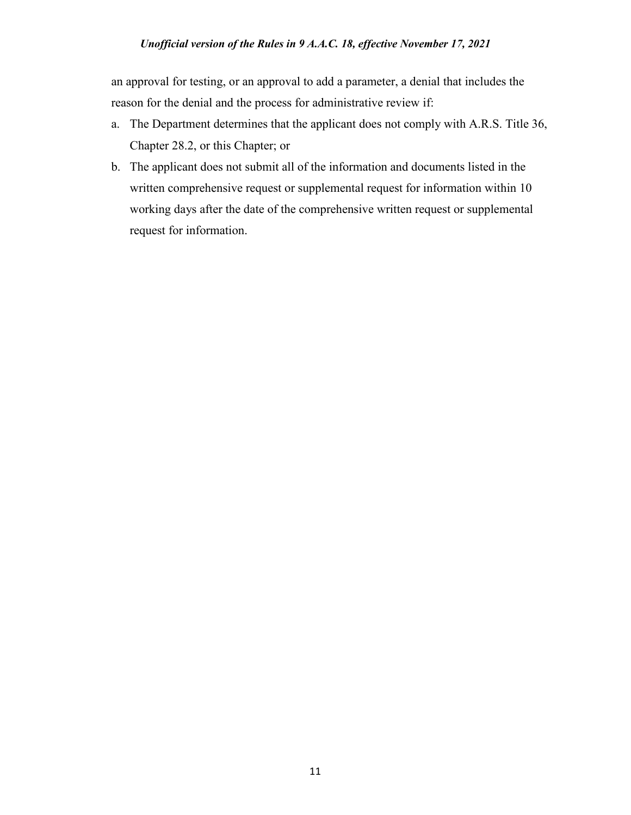an approval for testing, or an approval to add a parameter, a denial that includes the reason for the denial and the process for administrative review if:

- a. The Department determines that the applicant does not comply with A.R.S. Title 36, Chapter 28.2, or this Chapter; or
- b. The applicant does not submit all of the information and documents listed in the written comprehensive request or supplemental request for information within 10 working days after the date of the comprehensive written request or supplemental request for information.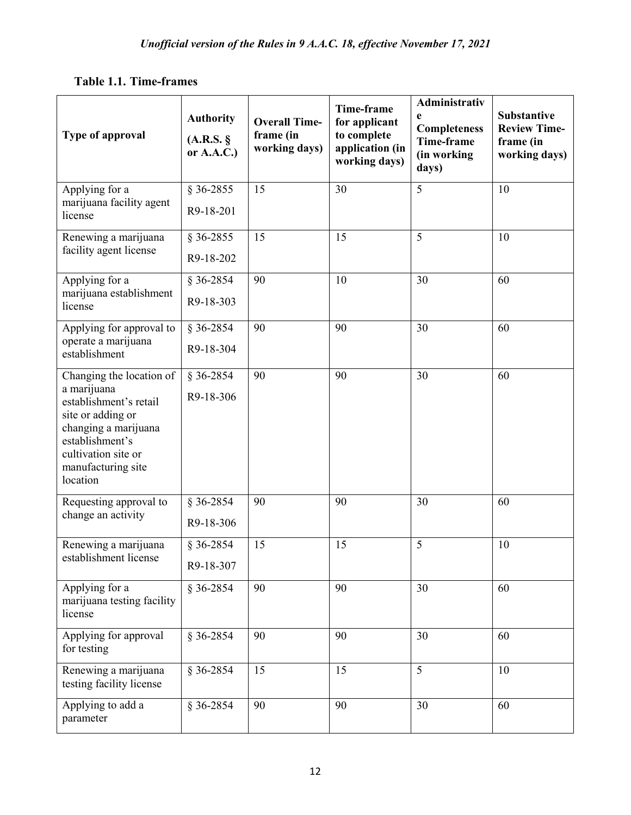| Type of approval                                                                                                                                                                           | <b>Authority</b><br>(A.R.S. §<br>or $A.A.C.$ ) | <b>Overall Time-</b><br>frame (in<br>working days) | Time-frame<br>for applicant<br>to complete<br>application (in<br>working days) | Administrativ<br>e<br><b>Completeness</b><br>Time-frame<br>(in working<br>days) | <b>Substantive</b><br><b>Review Time-</b><br>frame (in<br>working days) |
|--------------------------------------------------------------------------------------------------------------------------------------------------------------------------------------------|------------------------------------------------|----------------------------------------------------|--------------------------------------------------------------------------------|---------------------------------------------------------------------------------|-------------------------------------------------------------------------|
| Applying for a<br>marijuana facility agent<br>license                                                                                                                                      | § 36-2855<br>R9-18-201                         | 15                                                 | 30                                                                             | 5                                                                               | 10                                                                      |
| Renewing a marijuana<br>facility agent license                                                                                                                                             | $§ 36-2855$<br>R9-18-202                       | 15                                                 | 15                                                                             | 5                                                                               | 10                                                                      |
| Applying for a<br>marijuana establishment<br>license                                                                                                                                       | $§ 36-2854$<br>R9-18-303                       | 90                                                 | 10                                                                             | 30                                                                              | 60                                                                      |
| Applying for approval to<br>operate a marijuana<br>establishment                                                                                                                           | § 36-2854<br>R9-18-304                         | 90                                                 | 90                                                                             | 30                                                                              | 60                                                                      |
| Changing the location of<br>a marijuana<br>establishment's retail<br>site or adding or<br>changing a marijuana<br>establishment's<br>cultivation site or<br>manufacturing site<br>location | $§ 36-2854$<br>R9-18-306                       | 90                                                 | 90                                                                             | 30                                                                              | 60                                                                      |
| Requesting approval to<br>change an activity                                                                                                                                               | $§ 36-2854$<br>R9-18-306                       | 90                                                 | 90                                                                             | 30                                                                              | 60                                                                      |
| Renewing a marijuana<br>establishment license                                                                                                                                              | § 36-2854<br>R9-18-307                         | 15                                                 | 15                                                                             | 5                                                                               | 10                                                                      |
| Applying for a<br>marijuana testing facility<br>license                                                                                                                                    | $§ 36-2854$                                    | 90                                                 | 90                                                                             | 30                                                                              | 60                                                                      |
| Applying for approval<br>for testing                                                                                                                                                       | $§ 36-2854$                                    | 90                                                 | 90                                                                             | 30                                                                              | 60                                                                      |
| Renewing a marijuana<br>testing facility license                                                                                                                                           | $§ 36-2854$                                    | 15                                                 | 15                                                                             | 5                                                                               | 10                                                                      |
| Applying to add a<br>parameter                                                                                                                                                             | $§ 36-2854$                                    | 90                                                 | 90                                                                             | 30                                                                              | 60                                                                      |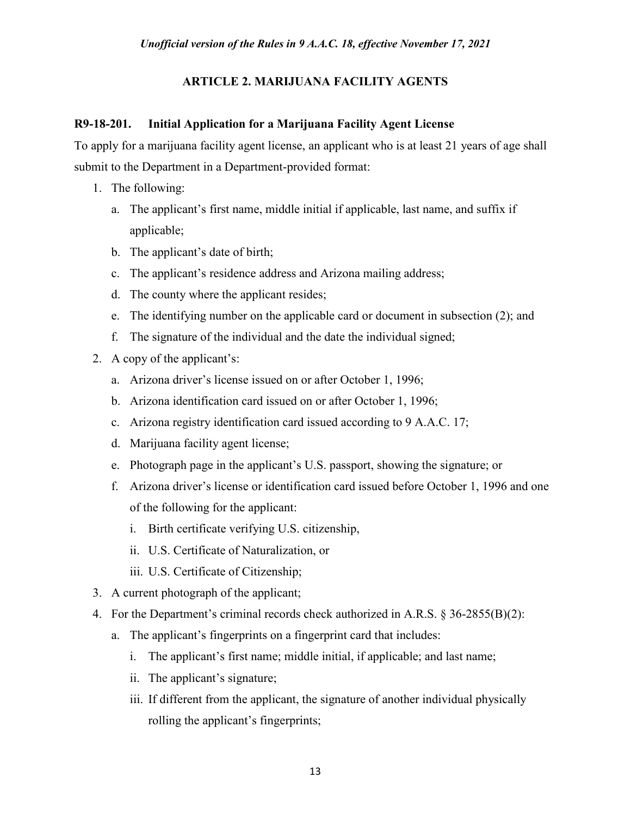# **ARTICLE 2. MARIJUANA FACILITY AGENTS**

# **R9-18-201. Initial Application for a Marijuana Facility Agent License**

To apply for a marijuana facility agent license, an applicant who is at least 21 years of age shall submit to the Department in a Department-provided format:

- 1. The following:
	- a. The applicant's first name, middle initial if applicable, last name, and suffix if applicable;
	- b. The applicant's date of birth;
	- c. The applicant's residence address and Arizona mailing address;
	- d. The county where the applicant resides;
	- e. The identifying number on the applicable card or document in subsection (2); and
	- f. The signature of the individual and the date the individual signed;
- 2. A copy of the applicant's:
	- a. Arizona driver's license issued on or after October 1, 1996;
	- b. Arizona identification card issued on or after October 1, 1996;
	- c. Arizona registry identification card issued according to 9 A.A.C. 17;
	- d. Marijuana facility agent license;
	- e. Photograph page in the applicant's U.S. passport, showing the signature; or
	- f. Arizona driver's license or identification card issued before October 1, 1996 and one of the following for the applicant:
		- i. Birth certificate verifying U.S. citizenship,
		- ii. U.S. Certificate of Naturalization, or
		- iii. U.S. Certificate of Citizenship;
- 3. A current photograph of the applicant;
- 4. For the Department's criminal records check authorized in A.R.S. § 36-2855(B)(2):
	- a. The applicant's fingerprints on a fingerprint card that includes:
		- i. The applicant's first name; middle initial, if applicable; and last name;
		- ii. The applicant's signature;
		- iii. If different from the applicant, the signature of another individual physically rolling the applicant's fingerprints;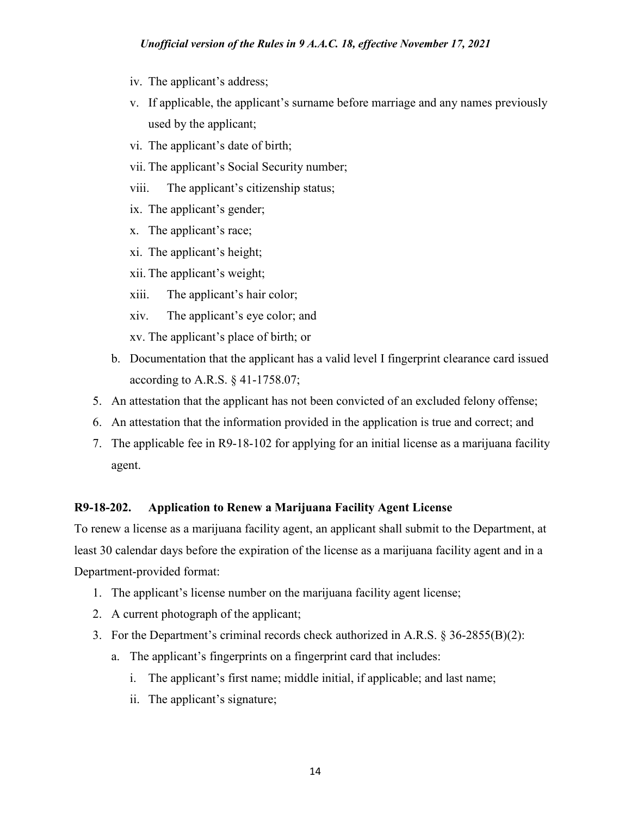- iv. The applicant's address;
- v. If applicable, the applicant's surname before marriage and any names previously used by the applicant;
- vi. The applicant's date of birth;
- vii. The applicant's Social Security number;
- viii. The applicant's citizenship status;
- ix. The applicant's gender;
- x. The applicant's race;
- xi. The applicant's height;
- xii. The applicant's weight;
- xiii. The applicant's hair color;
- xiv. The applicant's eye color; and
- xv. The applicant's place of birth; or
- b. Documentation that the applicant has a valid level I fingerprint clearance card issued according to A.R.S. § 41-1758.07;
- 5. An attestation that the applicant has not been convicted of an excluded felony offense;
- 6. An attestation that the information provided in the application is true and correct; and
- 7. The applicable fee in R9-18-102 for applying for an initial license as a marijuana facility agent.

## **R9-18-202. Application to Renew a Marijuana Facility Agent License**

To renew a license as a marijuana facility agent, an applicant shall submit to the Department, at least 30 calendar days before the expiration of the license as a marijuana facility agent and in a Department-provided format:

- 1. The applicant's license number on the marijuana facility agent license;
- 2. A current photograph of the applicant;
- 3. For the Department's criminal records check authorized in A.R.S. § 36-2855(B)(2):
	- a. The applicant's fingerprints on a fingerprint card that includes:
		- i. The applicant's first name; middle initial, if applicable; and last name;
		- ii. The applicant's signature;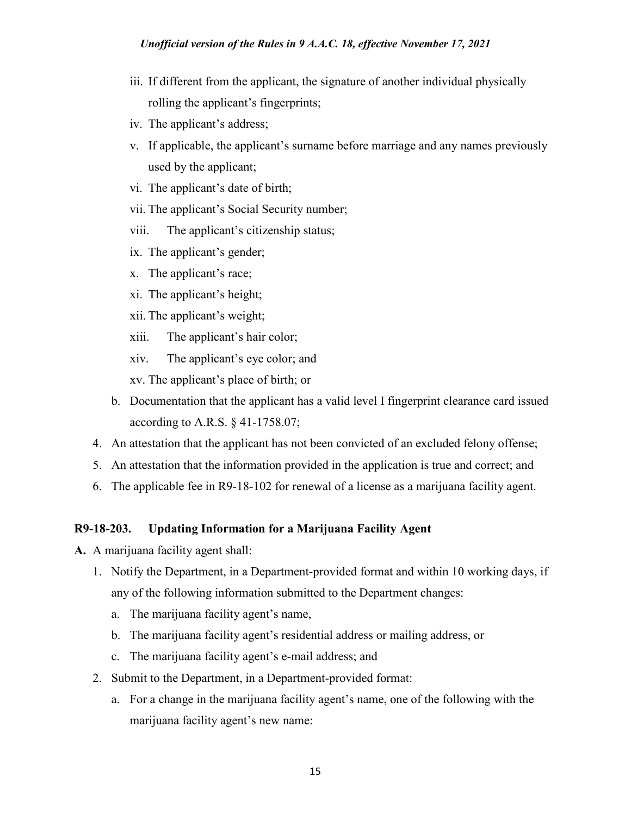- iii. If different from the applicant, the signature of another individual physically rolling the applicant's fingerprints;
- iv. The applicant's address;
- v. If applicable, the applicant's surname before marriage and any names previously used by the applicant;
- vi. The applicant's date of birth;
- vii. The applicant's Social Security number;
- viii. The applicant's citizenship status;
- ix. The applicant's gender;
- x. The applicant's race;
- xi. The applicant's height;
- xii. The applicant's weight;
- xiii. The applicant's hair color;
- xiv. The applicant's eye color; and
- xv. The applicant's place of birth; or
- b. Documentation that the applicant has a valid level I fingerprint clearance card issued according to A.R.S. § 41-1758.07;
- 4. An attestation that the applicant has not been convicted of an excluded felony offense;
- 5. An attestation that the information provided in the application is true and correct; and
- 6. The applicable fee in R9-18-102 for renewal of a license as a marijuana facility agent.

## **R9-18-203. Updating Information for a Marijuana Facility Agent**

- **A.** A marijuana facility agent shall:
	- 1. Notify the Department, in a Department-provided format and within 10 working days, if any of the following information submitted to the Department changes:
		- a. The marijuana facility agent's name,
		- b. The marijuana facility agent's residential address or mailing address, or
		- c. The marijuana facility agent's e-mail address; and
	- 2. Submit to the Department, in a Department-provided format:
		- a. For a change in the marijuana facility agent's name, one of the following with the marijuana facility agent's new name: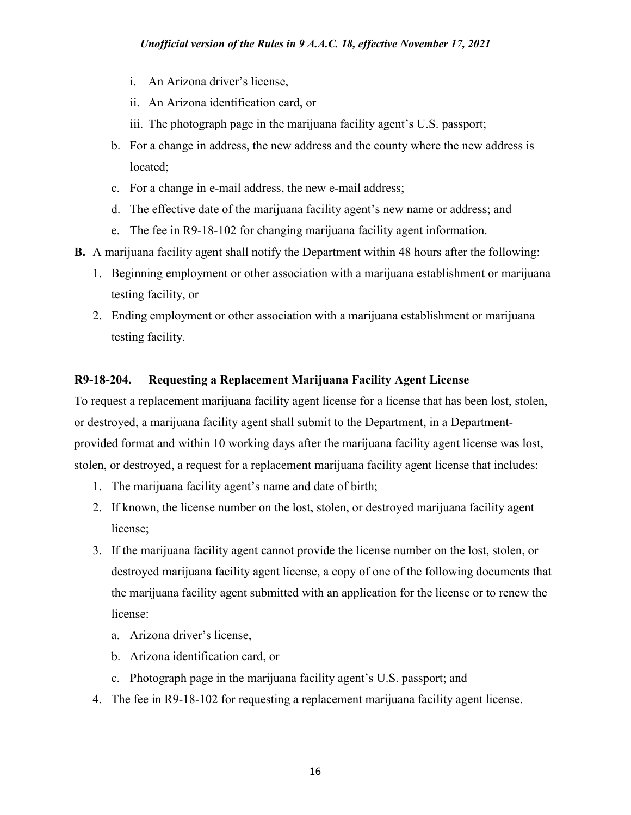- i. An Arizona driver's license,
- ii. An Arizona identification card, or
- iii. The photograph page in the marijuana facility agent's U.S. passport;
- b. For a change in address, the new address and the county where the new address is located;
- c. For a change in e-mail address, the new e-mail address;
- d. The effective date of the marijuana facility agent's new name or address; and
- e. The fee in R9-18-102 for changing marijuana facility agent information.
- **B.** A marijuana facility agent shall notify the Department within 48 hours after the following:
	- 1. Beginning employment or other association with a marijuana establishment or marijuana testing facility, or
	- 2. Ending employment or other association with a marijuana establishment or marijuana testing facility.

# **R9-18-204. Requesting a Replacement Marijuana Facility Agent License**

To request a replacement marijuana facility agent license for a license that has been lost, stolen, or destroyed, a marijuana facility agent shall submit to the Department, in a Departmentprovided format and within 10 working days after the marijuana facility agent license was lost, stolen, or destroyed, a request for a replacement marijuana facility agent license that includes:

- 1. The marijuana facility agent's name and date of birth;
- 2. If known, the license number on the lost, stolen, or destroyed marijuana facility agent license;
- 3. If the marijuana facility agent cannot provide the license number on the lost, stolen, or destroyed marijuana facility agent license, a copy of one of the following documents that the marijuana facility agent submitted with an application for the license or to renew the license:
	- a. Arizona driver's license,
	- b. Arizona identification card, or
	- c. Photograph page in the marijuana facility agent's U.S. passport; and
- 4. The fee in R9-18-102 for requesting a replacement marijuana facility agent license.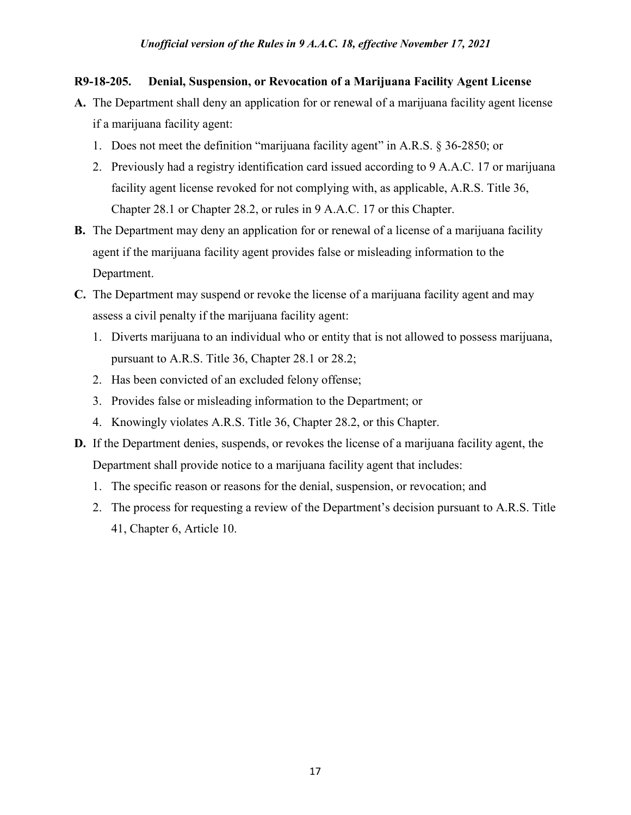## **R9-18-205. Denial, Suspension, or Revocation of a Marijuana Facility Agent License**

- **A.** The Department shall deny an application for or renewal of a marijuana facility agent license if a marijuana facility agent:
	- 1. Does not meet the definition "marijuana facility agent" in A.R.S. § 36-2850; or
	- 2. Previously had a registry identification card issued according to 9 A.A.C. 17 or marijuana facility agent license revoked for not complying with, as applicable, A.R.S. Title 36, Chapter 28.1 or Chapter 28.2, or rules in 9 A.A.C. 17 or this Chapter.
- **B.** The Department may deny an application for or renewal of a license of a marijuana facility agent if the marijuana facility agent provides false or misleading information to the Department.
- **C.** The Department may suspend or revoke the license of a marijuana facility agent and may assess a civil penalty if the marijuana facility agent:
	- 1. Diverts marijuana to an individual who or entity that is not allowed to possess marijuana, pursuant to A.R.S. Title 36, Chapter 28.1 or 28.2;
	- 2. Has been convicted of an excluded felony offense;
	- 3. Provides false or misleading information to the Department; or
	- 4. Knowingly violates A.R.S. Title 36, Chapter 28.2, or this Chapter.
- **D.** If the Department denies, suspends, or revokes the license of a marijuana facility agent, the Department shall provide notice to a marijuana facility agent that includes:
	- 1. The specific reason or reasons for the denial, suspension, or revocation; and
	- 2. The process for requesting a review of the Department's decision pursuant to A.R.S. Title 41, Chapter 6, Article 10.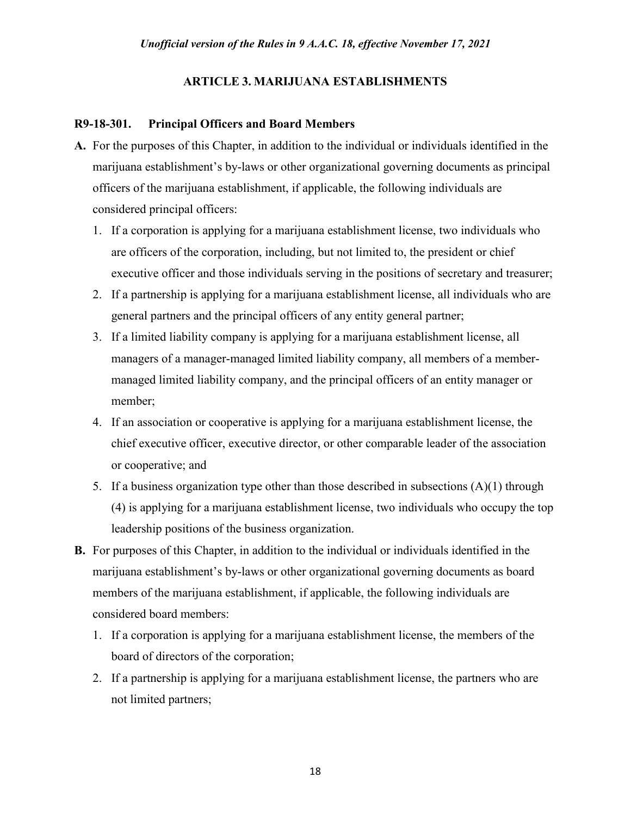# **ARTICLE 3. MARIJUANA ESTABLISHMENTS**

# **R9-18-301. Principal Officers and Board Members**

- **A.** For the purposes of this Chapter, in addition to the individual or individuals identified in the marijuana establishment's by-laws or other organizational governing documents as principal officers of the marijuana establishment, if applicable, the following individuals are considered principal officers:
	- 1. If a corporation is applying for a marijuana establishment license, two individuals who are officers of the corporation, including, but not limited to, the president or chief executive officer and those individuals serving in the positions of secretary and treasurer;
	- 2. If a partnership is applying for a marijuana establishment license, all individuals who are general partners and the principal officers of any entity general partner;
	- 3. If a limited liability company is applying for a marijuana establishment license, all managers of a manager-managed limited liability company, all members of a membermanaged limited liability company, and the principal officers of an entity manager or member;
	- 4. If an association or cooperative is applying for a marijuana establishment license, the chief executive officer, executive director, or other comparable leader of the association or cooperative; and
	- 5. If a business organization type other than those described in subsections (A)(1) through (4) is applying for a marijuana establishment license, two individuals who occupy the top leadership positions of the business organization.
- **B.** For purposes of this Chapter, in addition to the individual or individuals identified in the marijuana establishment's by-laws or other organizational governing documents as board members of the marijuana establishment, if applicable, the following individuals are considered board members:
	- 1. If a corporation is applying for a marijuana establishment license, the members of the board of directors of the corporation;
	- 2. If a partnership is applying for a marijuana establishment license, the partners who are not limited partners;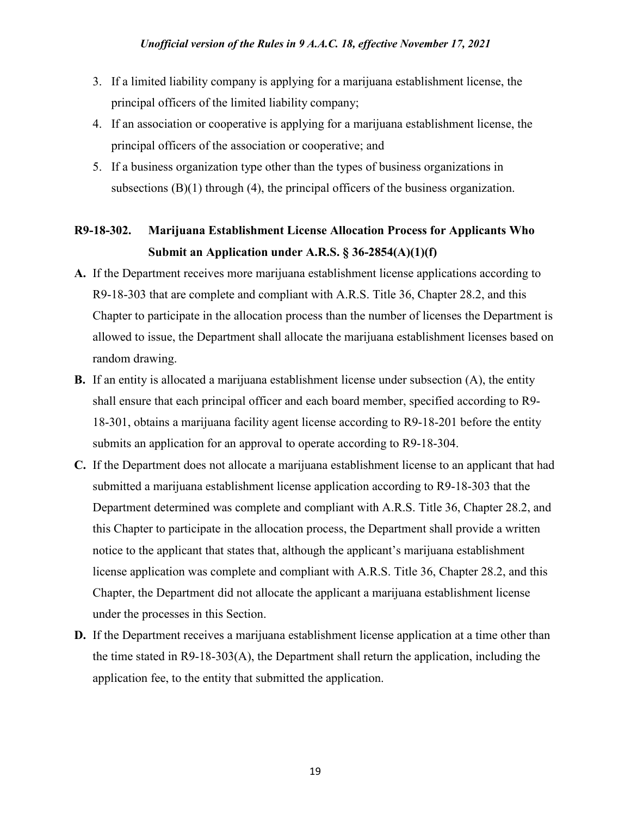- 3. If a limited liability company is applying for a marijuana establishment license, the principal officers of the limited liability company;
- 4. If an association or cooperative is applying for a marijuana establishment license, the principal officers of the association or cooperative; and
- 5. If a business organization type other than the types of business organizations in subsections  $(B)(1)$  through  $(4)$ , the principal officers of the business organization.

# **R9-18-302. Marijuana Establishment License Allocation Process for Applicants Who Submit an Application under A.R.S. § 36-2854(A)(1)(f)**

- **A.** If the Department receives more marijuana establishment license applications according to R9-18-303 that are complete and compliant with A.R.S. Title 36, Chapter 28.2, and this Chapter to participate in the allocation process than the number of licenses the Department is allowed to issue, the Department shall allocate the marijuana establishment licenses based on random drawing.
- **B.** If an entity is allocated a marijuana establishment license under subsection (A), the entity shall ensure that each principal officer and each board member, specified according to R9- 18-301, obtains a marijuana facility agent license according to R9-18-201 before the entity submits an application for an approval to operate according to R9-18-304.
- **C.** If the Department does not allocate a marijuana establishment license to an applicant that had submitted a marijuana establishment license application according to R9-18-303 that the Department determined was complete and compliant with A.R.S. Title 36, Chapter 28.2, and this Chapter to participate in the allocation process, the Department shall provide a written notice to the applicant that states that, although the applicant's marijuana establishment license application was complete and compliant with A.R.S. Title 36, Chapter 28.2, and this Chapter, the Department did not allocate the applicant a marijuana establishment license under the processes in this Section.
- **D.** If the Department receives a marijuana establishment license application at a time other than the time stated in R9-18-303(A), the Department shall return the application, including the application fee, to the entity that submitted the application.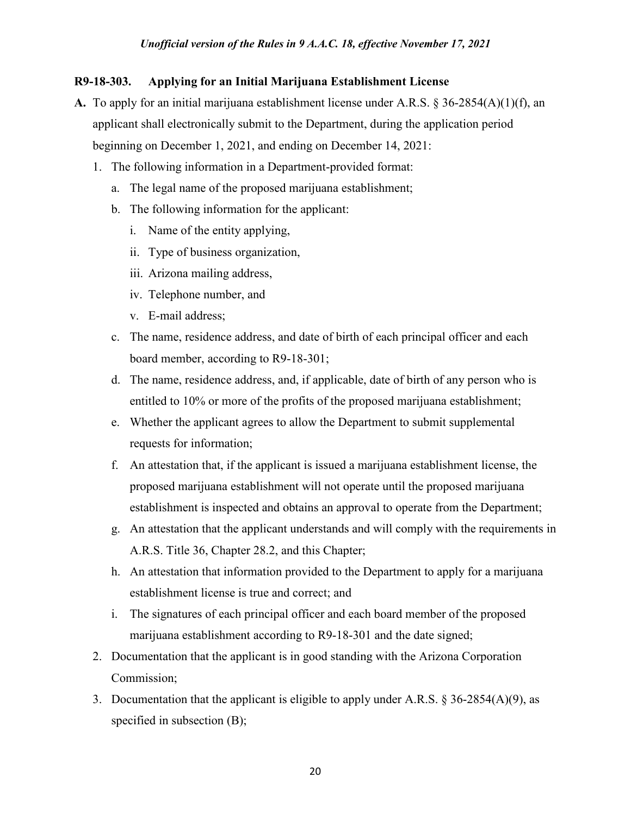## **R9-18-303. Applying for an Initial Marijuana Establishment License**

- **A.** To apply for an initial marijuana establishment license under A.R.S. § 36-2854(A)(1)(f), an applicant shall electronically submit to the Department, during the application period beginning on December 1, 2021, and ending on December 14, 2021:
	- 1. The following information in a Department-provided format:
		- a. The legal name of the proposed marijuana establishment;
		- b. The following information for the applicant:
			- i. Name of the entity applying,
			- ii. Type of business organization,
			- iii. Arizona mailing address,
			- iv. Telephone number, and
			- v. E-mail address;
		- c. The name, residence address, and date of birth of each principal officer and each board member, according to R9-18-301;
		- d. The name, residence address, and, if applicable, date of birth of any person who is entitled to 10% or more of the profits of the proposed marijuana establishment;
		- e. Whether the applicant agrees to allow the Department to submit supplemental requests for information;
		- f. An attestation that, if the applicant is issued a marijuana establishment license, the proposed marijuana establishment will not operate until the proposed marijuana establishment is inspected and obtains an approval to operate from the Department;
		- g. An attestation that the applicant understands and will comply with the requirements in A.R.S. Title 36, Chapter 28.2, and this Chapter;
		- h. An attestation that information provided to the Department to apply for a marijuana establishment license is true and correct; and
		- i. The signatures of each principal officer and each board member of the proposed marijuana establishment according to R9-18-301 and the date signed;
	- 2. Documentation that the applicant is in good standing with the Arizona Corporation Commission;
	- 3. Documentation that the applicant is eligible to apply under A.R.S.  $\S 36-2854(A)(9)$ , as specified in subsection (B);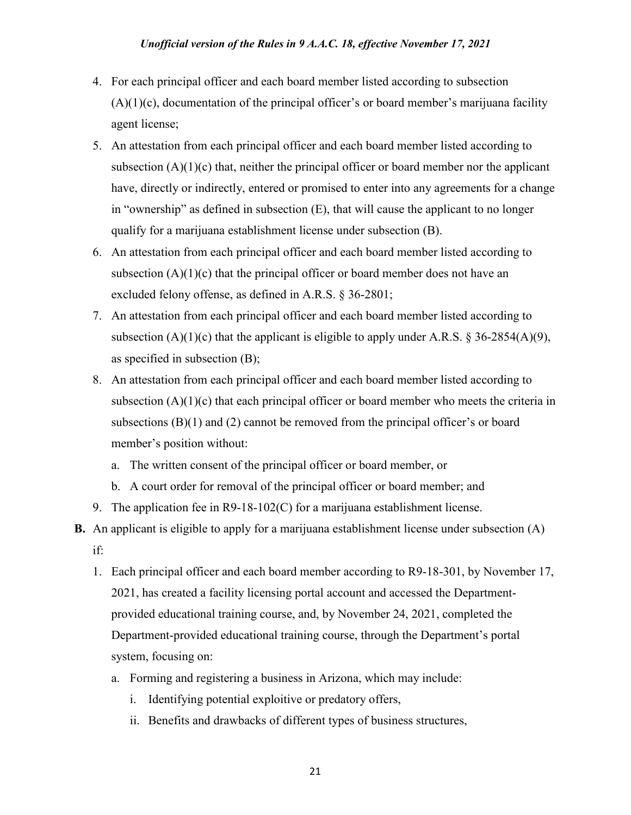- 4. For each principal officer and each board member listed according to subsection  $(A)(1)(c)$ , documentation of the principal officer's or board member's marijuana facility agent license;
- 5. An attestation from each principal officer and each board member listed according to subsection  $(A)(1)(c)$  that, neither the principal officer or board member nor the applicant have, directly or indirectly, entered or promised to enter into any agreements for a change in "ownership" as defined in subsection (E), that will cause the applicant to no longer qualify for a marijuana establishment license under subsection (B).
- 6. An attestation from each principal officer and each board member listed according to subsection  $(A)(1)(c)$  that the principal officer or board member does not have an excluded felony offense, as defined in A.R.S. § 36-2801;
- 7. An attestation from each principal officer and each board member listed according to subsection  $(A)(1)(c)$  that the applicant is eligible to apply under A.R.S. § 36-2854(A)(9), as specified in subsection (B);
- 8. An attestation from each principal officer and each board member listed according to subsection  $(A)(1)(c)$  that each principal officer or board member who meets the criteria in subsections  $(B)(1)$  and  $(2)$  cannot be removed from the principal officer's or board member's position without:
	- a. The written consent of the principal officer or board member, or
	- b. A court order for removal of the principal officer or board member; and
- 9. The application fee in R9-18-102(C) for a marijuana establishment license.
- **B.** An applicant is eligible to apply for a marijuana establishment license under subsection (A) if:
	- 1. Each principal officer and each board member according to R9-18-301, by November 17, 2021, has created a facility licensing portal account and accessed the Departmentprovided educational training course, and, by November 24, 2021, completed the Department-provided educational training course, through the Department's portal system, focusing on:
		- a. Forming and registering a business in Arizona, which may include:
			- i. Identifying potential exploitive or predatory offers,
			- ii. Benefits and drawbacks of different types of business structures,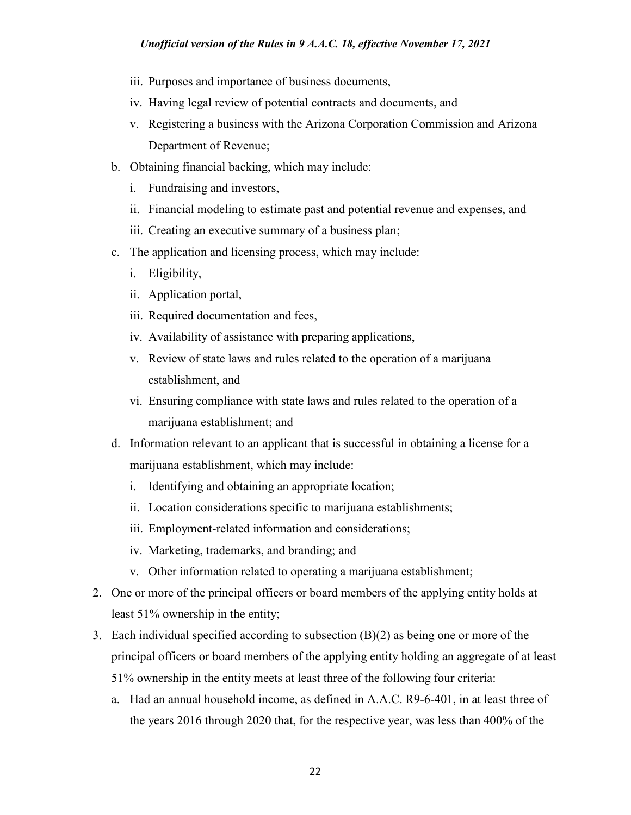- iii. Purposes and importance of business documents,
- iv. Having legal review of potential contracts and documents, and
- v. Registering a business with the Arizona Corporation Commission and Arizona Department of Revenue;
- b. Obtaining financial backing, which may include:
	- i. Fundraising and investors,
	- ii. Financial modeling to estimate past and potential revenue and expenses, and
	- iii. Creating an executive summary of a business plan;
- c. The application and licensing process, which may include:
	- i. Eligibility,
	- ii. Application portal,
	- iii. Required documentation and fees,
	- iv. Availability of assistance with preparing applications,
	- v. Review of state laws and rules related to the operation of a marijuana establishment, and
	- vi. Ensuring compliance with state laws and rules related to the operation of a marijuana establishment; and
- d. Information relevant to an applicant that is successful in obtaining a license for a marijuana establishment, which may include:
	- i. Identifying and obtaining an appropriate location;
	- ii. Location considerations specific to marijuana establishments;
	- iii. Employment-related information and considerations;
	- iv. Marketing, trademarks, and branding; and
	- v. Other information related to operating a marijuana establishment;
- 2. One or more of the principal officers or board members of the applying entity holds at least 51% ownership in the entity;
- 3. Each individual specified according to subsection (B)(2) as being one or more of the principal officers or board members of the applying entity holding an aggregate of at least 51% ownership in the entity meets at least three of the following four criteria:
	- a. Had an annual household income, as defined in A.A.C. R9-6-401, in at least three of the years 2016 through 2020 that, for the respective year, was less than 400% of the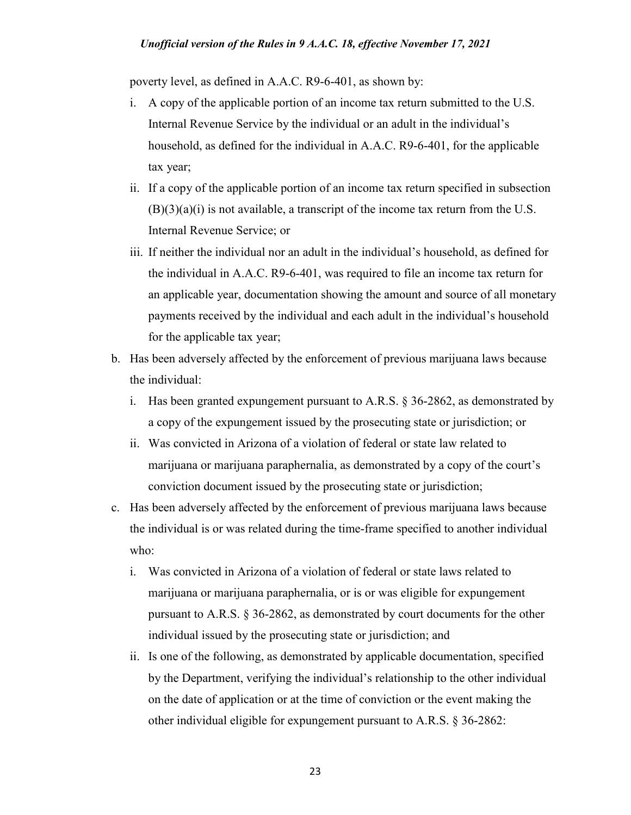poverty level, as defined in A.A.C. R9-6-401, as shown by:

- i. A copy of the applicable portion of an income tax return submitted to the U.S. Internal Revenue Service by the individual or an adult in the individual's household, as defined for the individual in A.A.C. R9-6-401, for the applicable tax year;
- ii. If a copy of the applicable portion of an income tax return specified in subsection  $(B)(3)(a)(i)$  is not available, a transcript of the income tax return from the U.S. Internal Revenue Service; or
- iii. If neither the individual nor an adult in the individual's household, as defined for the individual in A.A.C. R9-6-401, was required to file an income tax return for an applicable year, documentation showing the amount and source of all monetary payments received by the individual and each adult in the individual's household for the applicable tax year;
- b. Has been adversely affected by the enforcement of previous marijuana laws because the individual:
	- i. Has been granted expungement pursuant to A.R.S. § 36-2862, as demonstrated by a copy of the expungement issued by the prosecuting state or jurisdiction; or
	- ii. Was convicted in Arizona of a violation of federal or state law related to marijuana or marijuana paraphernalia, as demonstrated by a copy of the court's conviction document issued by the prosecuting state or jurisdiction;
- c. Has been adversely affected by the enforcement of previous marijuana laws because the individual is or was related during the time-frame specified to another individual who:
	- i. Was convicted in Arizona of a violation of federal or state laws related to marijuana or marijuana paraphernalia, or is or was eligible for expungement pursuant to A.R.S. § 36-2862, as demonstrated by court documents for the other individual issued by the prosecuting state or jurisdiction; and
	- ii. Is one of the following, as demonstrated by applicable documentation, specified by the Department, verifying the individual's relationship to the other individual on the date of application or at the time of conviction or the event making the other individual eligible for expungement pursuant to A.R.S. § 36-2862: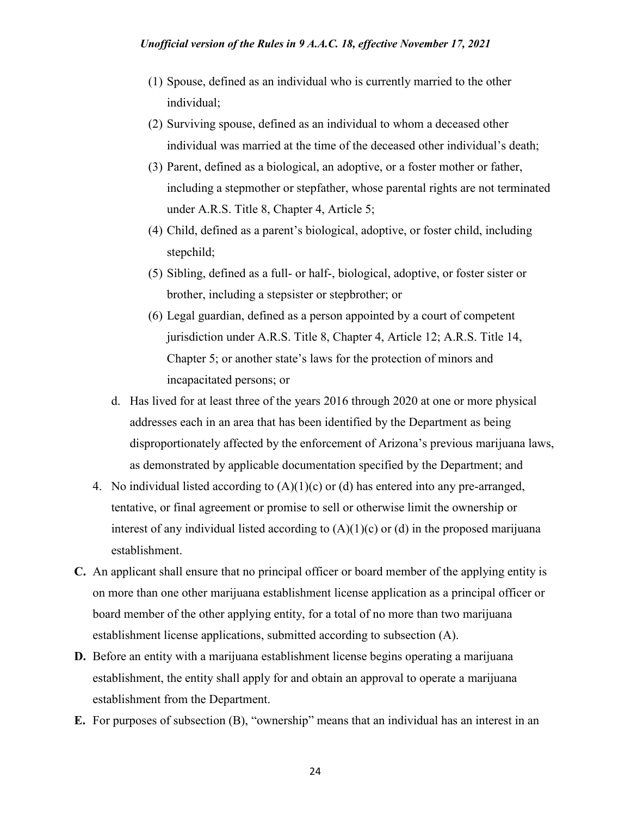- (1) Spouse, defined as an individual who is currently married to the other individual;
- (2) Surviving spouse, defined as an individual to whom a deceased other individual was married at the time of the deceased other individual's death;
- (3) Parent, defined as a biological, an adoptive, or a foster mother or father, including a stepmother or stepfather, whose parental rights are not terminated under A.R.S. Title 8, Chapter 4, Article 5;
- (4) Child, defined as a parent's biological, adoptive, or foster child, including stepchild;
- (5) Sibling, defined as a full- or half-, biological, adoptive, or foster sister or brother, including a stepsister or stepbrother; or
- (6) Legal guardian, defined as a person appointed by a court of competent jurisdiction under A.R.S. Title 8, Chapter 4, Article 12; A.R.S. Title 14, Chapter 5; or another state's laws for the protection of minors and incapacitated persons; or
- d. Has lived for at least three of the years 2016 through 2020 at one or more physical addresses each in an area that has been identified by the Department as being disproportionately affected by the enforcement of Arizona's previous marijuana laws, as demonstrated by applicable documentation specified by the Department; and
- 4. No individual listed according to  $(A)(1)(c)$  or (d) has entered into any pre-arranged, tentative, or final agreement or promise to sell or otherwise limit the ownership or interest of any individual listed according to  $(A)(1)(c)$  or  $(d)$  in the proposed marijuana establishment.
- **C.** An applicant shall ensure that no principal officer or board member of the applying entity is on more than one other marijuana establishment license application as a principal officer or board member of the other applying entity, for a total of no more than two marijuana establishment license applications, submitted according to subsection (A).
- **D.** Before an entity with a marijuana establishment license begins operating a marijuana establishment, the entity shall apply for and obtain an approval to operate a marijuana establishment from the Department.
- **E.** For purposes of subsection (B), "ownership" means that an individual has an interest in an

24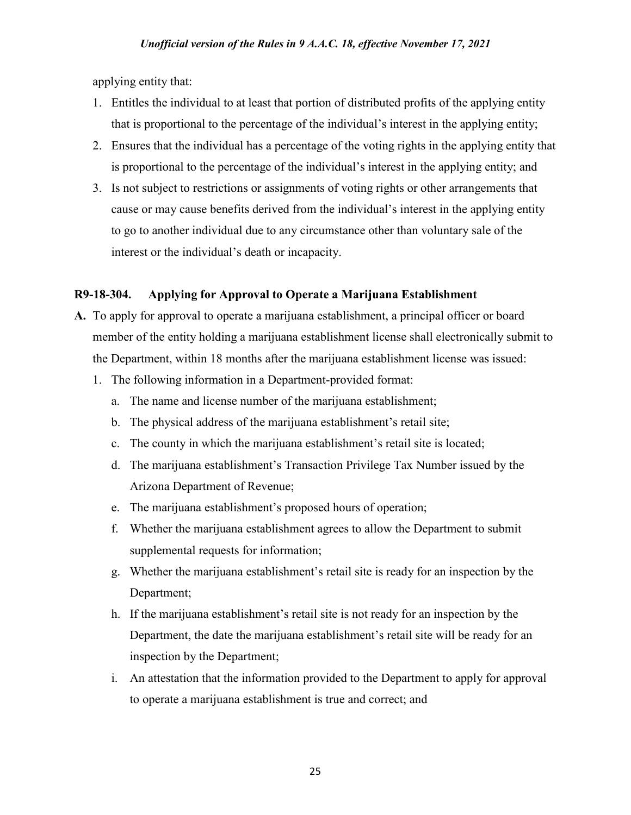applying entity that:

- 1. Entitles the individual to at least that portion of distributed profits of the applying entity that is proportional to the percentage of the individual's interest in the applying entity;
- 2. Ensures that the individual has a percentage of the voting rights in the applying entity that is proportional to the percentage of the individual's interest in the applying entity; and
- 3. Is not subject to restrictions or assignments of voting rights or other arrangements that cause or may cause benefits derived from the individual's interest in the applying entity to go to another individual due to any circumstance other than voluntary sale of the interest or the individual's death or incapacity.

# **R9-18-304. Applying for Approval to Operate a Marijuana Establishment**

- **A.** To apply for approval to operate a marijuana establishment, a principal officer or board member of the entity holding a marijuana establishment license shall electronically submit to the Department, within 18 months after the marijuana establishment license was issued:
	- 1. The following information in a Department-provided format:
		- a. The name and license number of the marijuana establishment;
		- b. The physical address of the marijuana establishment's retail site;
		- c. The county in which the marijuana establishment's retail site is located;
		- d. The marijuana establishment's Transaction Privilege Tax Number issued by the Arizona Department of Revenue;
		- e. The marijuana establishment's proposed hours of operation;
		- f. Whether the marijuana establishment agrees to allow the Department to submit supplemental requests for information;
		- g. Whether the marijuana establishment's retail site is ready for an inspection by the Department;
		- h. If the marijuana establishment's retail site is not ready for an inspection by the Department, the date the marijuana establishment's retail site will be ready for an inspection by the Department;
		- i. An attestation that the information provided to the Department to apply for approval to operate a marijuana establishment is true and correct; and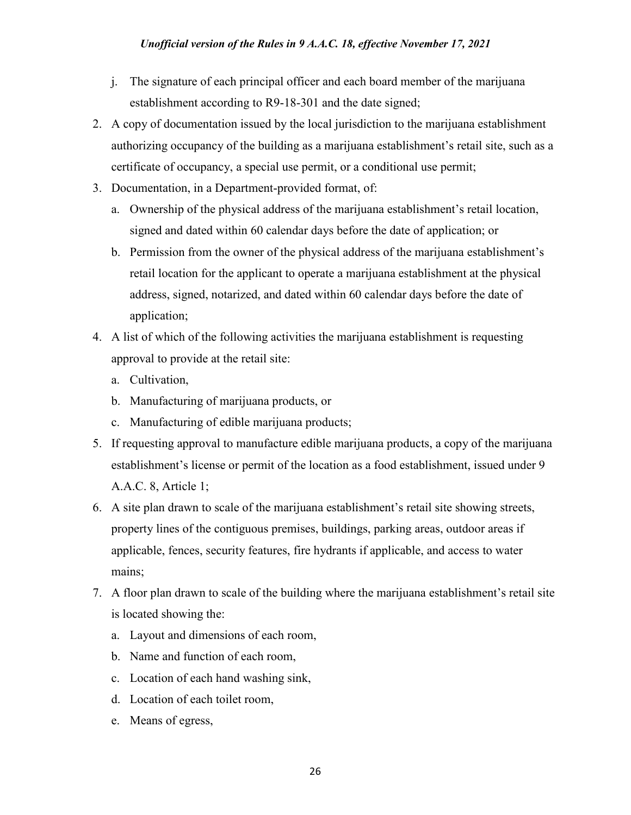- j. The signature of each principal officer and each board member of the marijuana establishment according to R9-18-301 and the date signed;
- 2. A copy of documentation issued by the local jurisdiction to the marijuana establishment authorizing occupancy of the building as a marijuana establishment's retail site, such as a certificate of occupancy, a special use permit, or a conditional use permit;
- 3. Documentation, in a Department-provided format, of:
	- a. Ownership of the physical address of the marijuana establishment's retail location, signed and dated within 60 calendar days before the date of application; or
	- b. Permission from the owner of the physical address of the marijuana establishment's retail location for the applicant to operate a marijuana establishment at the physical address, signed, notarized, and dated within 60 calendar days before the date of application;
- 4. A list of which of the following activities the marijuana establishment is requesting approval to provide at the retail site:
	- a. Cultivation,
	- b. Manufacturing of marijuana products, or
	- c. Manufacturing of edible marijuana products;
- 5. If requesting approval to manufacture edible marijuana products, a copy of the marijuana establishment's license or permit of the location as a food establishment, issued under 9 A.A.C. 8, Article 1;
- 6. A site plan drawn to scale of the marijuana establishment's retail site showing streets, property lines of the contiguous premises, buildings, parking areas, outdoor areas if applicable, fences, security features, fire hydrants if applicable, and access to water mains;
- 7. A floor plan drawn to scale of the building where the marijuana establishment's retail site is located showing the:
	- a. Layout and dimensions of each room,
	- b. Name and function of each room,
	- c. Location of each hand washing sink,
	- d. Location of each toilet room,
	- e. Means of egress,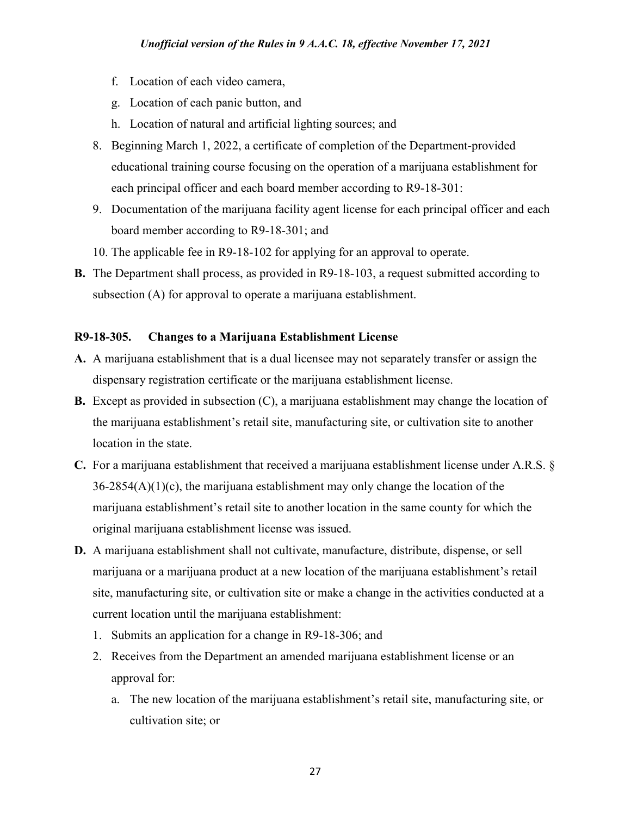- f. Location of each video camera,
- g. Location of each panic button, and
- h. Location of natural and artificial lighting sources; and
- 8. Beginning March 1, 2022, a certificate of completion of the Department-provided educational training course focusing on the operation of a marijuana establishment for each principal officer and each board member according to R9-18-301:
- 9. Documentation of the marijuana facility agent license for each principal officer and each board member according to R9-18-301; and
- 10. The applicable fee in R9-18-102 for applying for an approval to operate.
- **B.** The Department shall process, as provided in R9-18-103, a request submitted according to subsection (A) for approval to operate a marijuana establishment.

# **R9-18-305. Changes to a Marijuana Establishment License**

- **A.** A marijuana establishment that is a dual licensee may not separately transfer or assign the dispensary registration certificate or the marijuana establishment license.
- **B.** Except as provided in subsection (C), a marijuana establishment may change the location of the marijuana establishment's retail site, manufacturing site, or cultivation site to another location in the state.
- **C.** For a marijuana establishment that received a marijuana establishment license under A.R.S. § 36-2854(A)(1)(c), the marijuana establishment may only change the location of the marijuana establishment's retail site to another location in the same county for which the original marijuana establishment license was issued.
- **D.** A marijuana establishment shall not cultivate, manufacture, distribute, dispense, or sell marijuana or a marijuana product at a new location of the marijuana establishment's retail site, manufacturing site, or cultivation site or make a change in the activities conducted at a current location until the marijuana establishment:
	- 1. Submits an application for a change in R9-18-306; and
	- 2. Receives from the Department an amended marijuana establishment license or an approval for:
		- a. The new location of the marijuana establishment's retail site, manufacturing site, or cultivation site; or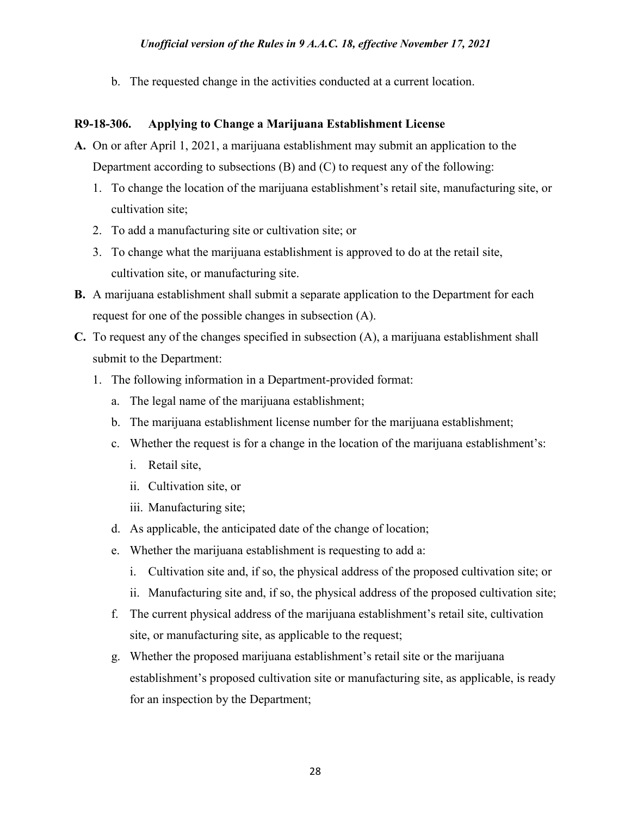b. The requested change in the activities conducted at a current location.

## **R9-18-306. Applying to Change a Marijuana Establishment License**

- **A.** On or after April 1, 2021, a marijuana establishment may submit an application to the Department according to subsections (B) and (C) to request any of the following:
	- 1. To change the location of the marijuana establishment's retail site, manufacturing site, or cultivation site;
	- 2. To add a manufacturing site or cultivation site; or
	- 3. To change what the marijuana establishment is approved to do at the retail site, cultivation site, or manufacturing site.
- **B.** A marijuana establishment shall submit a separate application to the Department for each request for one of the possible changes in subsection (A).
- **C.** To request any of the changes specified in subsection (A), a marijuana establishment shall submit to the Department:
	- 1. The following information in a Department-provided format:
		- a. The legal name of the marijuana establishment;
		- b. The marijuana establishment license number for the marijuana establishment;
		- c. Whether the request is for a change in the location of the marijuana establishment's:
			- i. Retail site,
			- ii. Cultivation site, or
			- iii. Manufacturing site;
		- d. As applicable, the anticipated date of the change of location;
		- e. Whether the marijuana establishment is requesting to add a:
			- i. Cultivation site and, if so, the physical address of the proposed cultivation site; or
			- ii. Manufacturing site and, if so, the physical address of the proposed cultivation site;
		- f. The current physical address of the marijuana establishment's retail site, cultivation site, or manufacturing site, as applicable to the request;
		- g. Whether the proposed marijuana establishment's retail site or the marijuana establishment's proposed cultivation site or manufacturing site, as applicable, is ready for an inspection by the Department;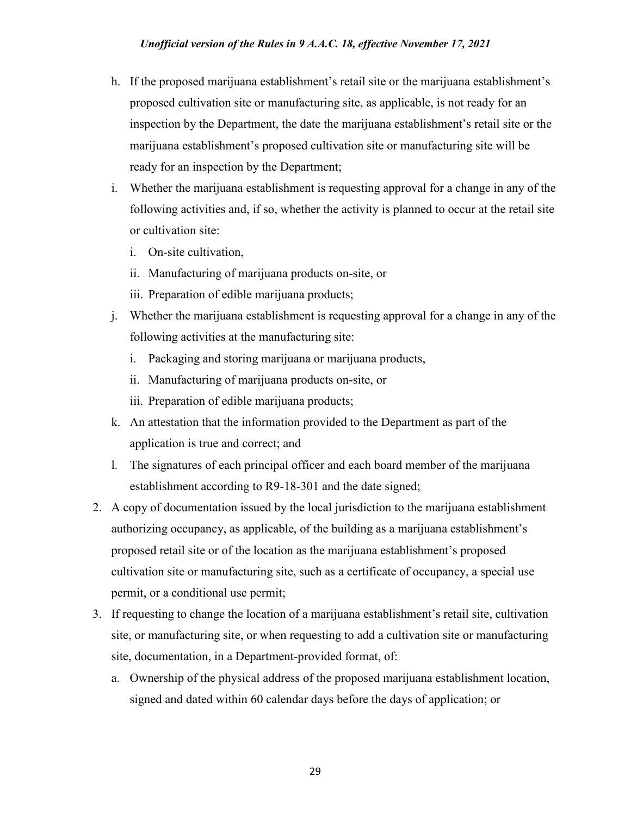- h. If the proposed marijuana establishment's retail site or the marijuana establishment's proposed cultivation site or manufacturing site, as applicable, is not ready for an inspection by the Department, the date the marijuana establishment's retail site or the marijuana establishment's proposed cultivation site or manufacturing site will be ready for an inspection by the Department;
- i. Whether the marijuana establishment is requesting approval for a change in any of the following activities and, if so, whether the activity is planned to occur at the retail site or cultivation site:
	- i. On-site cultivation,
	- ii. Manufacturing of marijuana products on-site, or
	- iii. Preparation of edible marijuana products;
- j. Whether the marijuana establishment is requesting approval for a change in any of the following activities at the manufacturing site:
	- i. Packaging and storing marijuana or marijuana products,
	- ii. Manufacturing of marijuana products on-site, or
	- iii. Preparation of edible marijuana products;
- k. An attestation that the information provided to the Department as part of the application is true and correct; and
- l. The signatures of each principal officer and each board member of the marijuana establishment according to R9-18-301 and the date signed;
- 2. A copy of documentation issued by the local jurisdiction to the marijuana establishment authorizing occupancy, as applicable, of the building as a marijuana establishment's proposed retail site or of the location as the marijuana establishment's proposed cultivation site or manufacturing site, such as a certificate of occupancy, a special use permit, or a conditional use permit;
- 3. If requesting to change the location of a marijuana establishment's retail site, cultivation site, or manufacturing site, or when requesting to add a cultivation site or manufacturing site, documentation, in a Department-provided format, of:
	- a. Ownership of the physical address of the proposed marijuana establishment location, signed and dated within 60 calendar days before the days of application; or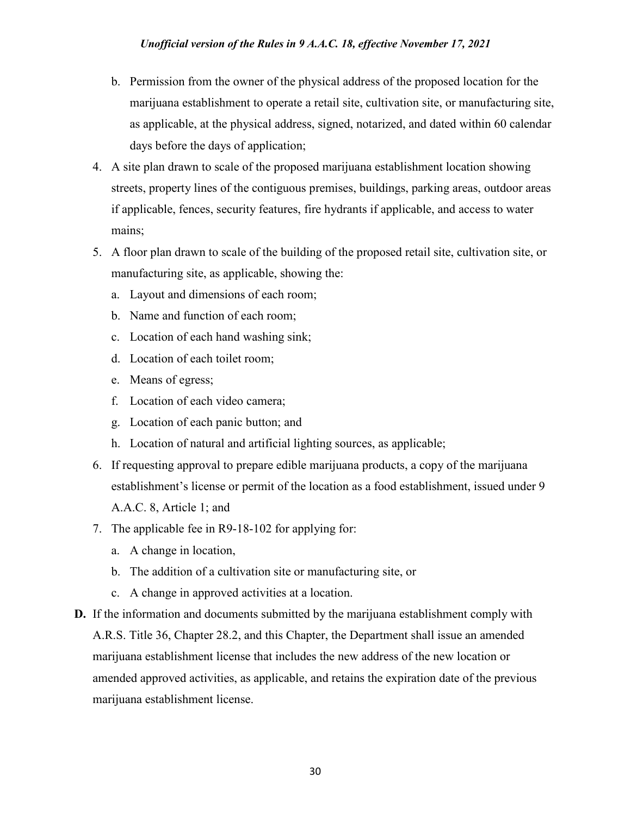- b. Permission from the owner of the physical address of the proposed location for the marijuana establishment to operate a retail site, cultivation site, or manufacturing site, as applicable, at the physical address, signed, notarized, and dated within 60 calendar days before the days of application;
- 4. A site plan drawn to scale of the proposed marijuana establishment location showing streets, property lines of the contiguous premises, buildings, parking areas, outdoor areas if applicable, fences, security features, fire hydrants if applicable, and access to water mains;
- 5. A floor plan drawn to scale of the building of the proposed retail site, cultivation site, or manufacturing site, as applicable, showing the:
	- a. Layout and dimensions of each room;
	- b. Name and function of each room;
	- c. Location of each hand washing sink;
	- d. Location of each toilet room;
	- e. Means of egress;
	- f. Location of each video camera;
	- g. Location of each panic button; and
	- h. Location of natural and artificial lighting sources, as applicable;
- 6. If requesting approval to prepare edible marijuana products, a copy of the marijuana establishment's license or permit of the location as a food establishment, issued under 9 A.A.C. 8, Article 1; and
- 7. The applicable fee in R9-18-102 for applying for:
	- a. A change in location,
	- b. The addition of a cultivation site or manufacturing site, or
	- c. A change in approved activities at a location.
- **D.** If the information and documents submitted by the marijuana establishment comply with A.R.S. Title 36, Chapter 28.2, and this Chapter, the Department shall issue an amended marijuana establishment license that includes the new address of the new location or amended approved activities, as applicable, and retains the expiration date of the previous marijuana establishment license.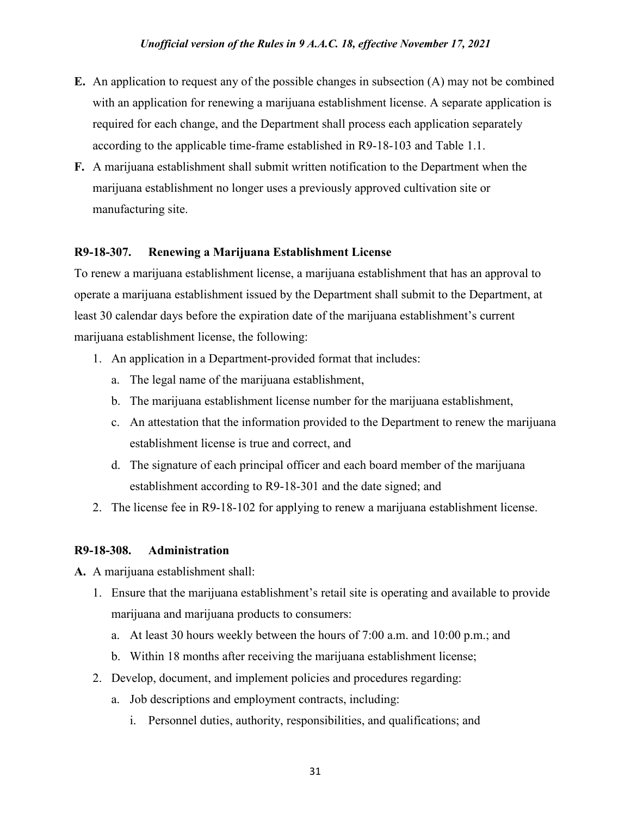- **E.** An application to request any of the possible changes in subsection (A) may not be combined with an application for renewing a marijuana establishment license. A separate application is required for each change, and the Department shall process each application separately according to the applicable time-frame established in R9-18-103 and Table 1.1.
- **F.** A marijuana establishment shall submit written notification to the Department when the marijuana establishment no longer uses a previously approved cultivation site or manufacturing site.

## **R9-18-307. Renewing a Marijuana Establishment License**

To renew a marijuana establishment license, a marijuana establishment that has an approval to operate a marijuana establishment issued by the Department shall submit to the Department, at least 30 calendar days before the expiration date of the marijuana establishment's current marijuana establishment license, the following:

- 1. An application in a Department-provided format that includes:
	- a. The legal name of the marijuana establishment,
	- b. The marijuana establishment license number for the marijuana establishment,
	- c. An attestation that the information provided to the Department to renew the marijuana establishment license is true and correct, and
	- d. The signature of each principal officer and each board member of the marijuana establishment according to R9-18-301 and the date signed; and
- 2. The license fee in R9-18-102 for applying to renew a marijuana establishment license.

## **R9-18-308. Administration**

**A.** A marijuana establishment shall:

- 1. Ensure that the marijuana establishment's retail site is operating and available to provide marijuana and marijuana products to consumers:
	- a. At least 30 hours weekly between the hours of 7:00 a.m. and 10:00 p.m.; and
	- b. Within 18 months after receiving the marijuana establishment license;
- 2. Develop, document, and implement policies and procedures regarding:
	- a. Job descriptions and employment contracts, including:
		- i. Personnel duties, authority, responsibilities, and qualifications; and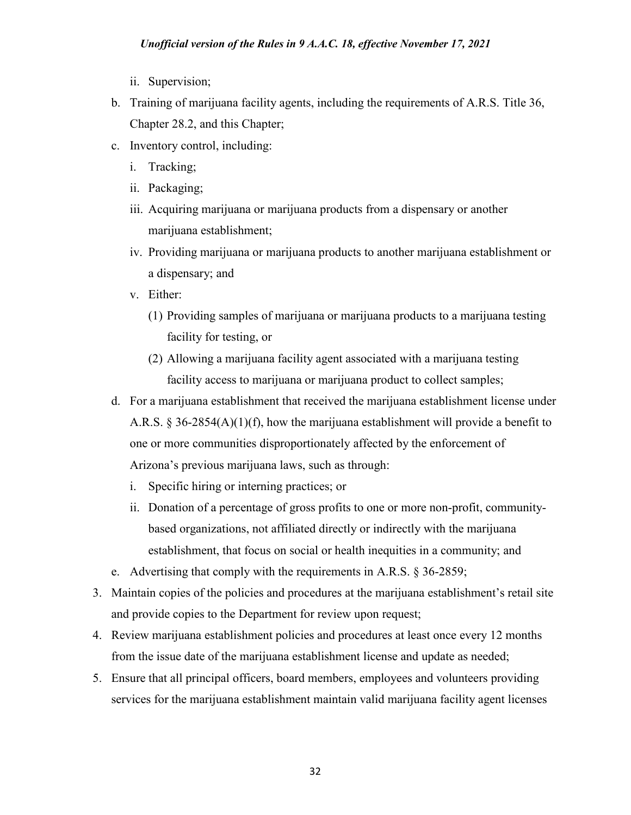- ii. Supervision;
- b. Training of marijuana facility agents, including the requirements of A.R.S. Title 36, Chapter 28.2, and this Chapter;
- c. Inventory control, including:
	- i. Tracking;
	- ii. Packaging;
	- iii. Acquiring marijuana or marijuana products from a dispensary or another marijuana establishment;
	- iv. Providing marijuana or marijuana products to another marijuana establishment or a dispensary; and
	- v. Either:
		- (1) Providing samples of marijuana or marijuana products to a marijuana testing facility for testing, or
		- (2) Allowing a marijuana facility agent associated with a marijuana testing facility access to marijuana or marijuana product to collect samples;
- d. For a marijuana establishment that received the marijuana establishment license under A.R.S. § 36-2854(A)(1)(f), how the marijuana establishment will provide a benefit to one or more communities disproportionately affected by the enforcement of Arizona's previous marijuana laws, such as through:
	- i. Specific hiring or interning practices; or
	- ii. Donation of a percentage of gross profits to one or more non-profit, communitybased organizations, not affiliated directly or indirectly with the marijuana establishment, that focus on social or health inequities in a community; and
- e. Advertising that comply with the requirements in A.R.S. § 36-2859;
- 3. Maintain copies of the policies and procedures at the marijuana establishment's retail site and provide copies to the Department for review upon request;
- 4. Review marijuana establishment policies and procedures at least once every 12 months from the issue date of the marijuana establishment license and update as needed;
- 5. Ensure that all principal officers, board members, employees and volunteers providing services for the marijuana establishment maintain valid marijuana facility agent licenses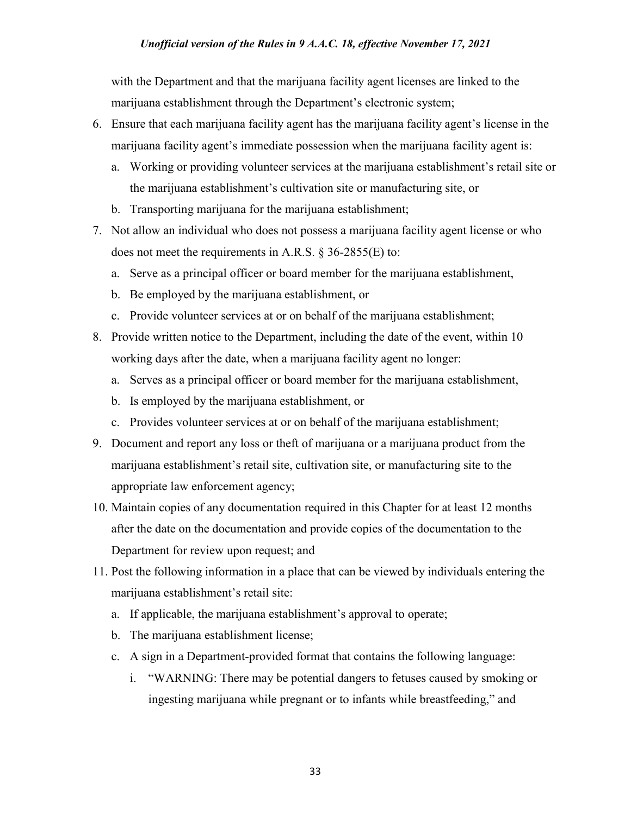with the Department and that the marijuana facility agent licenses are linked to the marijuana establishment through the Department's electronic system;

- 6. Ensure that each marijuana facility agent has the marijuana facility agent's license in the marijuana facility agent's immediate possession when the marijuana facility agent is:
	- a. Working or providing volunteer services at the marijuana establishment's retail site or the marijuana establishment's cultivation site or manufacturing site, or
	- b. Transporting marijuana for the marijuana establishment;
- 7. Not allow an individual who does not possess a marijuana facility agent license or who does not meet the requirements in A.R.S. § 36-2855(E) to:
	- a. Serve as a principal officer or board member for the marijuana establishment,
	- b. Be employed by the marijuana establishment, or
	- c. Provide volunteer services at or on behalf of the marijuana establishment;
- 8. Provide written notice to the Department, including the date of the event, within 10 working days after the date, when a marijuana facility agent no longer:
	- a. Serves as a principal officer or board member for the marijuana establishment,
	- b. Is employed by the marijuana establishment, or
	- c. Provides volunteer services at or on behalf of the marijuana establishment;
- 9. Document and report any loss or theft of marijuana or a marijuana product from the marijuana establishment's retail site, cultivation site, or manufacturing site to the appropriate law enforcement agency;
- 10. Maintain copies of any documentation required in this Chapter for at least 12 months after the date on the documentation and provide copies of the documentation to the Department for review upon request; and
- 11. Post the following information in a place that can be viewed by individuals entering the marijuana establishment's retail site:
	- a. If applicable, the marijuana establishment's approval to operate;
	- b. The marijuana establishment license;
	- c. A sign in a Department-provided format that contains the following language:
		- i. "WARNING: There may be potential dangers to fetuses caused by smoking or ingesting marijuana while pregnant or to infants while breastfeeding," and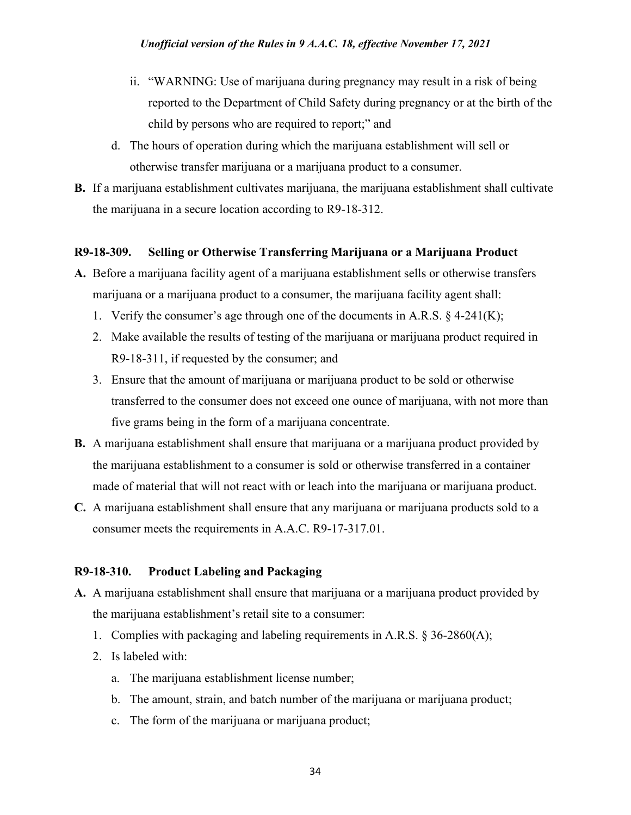- ii. "WARNING: Use of marijuana during pregnancy may result in a risk of being reported to the Department of Child Safety during pregnancy or at the birth of the child by persons who are required to report;" and
- d. The hours of operation during which the marijuana establishment will sell or otherwise transfer marijuana or a marijuana product to a consumer.
- **B.** If a marijuana establishment cultivates marijuana, the marijuana establishment shall cultivate the marijuana in a secure location according to R9-18-312.

## **R9-18-309. Selling or Otherwise Transferring Marijuana or a Marijuana Product**

- **A.** Before a marijuana facility agent of a marijuana establishment sells or otherwise transfers marijuana or a marijuana product to a consumer, the marijuana facility agent shall:
	- 1. Verify the consumer's age through one of the documents in A.R.S. § 4-241(K);
	- 2. Make available the results of testing of the marijuana or marijuana product required in R9-18-311, if requested by the consumer; and
	- 3. Ensure that the amount of marijuana or marijuana product to be sold or otherwise transferred to the consumer does not exceed one ounce of marijuana, with not more than five grams being in the form of a marijuana concentrate.
- **B.** A marijuana establishment shall ensure that marijuana or a marijuana product provided by the marijuana establishment to a consumer is sold or otherwise transferred in a container made of material that will not react with or leach into the marijuana or marijuana product.
- **C.** A marijuana establishment shall ensure that any marijuana or marijuana products sold to a consumer meets the requirements in A.A.C. R9-17-317.01.

# **R9-18-310. Product Labeling and Packaging**

- **A.** A marijuana establishment shall ensure that marijuana or a marijuana product provided by the marijuana establishment's retail site to a consumer:
	- 1. Complies with packaging and labeling requirements in A.R.S. § 36-2860(A);
	- 2. Is labeled with:
		- a. The marijuana establishment license number;
		- b. The amount, strain, and batch number of the marijuana or marijuana product;
		- c. The form of the marijuana or marijuana product;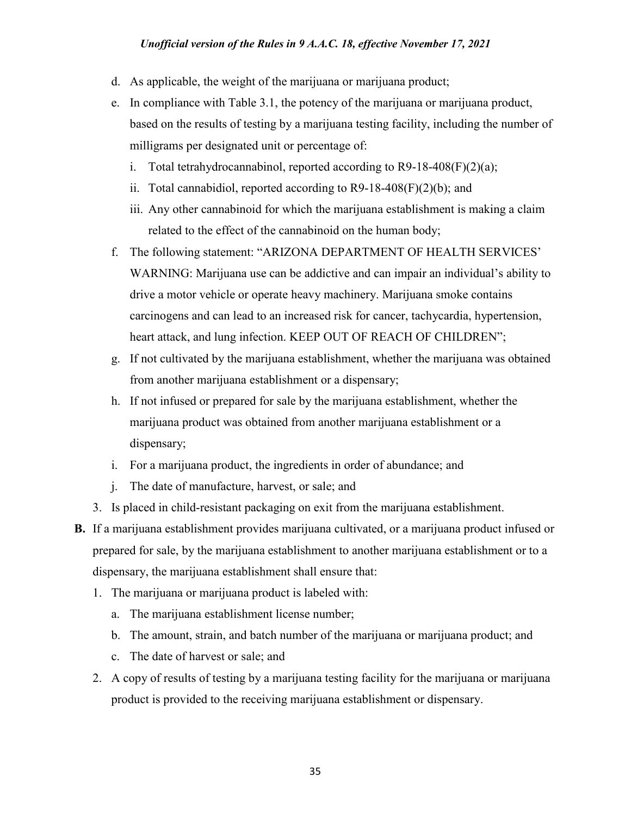- d. As applicable, the weight of the marijuana or marijuana product;
- e. In compliance with Table 3.1, the potency of the marijuana or marijuana product, based on the results of testing by a marijuana testing facility, including the number of milligrams per designated unit or percentage of:
	- i. Total tetrahydrocannabinol, reported according to  $R9-18-408(F)(2)(a)$ ;
	- ii. Total cannabidiol, reported according to  $R9-18-408(F)(2)(b)$ ; and
	- iii. Any other cannabinoid for which the marijuana establishment is making a claim related to the effect of the cannabinoid on the human body;
- f. The following statement: "ARIZONA DEPARTMENT OF HEALTH SERVICES' WARNING: Marijuana use can be addictive and can impair an individual's ability to drive a motor vehicle or operate heavy machinery. Marijuana smoke contains carcinogens and can lead to an increased risk for cancer, tachycardia, hypertension, heart attack, and lung infection. KEEP OUT OF REACH OF CHILDREN";
- g. If not cultivated by the marijuana establishment, whether the marijuana was obtained from another marijuana establishment or a dispensary;
- h. If not infused or prepared for sale by the marijuana establishment, whether the marijuana product was obtained from another marijuana establishment or a dispensary;
- i. For a marijuana product, the ingredients in order of abundance; and
- j. The date of manufacture, harvest, or sale; and
- 3. Is placed in child-resistant packaging on exit from the marijuana establishment.
- **B.** If a marijuana establishment provides marijuana cultivated, or a marijuana product infused or prepared for sale, by the marijuana establishment to another marijuana establishment or to a dispensary, the marijuana establishment shall ensure that:
	- 1. The marijuana or marijuana product is labeled with:
		- a. The marijuana establishment license number;
		- b. The amount, strain, and batch number of the marijuana or marijuana product; and
		- c. The date of harvest or sale; and
	- 2. A copy of results of testing by a marijuana testing facility for the marijuana or marijuana product is provided to the receiving marijuana establishment or dispensary.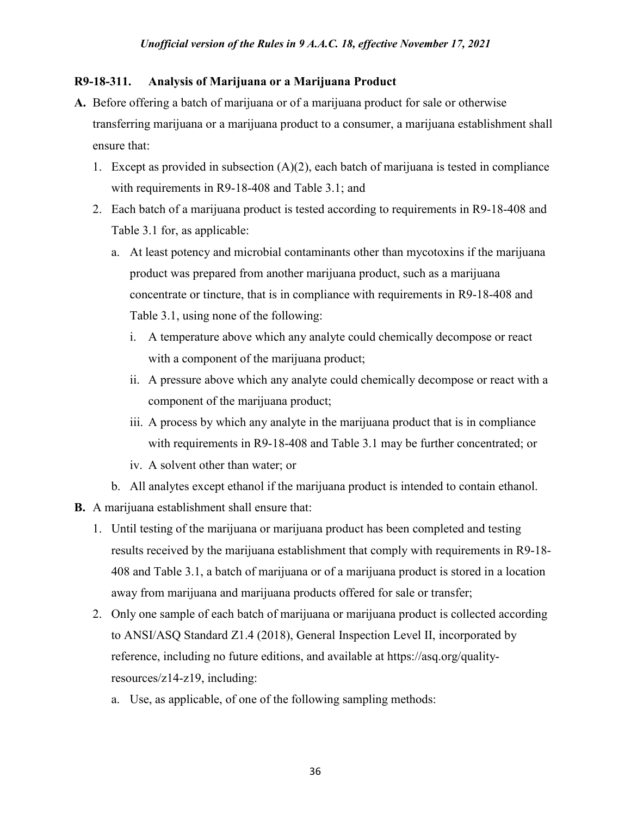## **R9-18-311. Analysis of Marijuana or a Marijuana Product**

- **A.** Before offering a batch of marijuana or of a marijuana product for sale or otherwise transferring marijuana or a marijuana product to a consumer, a marijuana establishment shall ensure that:
	- 1. Except as provided in subsection  $(A)(2)$ , each batch of marijuana is tested in compliance with requirements in R9-18-408 and Table 3.1; and
	- 2. Each batch of a marijuana product is tested according to requirements in R9-18-408 and Table 3.1 for, as applicable:
		- a. At least potency and microbial contaminants other than mycotoxins if the marijuana product was prepared from another marijuana product, such as a marijuana concentrate or tincture, that is in compliance with requirements in R9-18-408 and Table 3.1, using none of the following:
			- i. A temperature above which any analyte could chemically decompose or react with a component of the marijuana product;
			- ii. A pressure above which any analyte could chemically decompose or react with a component of the marijuana product;
			- iii. A process by which any analyte in the marijuana product that is in compliance with requirements in R9-18-408 and Table 3.1 may be further concentrated; or
			- iv. A solvent other than water; or
		- b. All analytes except ethanol if the marijuana product is intended to contain ethanol.
- **B.** A marijuana establishment shall ensure that:
	- 1. Until testing of the marijuana or marijuana product has been completed and testing results received by the marijuana establishment that comply with requirements in R9-18- 408 and Table 3.1, a batch of marijuana or of a marijuana product is stored in a location away from marijuana and marijuana products offered for sale or transfer;
	- 2. Only one sample of each batch of marijuana or marijuana product is collected according to ANSI/ASQ Standard Z1.4 (2018), General Inspection Level II, incorporated by reference, including no future editions, and available at https://asq.org/qualityresources/z14-z19, including:
		- a. Use, as applicable, of one of the following sampling methods: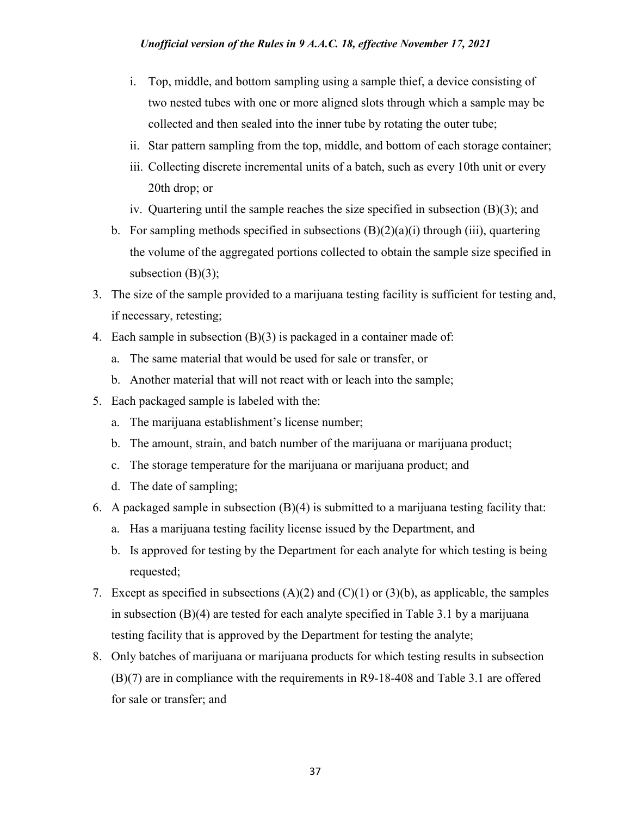#### *Unofficial version of the Rules in 9 A.A.C. 18, effective November 17, 2021*

- i. Top, middle, and bottom sampling using a sample thief, a device consisting of two nested tubes with one or more aligned slots through which a sample may be collected and then sealed into the inner tube by rotating the outer tube;
- ii. Star pattern sampling from the top, middle, and bottom of each storage container;
- iii. Collecting discrete incremental units of a batch, such as every 10th unit or every 20th drop; or
- iv. Quartering until the sample reaches the size specified in subsection (B)(3); and
- b. For sampling methods specified in subsections  $(B)(2)(a)(i)$  through (iii), quartering the volume of the aggregated portions collected to obtain the sample size specified in subsection  $(B)(3)$ ;
- 3. The size of the sample provided to a marijuana testing facility is sufficient for testing and, if necessary, retesting;
- 4. Each sample in subsection (B)(3) is packaged in a container made of:
	- a. The same material that would be used for sale or transfer, or
	- b. Another material that will not react with or leach into the sample;
- 5. Each packaged sample is labeled with the:
	- a. The marijuana establishment's license number;
	- b. The amount, strain, and batch number of the marijuana or marijuana product;
	- c. The storage temperature for the marijuana or marijuana product; and
	- d. The date of sampling;
- 6. A packaged sample in subsection  $(B)(4)$  is submitted to a marijuana testing facility that:
	- a. Has a marijuana testing facility license issued by the Department, and
	- b. Is approved for testing by the Department for each analyte for which testing is being requested;
- 7. Except as specified in subsections  $(A)(2)$  and  $(C)(1)$  or  $(3)(b)$ , as applicable, the samples in subsection (B)(4) are tested for each analyte specified in Table 3.1 by a marijuana testing facility that is approved by the Department for testing the analyte;
- 8. Only batches of marijuana or marijuana products for which testing results in subsection (B)(7) are in compliance with the requirements in R9-18-408 and Table 3.1 are offered for sale or transfer; and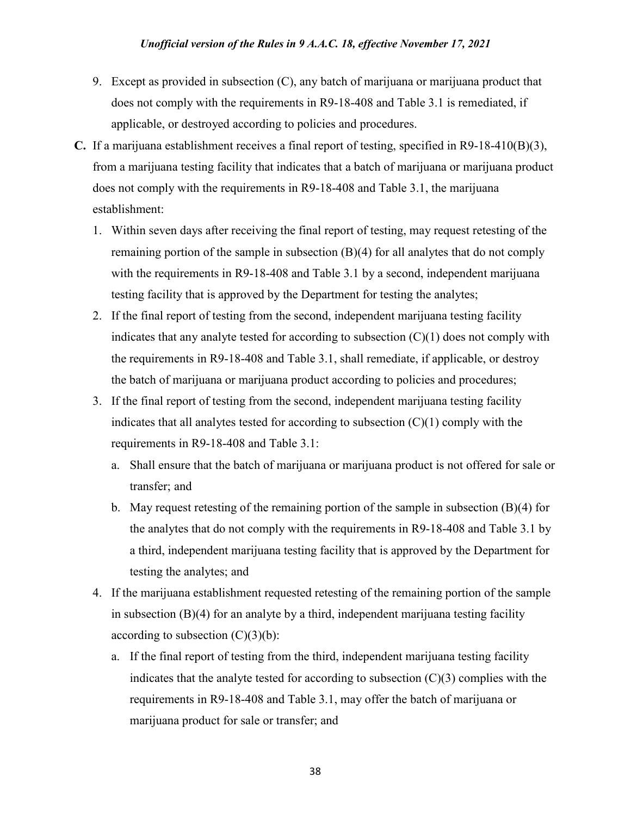- 9. Except as provided in subsection (C), any batch of marijuana or marijuana product that does not comply with the requirements in R9-18-408 and Table 3.1 is remediated, if applicable, or destroyed according to policies and procedures.
- **C.** If a marijuana establishment receives a final report of testing, specified in R9-18-410(B)(3), from a marijuana testing facility that indicates that a batch of marijuana or marijuana product does not comply with the requirements in R9-18-408 and Table 3.1, the marijuana establishment:
	- 1. Within seven days after receiving the final report of testing, may request retesting of the remaining portion of the sample in subsection  $(B)(4)$  for all analytes that do not comply with the requirements in R9-18-408 and Table 3.1 by a second, independent marijuana testing facility that is approved by the Department for testing the analytes;
	- 2. If the final report of testing from the second, independent marijuana testing facility indicates that any analyte tested for according to subsection  $(C)(1)$  does not comply with the requirements in R9-18-408 and Table 3.1, shall remediate, if applicable, or destroy the batch of marijuana or marijuana product according to policies and procedures;
	- 3. If the final report of testing from the second, independent marijuana testing facility indicates that all analytes tested for according to subsection  $(C)(1)$  comply with the requirements in R9-18-408 and Table 3.1:
		- a. Shall ensure that the batch of marijuana or marijuana product is not offered for sale or transfer; and
		- b. May request retesting of the remaining portion of the sample in subsection  $(B)(4)$  for the analytes that do not comply with the requirements in R9-18-408 and Table 3.1 by a third, independent marijuana testing facility that is approved by the Department for testing the analytes; and
	- 4. If the marijuana establishment requested retesting of the remaining portion of the sample in subsection  $(B)(4)$  for an analyte by a third, independent marijuana testing facility according to subsection  $(C)(3)(b)$ :
		- a. If the final report of testing from the third, independent marijuana testing facility indicates that the analyte tested for according to subsection  $(C)(3)$  complies with the requirements in R9-18-408 and Table 3.1, may offer the batch of marijuana or marijuana product for sale or transfer; and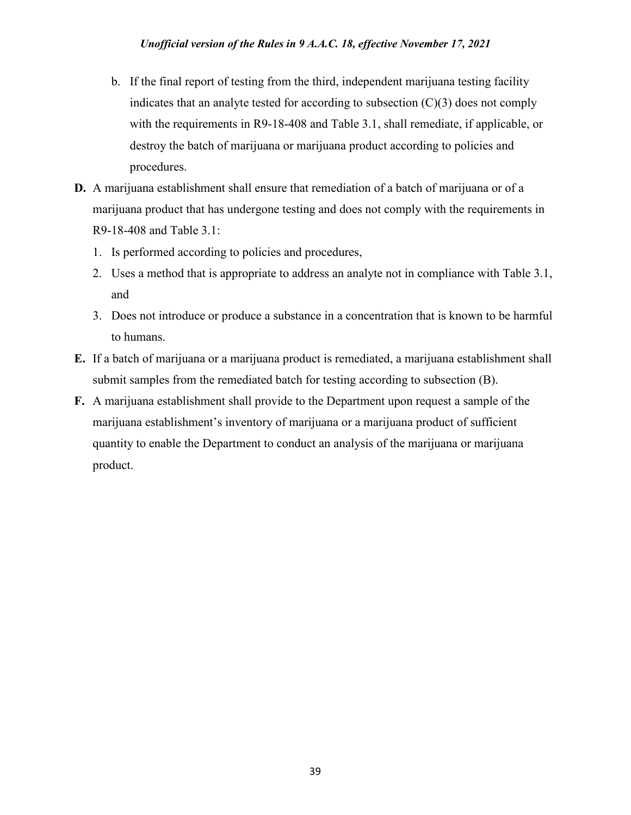- b. If the final report of testing from the third, independent marijuana testing facility indicates that an analyte tested for according to subsection  $(C)(3)$  does not comply with the requirements in R9-18-408 and Table 3.1, shall remediate, if applicable, or destroy the batch of marijuana or marijuana product according to policies and procedures.
- **D.** A marijuana establishment shall ensure that remediation of a batch of marijuana or of a marijuana product that has undergone testing and does not comply with the requirements in R9-18-408 and Table 3.1:
	- 1. Is performed according to policies and procedures,
	- 2. Uses a method that is appropriate to address an analyte not in compliance with Table 3.1, and
	- 3. Does not introduce or produce a substance in a concentration that is known to be harmful to humans.
- **E.** If a batch of marijuana or a marijuana product is remediated, a marijuana establishment shall submit samples from the remediated batch for testing according to subsection (B).
- **F.** A marijuana establishment shall provide to the Department upon request a sample of the marijuana establishment's inventory of marijuana or a marijuana product of sufficient quantity to enable the Department to conduct an analysis of the marijuana or marijuana product.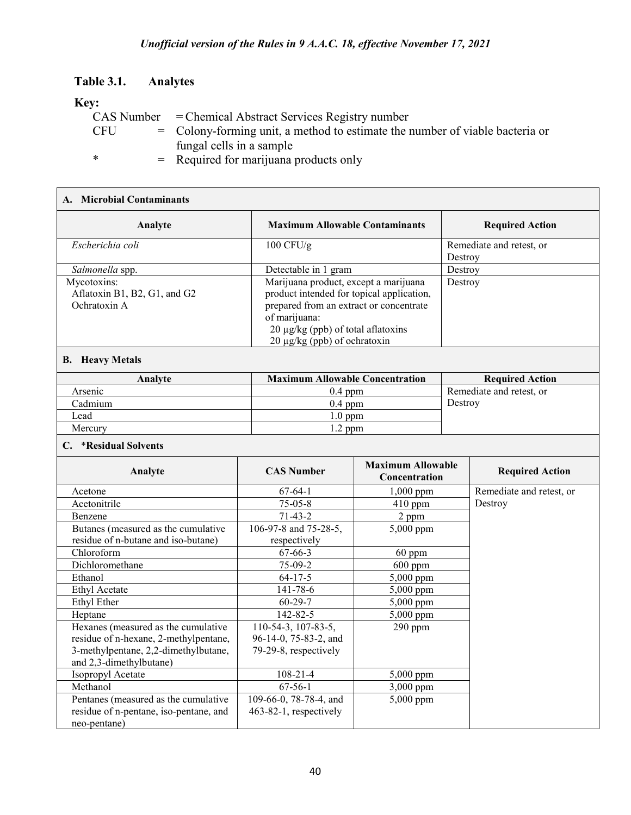### **Table 3.1. Analytes**

residue of n-pentane, iso-pentane, and

neo-pentane)

### **Key:**

|        |  | CAS Number = Chemical Abstract Services Registry number                        |  |  |
|--------|--|--------------------------------------------------------------------------------|--|--|
| CFU.   |  | $=$ Colony-forming unit, a method to estimate the number of viable bacteria or |  |  |
|        |  | fungal cells in a sample                                                       |  |  |
| $\ast$ |  | $=$ Required for marijuana products only                                       |  |  |

#### **A. Microbial Contaminants Analyte Maximum Allowable Contaminants Required Action** *Escherichia coli* 100 CFU/g Remediate and retest, or Destroy *Salmonella* spp. **Detectable in 1 gram** Destroy Mycotoxins: Aflatoxin B1, B2, G1, and G2 Ochratoxin A Marijuana product, except a marijuana product intended for topical application, prepared from an extract or concentrate of marijuana:  $20 \mu g/kg$  (ppb) of total aflatoxins 20 µg/kg (ppb) of ochratoxin Destroy **B. Heavy Metals Analyte Maximum Allowable Concentration Required Action** Arsenic 0.4 ppm Remediate and retest, or<br>Cadmium 0.4 ppm Remediate and retest, or Cadmium 2004 ppm Destroy Destroy Lead 1.0 ppm Mercury 1.2 ppm **C.** \***Residual Solvents Analyte CAS Number Maximum Allowable CAS Number Maximum Allowable Required Action** Acetone 67-64-1 1,000 ppm Remediate and retest, or<br>Acetonitrile 75-05-8 410 ppm Bestroy Acetonitrile 2012 120 120 120 120 130 130 130 130 130 1410 ppm Destroy Benzene 2 ppm Butanes (measured as the cumulative residue of n-butane and iso-butane) 106-97-8 and 75-28-5, respectively 5,000 ppm Chloroform 67-66-3 60 ppm Dichloromethane 1 75-09-2 600 ppm Ethanol 64-17-5 5,000 ppm Ethyl Acetate 141-78-6 5,000 ppm Ethyl Ether 60-29-7 5,000 ppm Heptane 142-82-5 5,000 ppm Hexanes (measured as the cumulative residue of n-hexane, 2-methylpentane, 3-methylpentane, 2,2-dimethylbutane, and 2,3-dimethylbutane) 110-54-3, 107-83-5, 96-14-0, 75-83-2, and 79-29-8, respectively 290 ppm Isopropyl Acetate 108-21-4 5,000 ppm Methanol 67-56-1 3,000 ppm Pentanes (measured as the cumulative 109-66-0, 78-78-4, and 5,000 ppm

463-82-1, respectively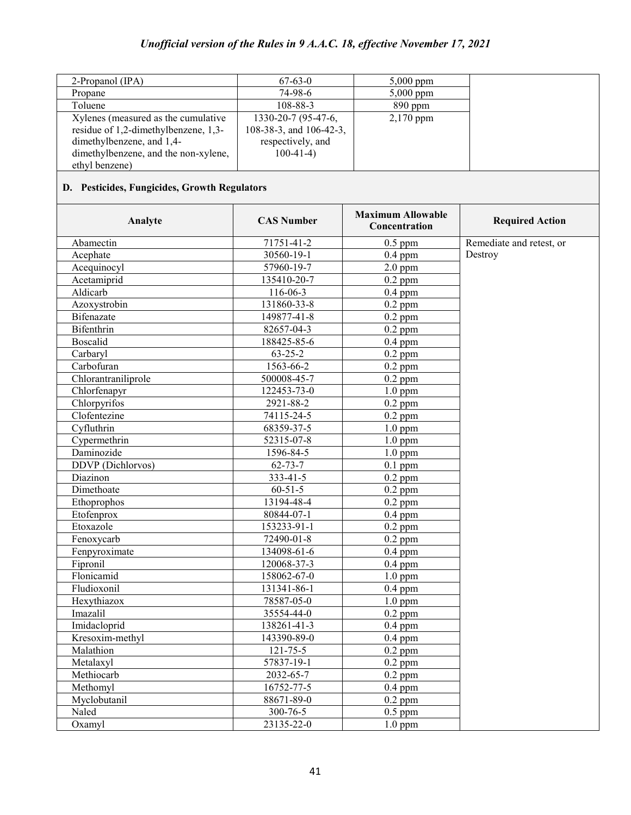| 2-Propanol $(IPA)$                   | $67-63-0$               | $5,000$ ppm |
|--------------------------------------|-------------------------|-------------|
| Propane                              | 74-98-6                 | $5,000$ ppm |
| Toluene                              | 108-88-3                | $890$ ppm   |
| Xylenes (measured as the cumulative  | 1330-20-7 (95-47-6,     | $2,170$ ppm |
| residue of 1,2-dimethylbenzene, 1,3- | 108-38-3, and 106-42-3, |             |
| dimethylbenzene, and 1,4-            | respectively, and       |             |
| dimethylbenzene, and the non-xylene, | $100-41-4$              |             |
| ethyl benzene)                       |                         |             |
|                                      |                         |             |

# **D. Pesticides, Fungicides, Growth Regulators**

| Analyte             | <b>CAS Number</b> | <b>Maximum Allowable</b><br>Concentration | <b>Required Action</b>   |
|---------------------|-------------------|-------------------------------------------|--------------------------|
| Abamectin           | 71751-41-2        | $0.5$ ppm                                 | Remediate and retest, or |
| Acephate            | 30560-19-1        | $0.4$ ppm                                 | Destroy                  |
| Acequinocyl         | 57960-19-7        | $2.0$ ppm                                 |                          |
| Acetamiprid         | 135410-20-7       | $0.2$ ppm                                 |                          |
| Aldicarb            | 116-06-3          | $0.4$ ppm                                 |                          |
| Azoxystrobin        | 131860-33-8       | $0.2$ ppm                                 |                          |
| <b>Bifenazate</b>   | 149877-41-8       | $0.2$ ppm                                 |                          |
| Bifenthrin          | 82657-04-3        | $0.2$ ppm                                 |                          |
| <b>Boscalid</b>     | 188425-85-6       | $0.4$ ppm                                 |                          |
| Carbaryl            | $63 - 25 - 2$     | $0.2$ ppm                                 |                          |
| Carbofuran          | 1563-66-2         | $0.2$ ppm                                 |                          |
| Chlorantraniliprole | 500008-45-7       | $0.2$ ppm                                 |                          |
| Chlorfenapyr        | 122453-73-0       | $1.0$ ppm                                 |                          |
| Chlorpyrifos        | 2921-88-2         | $0.2$ ppm                                 |                          |
| Clofentezine        | $74115 - 24 - 5$  | $0.2$ ppm                                 |                          |
| Cyfluthrin          | 68359-37-5        | $1.0$ ppm                                 |                          |
| Cypermethrin        | 52315-07-8        | $1.0$ ppm                                 |                          |
| Daminozide          | 1596-84-5         | $1.0$ ppm                                 |                          |
| DDVP (Dichlorvos)   | $62 - 73 - 7$     | $0.1$ ppm                                 |                          |
| Diazinon            | 333-41-5          | $0.2$ ppm                                 |                          |
| Dimethoate          | $60 - 51 - 5$     | $0.2$ ppm                                 |                          |
| Ethoprophos         | 13194-48-4        | $0.2$ ppm                                 |                          |
| Etofenprox          | 80844-07-1        | $0.4$ ppm                                 |                          |
| Etoxazole           | 153233-91-1       | $0.2$ ppm                                 |                          |
| Fenoxycarb          | 72490-01-8        | $\overline{0.2}$ ppm                      |                          |
| Fenpyroximate       | 134098-61-6       | $0.4$ ppm                                 |                          |
| Fipronil            | 120068-37-3       | $0.4$ ppm                                 |                          |
| Flonicamid          | 158062-67-0       | $1.0$ ppm                                 |                          |
| Fludioxonil         | 131341-86-1       | $0.4$ ppm                                 |                          |
| Hexythiazox         | 78587-05-0        | $1.0$ ppm                                 |                          |
| Imazalil            | 35554-44-0        | $\overline{0.2}$ ppm                      |                          |
| Imidacloprid        | $138261 - 41 - 3$ | $0.4$ ppm                                 |                          |
| Kresoxim-methyl     | 143390-89-0       | $0.4$ ppm                                 |                          |
| Malathion           | $121 - 75 - 5$    | $0.2$ ppm                                 |                          |
| Metalaxyl           | 57837-19-1        | $0.2$ ppm                                 |                          |
| Methiocarb          | 2032-65-7         | $0.2$ ppm                                 |                          |
| Methomyl            | 16752-77-5        | $0.4$ ppm                                 |                          |
| Myclobutanil        | 88671-89-0        | $0.2$ ppm                                 |                          |
| Naled               | 300-76-5          | $0.5$ ppm                                 |                          |
| Oxamyl              | 23135-22-0        | $1.0$ ppm                                 |                          |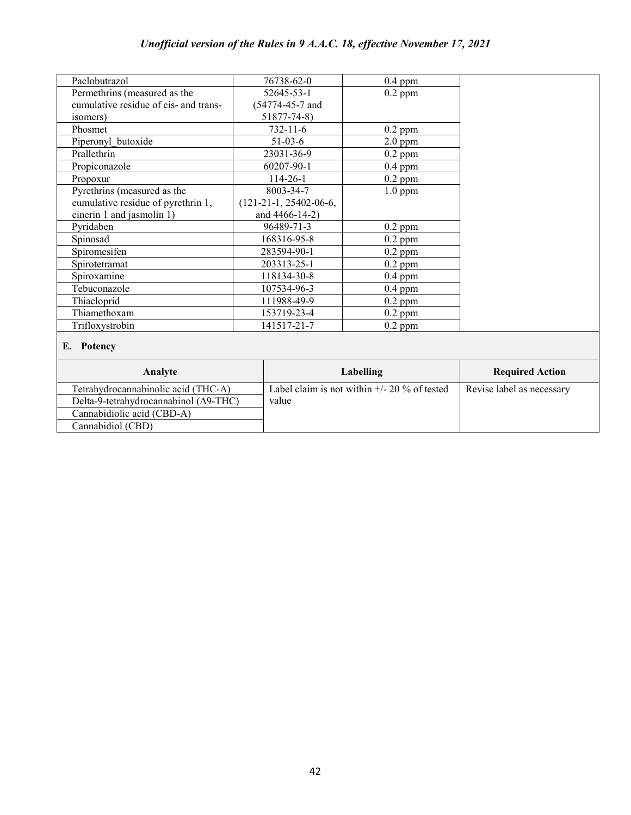| Paclobutrazol                         | 76738-62-0               | $0.4$ ppm |  |
|---------------------------------------|--------------------------|-----------|--|
| Permethrins (measured as the          | 52645-53-1               | $0.2$ ppm |  |
| cumulative residue of cis- and trans- | (54774-45-7 and          |           |  |
| isomers)                              | $51877 - 74 - 8$         |           |  |
| Phosmet                               | $732 - 11 - 6$           | $0.2$ ppm |  |
| Piperonyl butoxide                    | $51-03-6$                | $2.0$ ppm |  |
| Prallethrin                           | 23031-36-9               | $0.2$ ppm |  |
| Propiconazole                         | 60207-90-1               | $0.4$ ppm |  |
| Propoxur                              | $114 - 26 - 1$           | $0.2$ ppm |  |
| Pyrethrins (measured as the           | 8003-34-7                | $1.0$ ppm |  |
| cumulative residue of pyrethrin 1,    | $(121-21-1, 25402-06-6,$ |           |  |
| cinerin 1 and jasmolin 1)             | and 4466-14-2)           |           |  |
| Pyridaben                             | 96489-71-3               | $0.2$ ppm |  |
| Spinosad                              | 168316-95-8              | $0.2$ ppm |  |
| Spiromesifen                          | 283594-90-1              | $0.2$ ppm |  |
| Spirotetramat                         | 203313-25-1              | $0.2$ ppm |  |
| Spiroxamine                           | 118134-30-8              | $0.4$ ppm |  |
| Tebuconazole                          | 107534-96-3              | $0.4$ ppm |  |
| Thiacloprid                           | 111988-49-9              | $0.2$ ppm |  |
| Thiamethoxam                          | 153719-23-4              | $0.2$ ppm |  |
| Trifloxystrobin                       | 141517-21-7              | $0.2$ ppm |  |
| E. Potency                            |                          |           |  |

| Analyte                                       | <b>Labelling</b>                                  | <b>Required Action</b>    |  |
|-----------------------------------------------|---------------------------------------------------|---------------------------|--|
| Tetrahydrocannabinolic acid (THC-A)           | Label claim is not within $\pm$ /- 20 % of tested | Revise label as necessary |  |
| Delta-9-tetrahydrocannabinol $(\Delta 9-THC)$ | value                                             |                           |  |
| Cannabidiolic acid (CBD-A)                    |                                                   |                           |  |
| Cannabidiol (CBD)                             |                                                   |                           |  |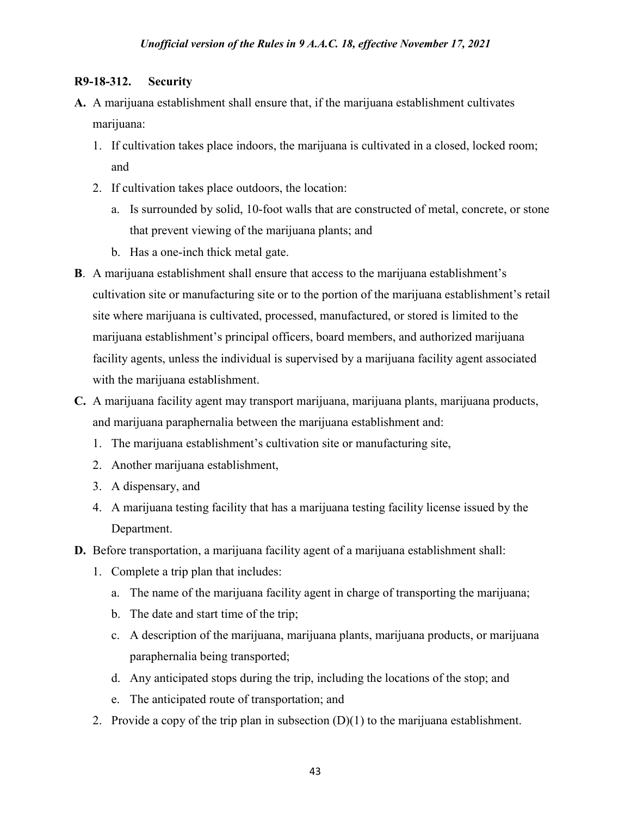### **R9-18-312. Security**

- **A.** A marijuana establishment shall ensure that, if the marijuana establishment cultivates marijuana:
	- 1. If cultivation takes place indoors, the marijuana is cultivated in a closed, locked room; and
	- 2. If cultivation takes place outdoors, the location:
		- a. Is surrounded by solid, 10-foot walls that are constructed of metal, concrete, or stone that prevent viewing of the marijuana plants; and
		- b. Has a one-inch thick metal gate.
- **B**. A marijuana establishment shall ensure that access to the marijuana establishment's cultivation site or manufacturing site or to the portion of the marijuana establishment's retail site where marijuana is cultivated, processed, manufactured, or stored is limited to the marijuana establishment's principal officers, board members, and authorized marijuana facility agents, unless the individual is supervised by a marijuana facility agent associated with the marijuana establishment.
- **C.** A marijuana facility agent may transport marijuana, marijuana plants, marijuana products, and marijuana paraphernalia between the marijuana establishment and:
	- 1. The marijuana establishment's cultivation site or manufacturing site,
	- 2. Another marijuana establishment,
	- 3. A dispensary, and
	- 4. A marijuana testing facility that has a marijuana testing facility license issued by the Department.
- **D.** Before transportation, a marijuana facility agent of a marijuana establishment shall:
	- 1. Complete a trip plan that includes:
		- a. The name of the marijuana facility agent in charge of transporting the marijuana;
		- b. The date and start time of the trip;
		- c. A description of the marijuana, marijuana plants, marijuana products, or marijuana paraphernalia being transported;
		- d. Any anticipated stops during the trip, including the locations of the stop; and
		- e. The anticipated route of transportation; and
	- 2. Provide a copy of the trip plan in subsection  $(D)(1)$  to the marijuana establishment.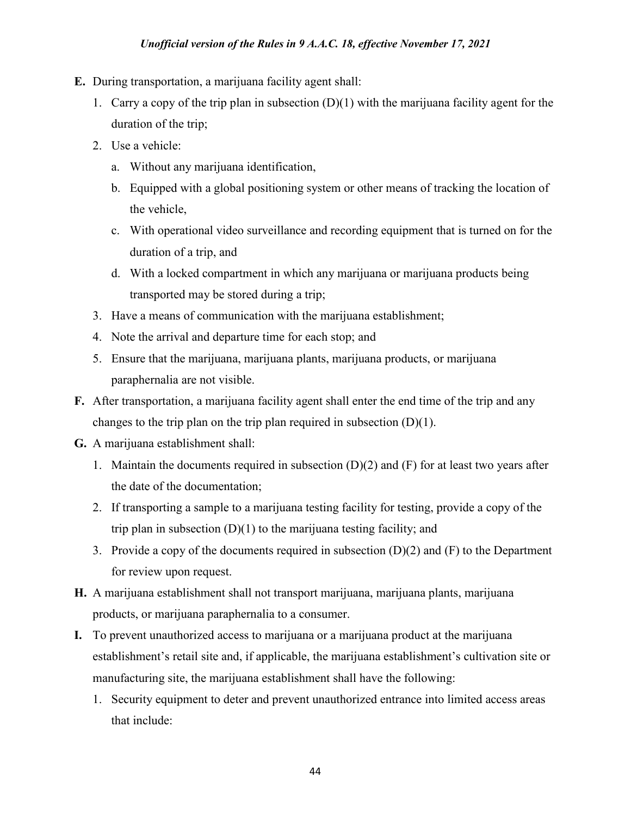#### *Unofficial version of the Rules in 9 A.A.C. 18, effective November 17, 2021*

- **E.** During transportation, a marijuana facility agent shall:
	- 1. Carry a copy of the trip plan in subsection  $(D)(1)$  with the marijuana facility agent for the duration of the trip;
	- 2. Use a vehicle:
		- a. Without any marijuana identification,
		- b. Equipped with a global positioning system or other means of tracking the location of the vehicle,
		- c. With operational video surveillance and recording equipment that is turned on for the duration of a trip, and
		- d. With a locked compartment in which any marijuana or marijuana products being transported may be stored during a trip;
	- 3. Have a means of communication with the marijuana establishment;
	- 4. Note the arrival and departure time for each stop; and
	- 5. Ensure that the marijuana, marijuana plants, marijuana products, or marijuana paraphernalia are not visible.
- **F.** After transportation, a marijuana facility agent shall enter the end time of the trip and any changes to the trip plan on the trip plan required in subsection  $(D)(1)$ .
- **G.** A marijuana establishment shall:
	- 1. Maintain the documents required in subsection  $(D)(2)$  and  $(F)$  for at least two years after the date of the documentation;
	- 2. If transporting a sample to a marijuana testing facility for testing, provide a copy of the trip plan in subsection  $(D)(1)$  to the marijuana testing facility; and
	- 3. Provide a copy of the documents required in subsection (D)(2) and (F) to the Department for review upon request.
- **H.** A marijuana establishment shall not transport marijuana, marijuana plants, marijuana products, or marijuana paraphernalia to a consumer.
- **I.** To prevent unauthorized access to marijuana or a marijuana product at the marijuana establishment's retail site and, if applicable, the marijuana establishment's cultivation site or manufacturing site, the marijuana establishment shall have the following:
	- 1. Security equipment to deter and prevent unauthorized entrance into limited access areas that include: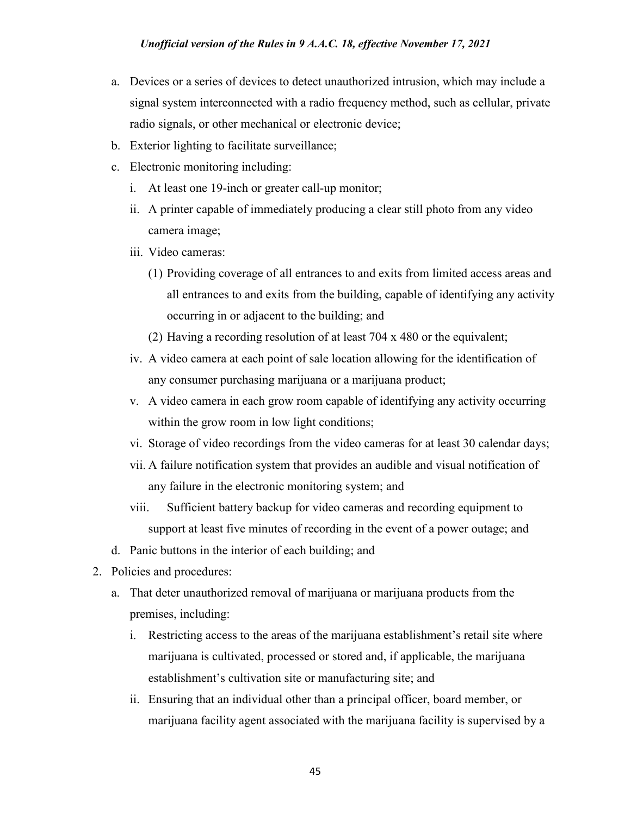- a. Devices or a series of devices to detect unauthorized intrusion, which may include a signal system interconnected with a radio frequency method, such as cellular, private radio signals, or other mechanical or electronic device;
- b. Exterior lighting to facilitate surveillance;
- c. Electronic monitoring including:
	- i. At least one 19-inch or greater call-up monitor;
	- ii. A printer capable of immediately producing a clear still photo from any video camera image;
	- iii. Video cameras:
		- (1) Providing coverage of all entrances to and exits from limited access areas and all entrances to and exits from the building, capable of identifying any activity occurring in or adjacent to the building; and
		- (2) Having a recording resolution of at least 704 x 480 or the equivalent;
	- iv. A video camera at each point of sale location allowing for the identification of any consumer purchasing marijuana or a marijuana product;
	- v. A video camera in each grow room capable of identifying any activity occurring within the grow room in low light conditions;
	- vi. Storage of video recordings from the video cameras for at least 30 calendar days;
	- vii. A failure notification system that provides an audible and visual notification of any failure in the electronic monitoring system; and
	- viii. Sufficient battery backup for video cameras and recording equipment to support at least five minutes of recording in the event of a power outage; and
- d. Panic buttons in the interior of each building; and
- 2. Policies and procedures:
	- a. That deter unauthorized removal of marijuana or marijuana products from the premises, including:
		- i. Restricting access to the areas of the marijuana establishment's retail site where marijuana is cultivated, processed or stored and, if applicable, the marijuana establishment's cultivation site or manufacturing site; and
		- ii. Ensuring that an individual other than a principal officer, board member, or marijuana facility agent associated with the marijuana facility is supervised by a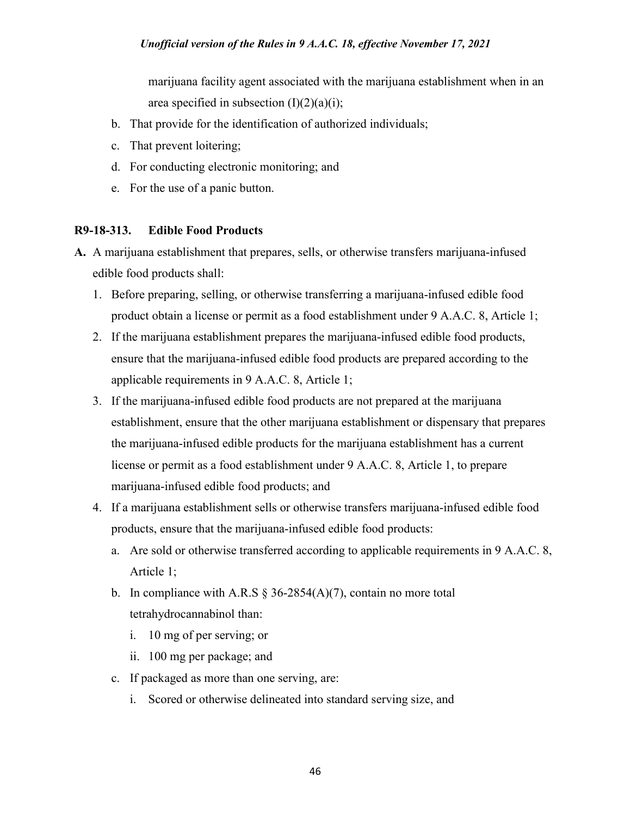marijuana facility agent associated with the marijuana establishment when in an area specified in subsection  $(I)(2)(a)(i)$ ;

- b. That provide for the identification of authorized individuals;
- c. That prevent loitering;
- d. For conducting electronic monitoring; and
- e. For the use of a panic button.

### **R9-18-313. Edible Food Products**

- **A.** A marijuana establishment that prepares, sells, or otherwise transfers marijuana-infused edible food products shall:
	- 1. Before preparing, selling, or otherwise transferring a marijuana-infused edible food product obtain a license or permit as a food establishment under 9 A.A.C. 8, Article 1;
	- 2. If the marijuana establishment prepares the marijuana-infused edible food products, ensure that the marijuana-infused edible food products are prepared according to the applicable requirements in 9 A.A.C. 8, Article 1;
	- 3. If the marijuana-infused edible food products are not prepared at the marijuana establishment, ensure that the other marijuana establishment or dispensary that prepares the marijuana-infused edible products for the marijuana establishment has a current license or permit as a food establishment under 9 A.A.C. 8, Article 1, to prepare marijuana-infused edible food products; and
	- 4. If a marijuana establishment sells or otherwise transfers marijuana-infused edible food products, ensure that the marijuana-infused edible food products:
		- a. Are sold or otherwise transferred according to applicable requirements in 9 A.A.C. 8, Article 1;
		- b. In compliance with A.R.S  $\S$  36-2854(A)(7), contain no more total tetrahydrocannabinol than:
			- i. 10 mg of per serving; or
			- ii. 100 mg per package; and
		- c. If packaged as more than one serving, are:
			- i. Scored or otherwise delineated into standard serving size, and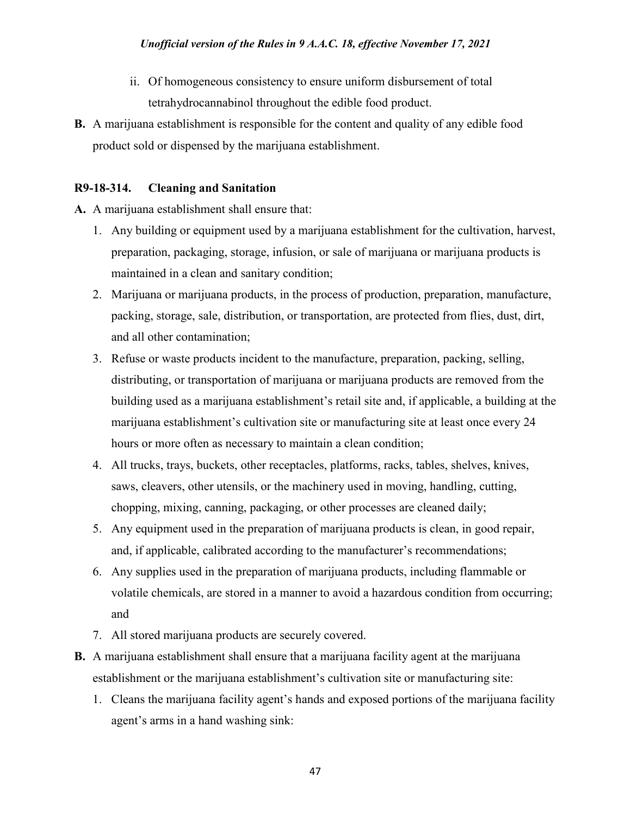- ii. Of homogeneous consistency to ensure uniform disbursement of total tetrahydrocannabinol throughout the edible food product.
- **B.** A marijuana establishment is responsible for the content and quality of any edible food product sold or dispensed by the marijuana establishment.

# **R9-18-314. Cleaning and Sanitation**

**A.** A marijuana establishment shall ensure that:

- 1. Any building or equipment used by a marijuana establishment for the cultivation, harvest, preparation, packaging, storage, infusion, or sale of marijuana or marijuana products is maintained in a clean and sanitary condition;
- 2. Marijuana or marijuana products, in the process of production, preparation, manufacture, packing, storage, sale, distribution, or transportation, are protected from flies, dust, dirt, and all other contamination;
- 3. Refuse or waste products incident to the manufacture, preparation, packing, selling, distributing, or transportation of marijuana or marijuana products are removed from the building used as a marijuana establishment's retail site and, if applicable, a building at the marijuana establishment's cultivation site or manufacturing site at least once every 24 hours or more often as necessary to maintain a clean condition;
- 4. All trucks, trays, buckets, other receptacles, platforms, racks, tables, shelves, knives, saws, cleavers, other utensils, or the machinery used in moving, handling, cutting, chopping, mixing, canning, packaging, or other processes are cleaned daily;
- 5. Any equipment used in the preparation of marijuana products is clean, in good repair, and, if applicable, calibrated according to the manufacturer's recommendations;
- 6. Any supplies used in the preparation of marijuana products, including flammable or volatile chemicals, are stored in a manner to avoid a hazardous condition from occurring; and
- 7. All stored marijuana products are securely covered.
- **B.** A marijuana establishment shall ensure that a marijuana facility agent at the marijuana establishment or the marijuana establishment's cultivation site or manufacturing site:
	- 1. Cleans the marijuana facility agent's hands and exposed portions of the marijuana facility agent's arms in a hand washing sink: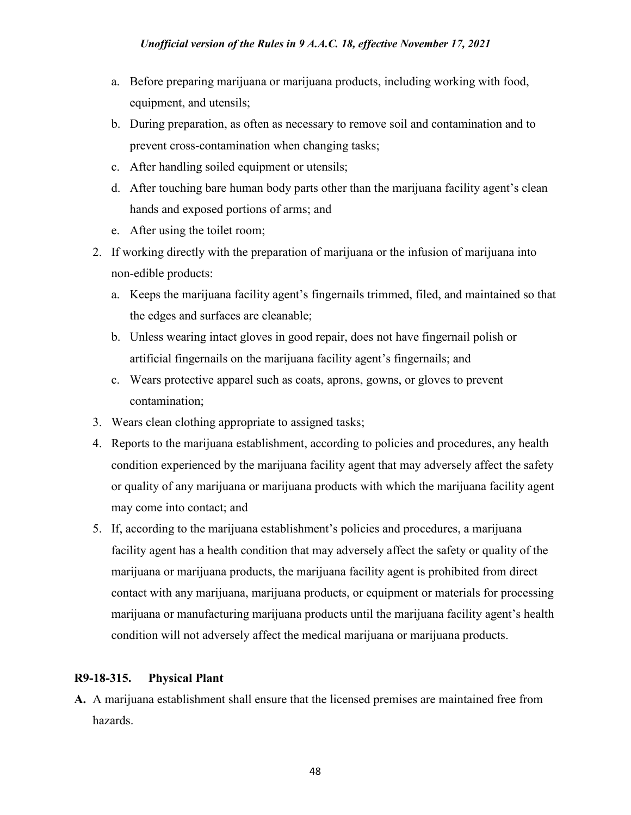- a. Before preparing marijuana or marijuana products, including working with food, equipment, and utensils;
- b. During preparation, as often as necessary to remove soil and contamination and to prevent cross-contamination when changing tasks;
- c. After handling soiled equipment or utensils;
- d. After touching bare human body parts other than the marijuana facility agent's clean hands and exposed portions of arms; and
- e. After using the toilet room;
- 2. If working directly with the preparation of marijuana or the infusion of marijuana into non-edible products:
	- a. Keeps the marijuana facility agent's fingernails trimmed, filed, and maintained so that the edges and surfaces are cleanable;
	- b. Unless wearing intact gloves in good repair, does not have fingernail polish or artificial fingernails on the marijuana facility agent's fingernails; and
	- c. Wears protective apparel such as coats, aprons, gowns, or gloves to prevent contamination;
- 3. Wears clean clothing appropriate to assigned tasks;
- 4. Reports to the marijuana establishment, according to policies and procedures, any health condition experienced by the marijuana facility agent that may adversely affect the safety or quality of any marijuana or marijuana products with which the marijuana facility agent may come into contact; and
- 5. If, according to the marijuana establishment's policies and procedures, a marijuana facility agent has a health condition that may adversely affect the safety or quality of the marijuana or marijuana products, the marijuana facility agent is prohibited from direct contact with any marijuana, marijuana products, or equipment or materials for processing marijuana or manufacturing marijuana products until the marijuana facility agent's health condition will not adversely affect the medical marijuana or marijuana products.

### **R9-18-315. Physical Plant**

**A.** A marijuana establishment shall ensure that the licensed premises are maintained free from hazards.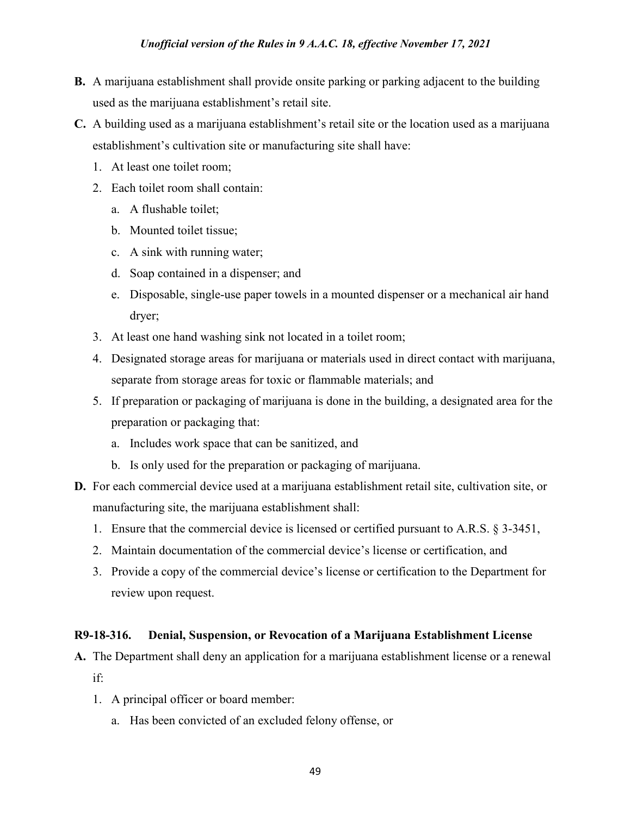- **B.** A marijuana establishment shall provide onsite parking or parking adjacent to the building used as the marijuana establishment's retail site.
- **C.** A building used as a marijuana establishment's retail site or the location used as a marijuana establishment's cultivation site or manufacturing site shall have:
	- 1. At least one toilet room;
	- 2. Each toilet room shall contain:
		- a. A flushable toilet;
		- b. Mounted toilet tissue;
		- c. A sink with running water;
		- d. Soap contained in a dispenser; and
		- e. Disposable, single-use paper towels in a mounted dispenser or a mechanical air hand dryer;
	- 3. At least one hand washing sink not located in a toilet room;
	- 4. Designated storage areas for marijuana or materials used in direct contact with marijuana, separate from storage areas for toxic or flammable materials; and
	- 5. If preparation or packaging of marijuana is done in the building, a designated area for the preparation or packaging that:
		- a. Includes work space that can be sanitized, and
		- b. Is only used for the preparation or packaging of marijuana.
- **D.** For each commercial device used at a marijuana establishment retail site, cultivation site, or manufacturing site, the marijuana establishment shall:
	- 1. Ensure that the commercial device is licensed or certified pursuant to A.R.S. § 3-3451,
	- 2. Maintain documentation of the commercial device's license or certification, and
	- 3. Provide a copy of the commercial device's license or certification to the Department for review upon request.

# **R9-18-316. Denial, Suspension, or Revocation of a Marijuana Establishment License**

- **A.** The Department shall deny an application for a marijuana establishment license or a renewal if:
	- 1. A principal officer or board member:
		- a. Has been convicted of an excluded felony offense, or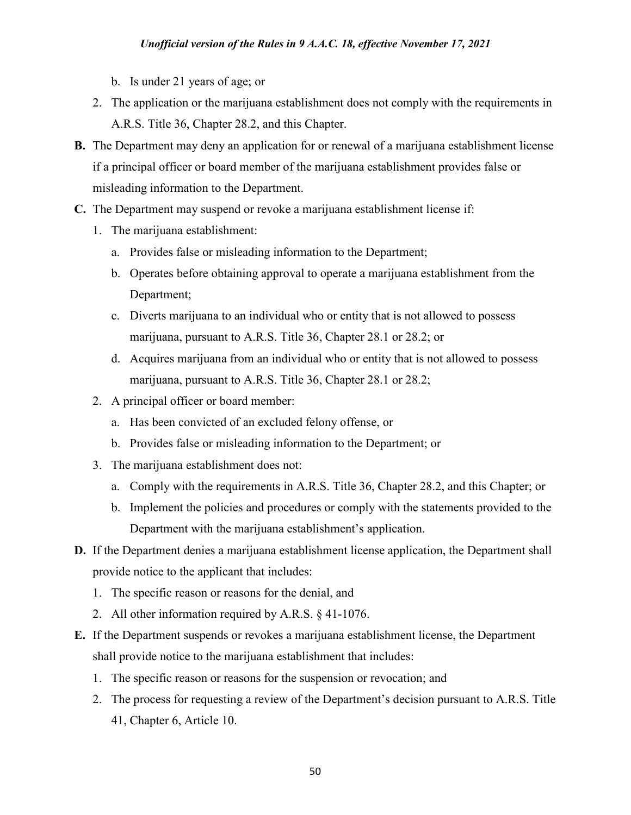- b. Is under 21 years of age; or
- 2. The application or the marijuana establishment does not comply with the requirements in A.R.S. Title 36, Chapter 28.2, and this Chapter.
- **B.** The Department may deny an application for or renewal of a marijuana establishment license if a principal officer or board member of the marijuana establishment provides false or misleading information to the Department.
- **C.** The Department may suspend or revoke a marijuana establishment license if:
	- 1. The marijuana establishment:
		- a. Provides false or misleading information to the Department;
		- b. Operates before obtaining approval to operate a marijuana establishment from the Department;
		- c. Diverts marijuana to an individual who or entity that is not allowed to possess marijuana, pursuant to A.R.S. Title 36, Chapter 28.1 or 28.2; or
		- d. Acquires marijuana from an individual who or entity that is not allowed to possess marijuana, pursuant to A.R.S. Title 36, Chapter 28.1 or 28.2;
	- 2. A principal officer or board member:
		- a. Has been convicted of an excluded felony offense, or
		- b. Provides false or misleading information to the Department; or
	- 3. The marijuana establishment does not:
		- a. Comply with the requirements in A.R.S. Title 36, Chapter 28.2, and this Chapter; or
		- b. Implement the policies and procedures or comply with the statements provided to the Department with the marijuana establishment's application.
- **D.** If the Department denies a marijuana establishment license application, the Department shall provide notice to the applicant that includes:
	- 1. The specific reason or reasons for the denial, and
	- 2. All other information required by A.R.S. § 41-1076.
- **E.** If the Department suspends or revokes a marijuana establishment license, the Department shall provide notice to the marijuana establishment that includes:
	- 1. The specific reason or reasons for the suspension or revocation; and
	- 2. The process for requesting a review of the Department's decision pursuant to A.R.S. Title 41, Chapter 6, Article 10.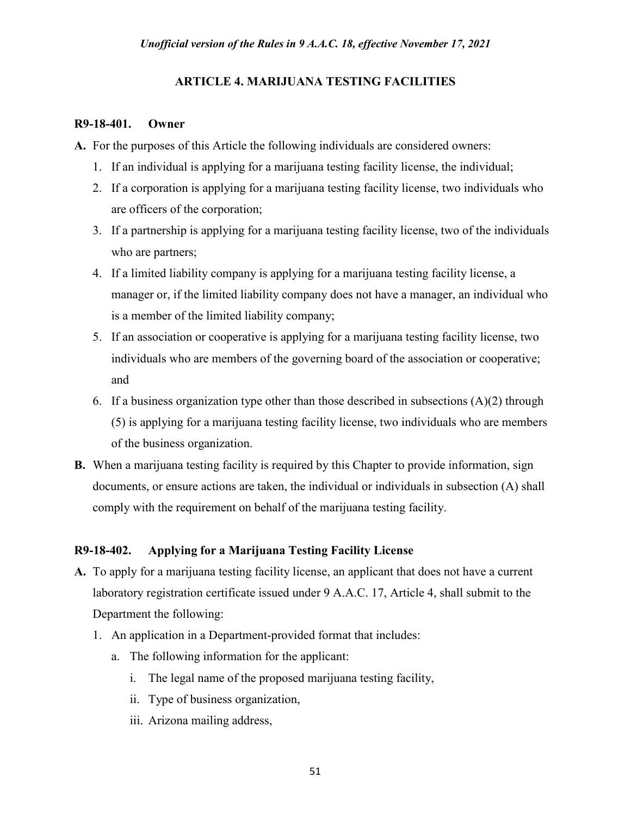### **ARTICLE 4. MARIJUANA TESTING FACILITIES**

#### **R9-18-401. Owner**

**A.** For the purposes of this Article the following individuals are considered owners:

- 1. If an individual is applying for a marijuana testing facility license, the individual;
- 2. If a corporation is applying for a marijuana testing facility license, two individuals who are officers of the corporation;
- 3. If a partnership is applying for a marijuana testing facility license, two of the individuals who are partners;
- 4. If a limited liability company is applying for a marijuana testing facility license, a manager or, if the limited liability company does not have a manager, an individual who is a member of the limited liability company;
- 5. If an association or cooperative is applying for a marijuana testing facility license, two individuals who are members of the governing board of the association or cooperative; and
- 6. If a business organization type other than those described in subsections  $(A)(2)$  through (5) is applying for a marijuana testing facility license, two individuals who are members of the business organization.
- **B.** When a marijuana testing facility is required by this Chapter to provide information, sign documents, or ensure actions are taken, the individual or individuals in subsection (A) shall comply with the requirement on behalf of the marijuana testing facility.

# **R9-18-402. Applying for a Marijuana Testing Facility License**

- **A.** To apply for a marijuana testing facility license, an applicant that does not have a current laboratory registration certificate issued under 9 A.A.C. 17, Article 4, shall submit to the Department the following:
	- 1. An application in a Department-provided format that includes:
		- a. The following information for the applicant:
			- i. The legal name of the proposed marijuana testing facility,
			- ii. Type of business organization,
			- iii. Arizona mailing address,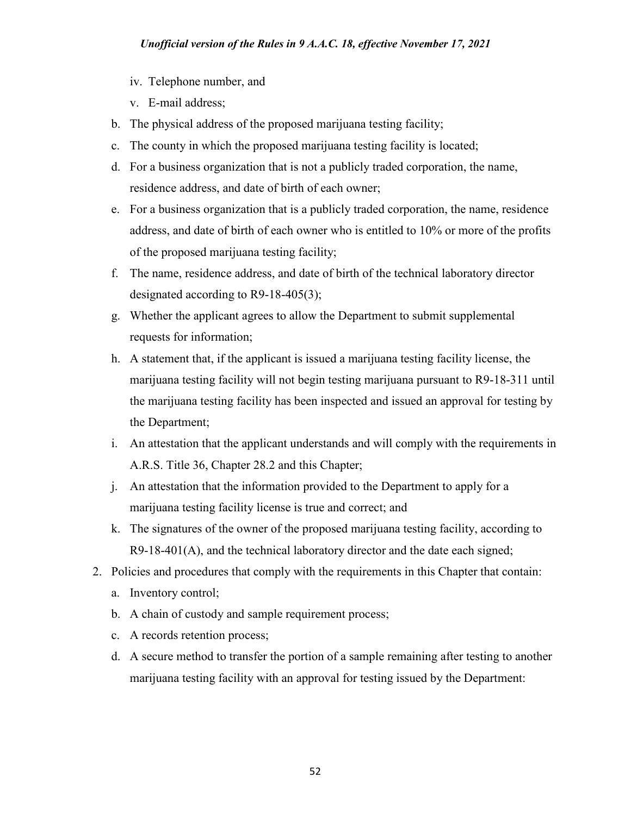- iv. Telephone number, and
- v. E-mail address;
- b. The physical address of the proposed marijuana testing facility;
- c. The county in which the proposed marijuana testing facility is located;
- d. For a business organization that is not a publicly traded corporation, the name, residence address, and date of birth of each owner;
- e. For a business organization that is a publicly traded corporation, the name, residence address, and date of birth of each owner who is entitled to 10% or more of the profits of the proposed marijuana testing facility;
- f. The name, residence address, and date of birth of the technical laboratory director designated according to R9-18-405(3);
- g. Whether the applicant agrees to allow the Department to submit supplemental requests for information;
- h. A statement that, if the applicant is issued a marijuana testing facility license, the marijuana testing facility will not begin testing marijuana pursuant to R9-18-311 until the marijuana testing facility has been inspected and issued an approval for testing by the Department;
- i. An attestation that the applicant understands and will comply with the requirements in A.R.S. Title 36, Chapter 28.2 and this Chapter;
- j. An attestation that the information provided to the Department to apply for a marijuana testing facility license is true and correct; and
- k. The signatures of the owner of the proposed marijuana testing facility, according to R9-18-401(A), and the technical laboratory director and the date each signed;
- 2. Policies and procedures that comply with the requirements in this Chapter that contain:
	- a. Inventory control;
	- b. A chain of custody and sample requirement process;
	- c. A records retention process;
	- d. A secure method to transfer the portion of a sample remaining after testing to another marijuana testing facility with an approval for testing issued by the Department: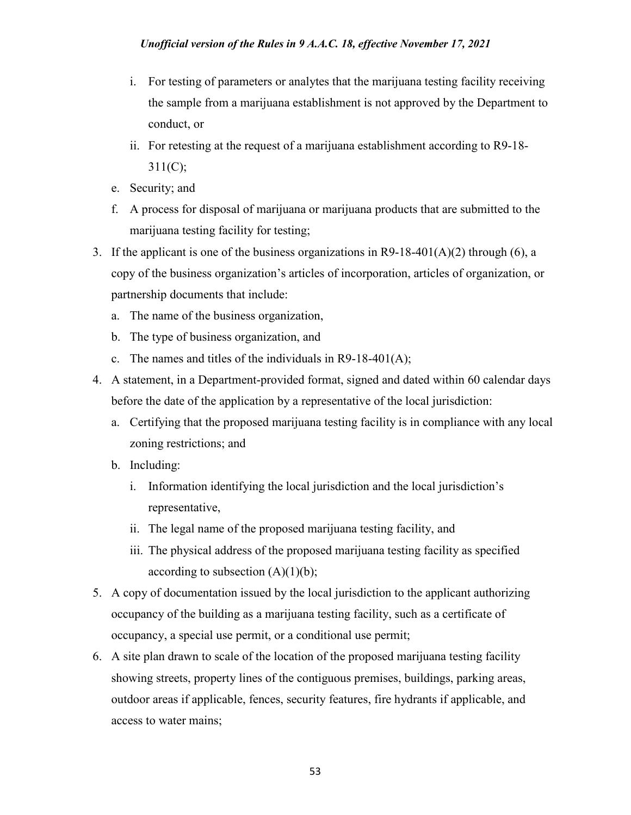- i. For testing of parameters or analytes that the marijuana testing facility receiving the sample from a marijuana establishment is not approved by the Department to conduct, or
- ii. For retesting at the request of a marijuana establishment according to R9-18-  $311(C);$
- e. Security; and
- f. A process for disposal of marijuana or marijuana products that are submitted to the marijuana testing facility for testing;
- 3. If the applicant is one of the business organizations in R9-18-401(A)(2) through (6), a copy of the business organization's articles of incorporation, articles of organization, or partnership documents that include:
	- a. The name of the business organization,
	- b. The type of business organization, and
	- c. The names and titles of the individuals in R9-18-401(A);
- 4. A statement, in a Department-provided format, signed and dated within 60 calendar days before the date of the application by a representative of the local jurisdiction:
	- a. Certifying that the proposed marijuana testing facility is in compliance with any local zoning restrictions; and
	- b. Including:
		- i. Information identifying the local jurisdiction and the local jurisdiction's representative,
		- ii. The legal name of the proposed marijuana testing facility, and
		- iii. The physical address of the proposed marijuana testing facility as specified according to subsection  $(A)(1)(b)$ ;
- 5. A copy of documentation issued by the local jurisdiction to the applicant authorizing occupancy of the building as a marijuana testing facility, such as a certificate of occupancy, a special use permit, or a conditional use permit;
- 6. A site plan drawn to scale of the location of the proposed marijuana testing facility showing streets, property lines of the contiguous premises, buildings, parking areas, outdoor areas if applicable, fences, security features, fire hydrants if applicable, and access to water mains;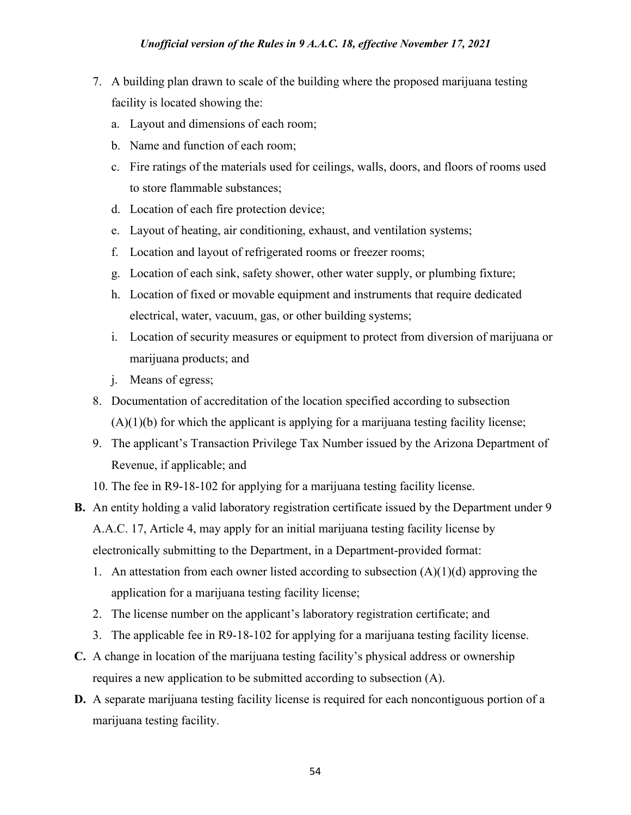- 7. A building plan drawn to scale of the building where the proposed marijuana testing facility is located showing the:
	- a. Layout and dimensions of each room;
	- b. Name and function of each room;
	- c. Fire ratings of the materials used for ceilings, walls, doors, and floors of rooms used to store flammable substances;
	- d. Location of each fire protection device;
	- e. Layout of heating, air conditioning, exhaust, and ventilation systems;
	- f. Location and layout of refrigerated rooms or freezer rooms;
	- g. Location of each sink, safety shower, other water supply, or plumbing fixture;
	- h. Location of fixed or movable equipment and instruments that require dedicated electrical, water, vacuum, gas, or other building systems;
	- i. Location of security measures or equipment to protect from diversion of marijuana or marijuana products; and
	- j. Means of egress;
- 8. Documentation of accreditation of the location specified according to subsection  $(A)(1)(b)$  for which the applicant is applying for a marijuana testing facility license;
- 9. The applicant's Transaction Privilege Tax Number issued by the Arizona Department of Revenue, if applicable; and
- 10. The fee in R9-18-102 for applying for a marijuana testing facility license.
- **B.** An entity holding a valid laboratory registration certificate issued by the Department under 9 A.A.C. 17, Article 4, may apply for an initial marijuana testing facility license by electronically submitting to the Department, in a Department-provided format:
	- 1. An attestation from each owner listed according to subsection  $(A)(1)(d)$  approving the application for a marijuana testing facility license;
	- 2. The license number on the applicant's laboratory registration certificate; and
	- 3. The applicable fee in R9-18-102 for applying for a marijuana testing facility license.
- **C.** A change in location of the marijuana testing facility's physical address or ownership requires a new application to be submitted according to subsection (A).
- **D.** A separate marijuana testing facility license is required for each noncontiguous portion of a marijuana testing facility.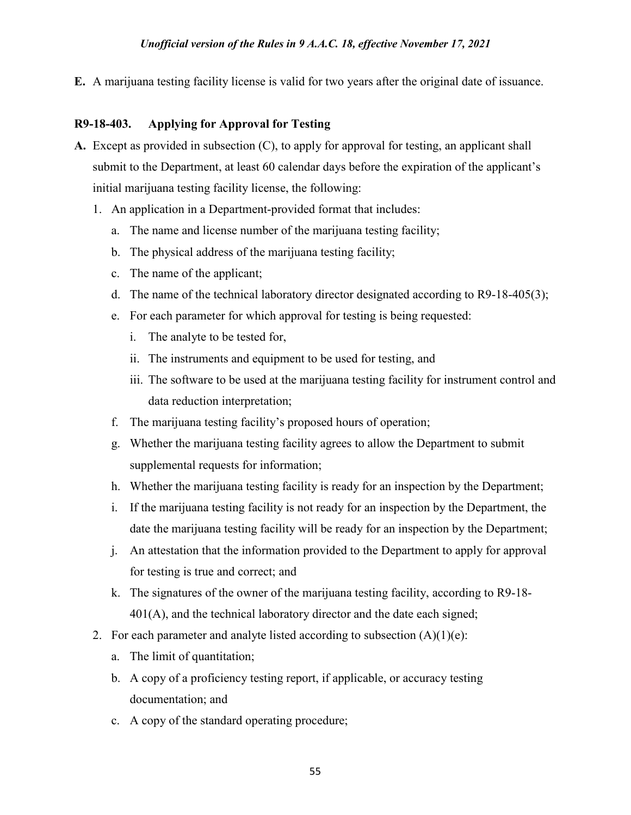**E.** A marijuana testing facility license is valid for two years after the original date of issuance.

#### **R9-18-403. Applying for Approval for Testing**

- **A.** Except as provided in subsection (C), to apply for approval for testing, an applicant shall submit to the Department, at least 60 calendar days before the expiration of the applicant's initial marijuana testing facility license, the following:
	- 1. An application in a Department-provided format that includes:
		- a. The name and license number of the marijuana testing facility;
		- b. The physical address of the marijuana testing facility;
		- c. The name of the applicant;
		- d. The name of the technical laboratory director designated according to R9-18-405(3);
		- e. For each parameter for which approval for testing is being requested:
			- i. The analyte to be tested for,
			- ii. The instruments and equipment to be used for testing, and
			- iii. The software to be used at the marijuana testing facility for instrument control and data reduction interpretation;
		- f. The marijuana testing facility's proposed hours of operation;
		- g. Whether the marijuana testing facility agrees to allow the Department to submit supplemental requests for information;
		- h. Whether the marijuana testing facility is ready for an inspection by the Department;
		- i. If the marijuana testing facility is not ready for an inspection by the Department, the date the marijuana testing facility will be ready for an inspection by the Department;
		- j. An attestation that the information provided to the Department to apply for approval for testing is true and correct; and
		- k. The signatures of the owner of the marijuana testing facility, according to R9-18- 401(A), and the technical laboratory director and the date each signed;
	- 2. For each parameter and analyte listed according to subsection  $(A)(1)(e)$ :
		- a. The limit of quantitation;
		- b. A copy of a proficiency testing report, if applicable, or accuracy testing documentation; and
		- c. A copy of the standard operating procedure;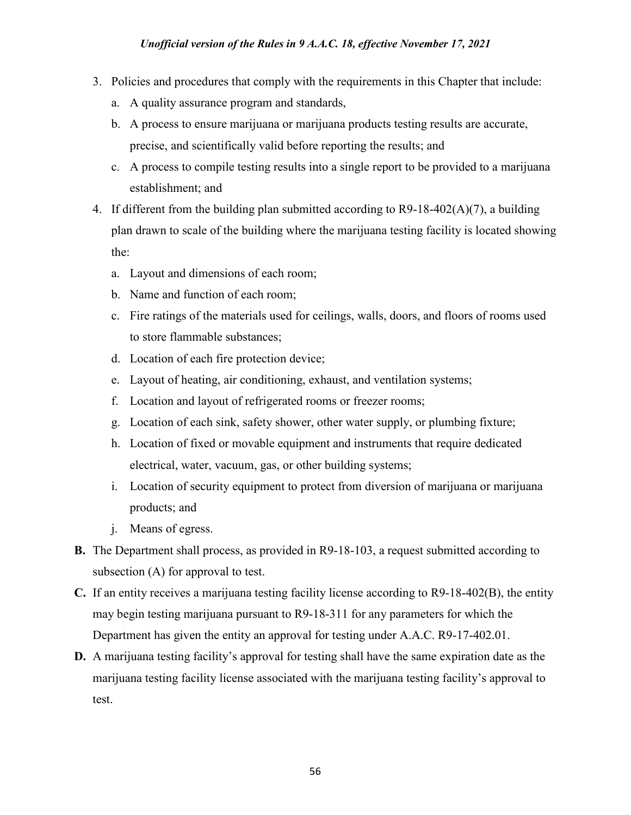- 3. Policies and procedures that comply with the requirements in this Chapter that include:
	- a. A quality assurance program and standards,
	- b. A process to ensure marijuana or marijuana products testing results are accurate, precise, and scientifically valid before reporting the results; and
	- c. A process to compile testing results into a single report to be provided to a marijuana establishment; and
- 4. If different from the building plan submitted according to R9-18-402( $A$ )(7), a building plan drawn to scale of the building where the marijuana testing facility is located showing the:
	- a. Layout and dimensions of each room;
	- b. Name and function of each room;
	- c. Fire ratings of the materials used for ceilings, walls, doors, and floors of rooms used to store flammable substances;
	- d. Location of each fire protection device;
	- e. Layout of heating, air conditioning, exhaust, and ventilation systems;
	- f. Location and layout of refrigerated rooms or freezer rooms;
	- g. Location of each sink, safety shower, other water supply, or plumbing fixture;
	- h. Location of fixed or movable equipment and instruments that require dedicated electrical, water, vacuum, gas, or other building systems;
	- i. Location of security equipment to protect from diversion of marijuana or marijuana products; and
	- j. Means of egress.
- **B.** The Department shall process, as provided in R9-18-103, a request submitted according to subsection (A) for approval to test.
- **C.** If an entity receives a marijuana testing facility license according to R9-18-402(B), the entity may begin testing marijuana pursuant to R9-18-311 for any parameters for which the Department has given the entity an approval for testing under A.A.C. R9-17-402.01.
- **D.** A marijuana testing facility's approval for testing shall have the same expiration date as the marijuana testing facility license associated with the marijuana testing facility's approval to test.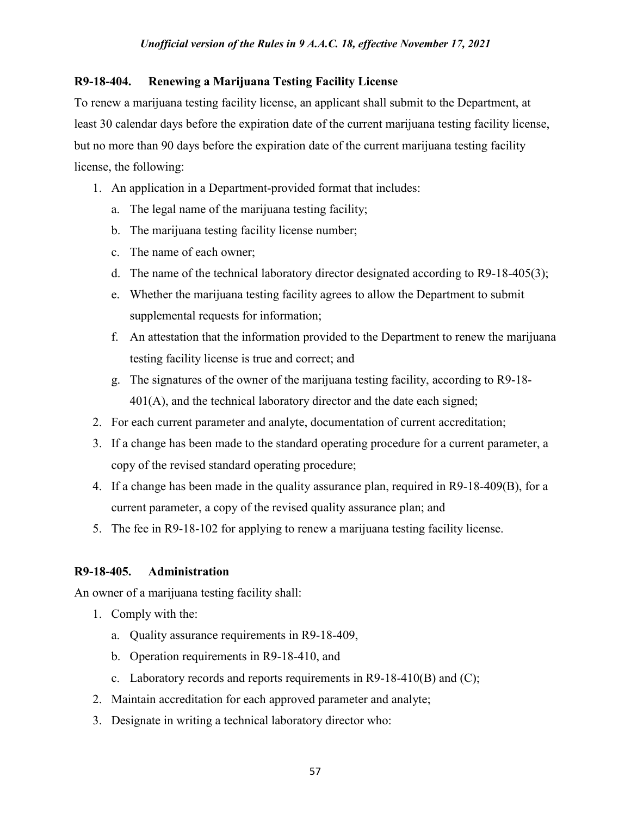#### **R9-18-404. Renewing a Marijuana Testing Facility License**

To renew a marijuana testing facility license, an applicant shall submit to the Department, at least 30 calendar days before the expiration date of the current marijuana testing facility license, but no more than 90 days before the expiration date of the current marijuana testing facility license, the following:

- 1. An application in a Department-provided format that includes:
	- a. The legal name of the marijuana testing facility;
	- b. The marijuana testing facility license number;
	- c. The name of each owner;
	- d. The name of the technical laboratory director designated according to R9-18-405(3);
	- e. Whether the marijuana testing facility agrees to allow the Department to submit supplemental requests for information;
	- f. An attestation that the information provided to the Department to renew the marijuana testing facility license is true and correct; and
	- g. The signatures of the owner of the marijuana testing facility, according to R9-18- 401(A), and the technical laboratory director and the date each signed;
- 2. For each current parameter and analyte, documentation of current accreditation;
- 3. If a change has been made to the standard operating procedure for a current parameter, a copy of the revised standard operating procedure;
- 4. If a change has been made in the quality assurance plan, required in R9-18-409(B), for a current parameter, a copy of the revised quality assurance plan; and
- 5. The fee in R9-18-102 for applying to renew a marijuana testing facility license.

### **R9-18-405. Administration**

An owner of a marijuana testing facility shall:

- 1. Comply with the:
	- a. Quality assurance requirements in R9-18-409,
	- b. Operation requirements in R9-18-410, and
	- c. Laboratory records and reports requirements in R9-18-410(B) and (C);
- 2. Maintain accreditation for each approved parameter and analyte;
- 3. Designate in writing a technical laboratory director who: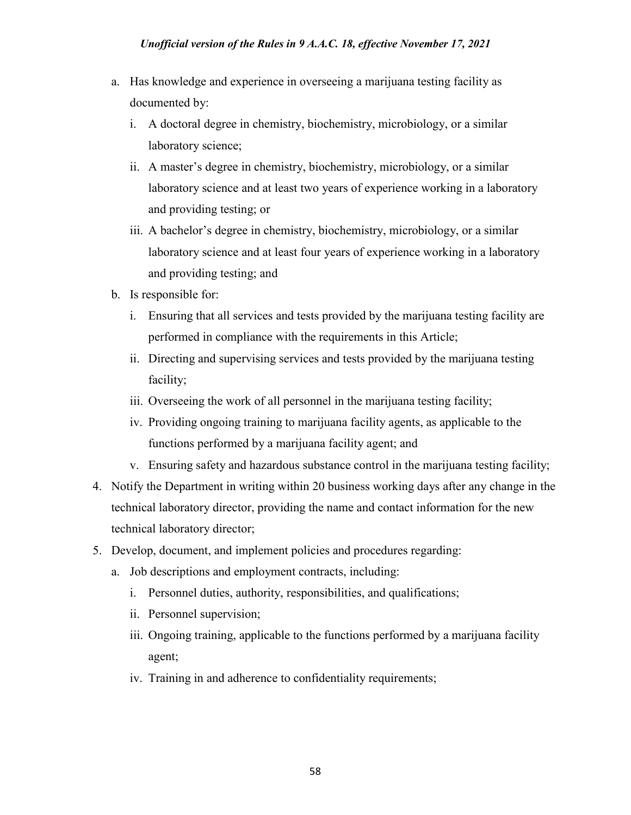- a. Has knowledge and experience in overseeing a marijuana testing facility as documented by:
	- i. A doctoral degree in chemistry, biochemistry, microbiology, or a similar laboratory science;
	- ii. A master's degree in chemistry, biochemistry, microbiology, or a similar laboratory science and at least two years of experience working in a laboratory and providing testing; or
	- iii. A bachelor's degree in chemistry, biochemistry, microbiology, or a similar laboratory science and at least four years of experience working in a laboratory and providing testing; and
- b. Is responsible for:
	- i. Ensuring that all services and tests provided by the marijuana testing facility are performed in compliance with the requirements in this Article;
	- ii. Directing and supervising services and tests provided by the marijuana testing facility;
	- iii. Overseeing the work of all personnel in the marijuana testing facility;
	- iv. Providing ongoing training to marijuana facility agents, as applicable to the functions performed by a marijuana facility agent; and
	- v. Ensuring safety and hazardous substance control in the marijuana testing facility;
- 4. Notify the Department in writing within 20 business working days after any change in the technical laboratory director, providing the name and contact information for the new technical laboratory director;
- 5. Develop, document, and implement policies and procedures regarding:
	- a. Job descriptions and employment contracts, including:
		- i. Personnel duties, authority, responsibilities, and qualifications;
		- ii. Personnel supervision;
		- iii. Ongoing training, applicable to the functions performed by a marijuana facility agent;
		- iv. Training in and adherence to confidentiality requirements;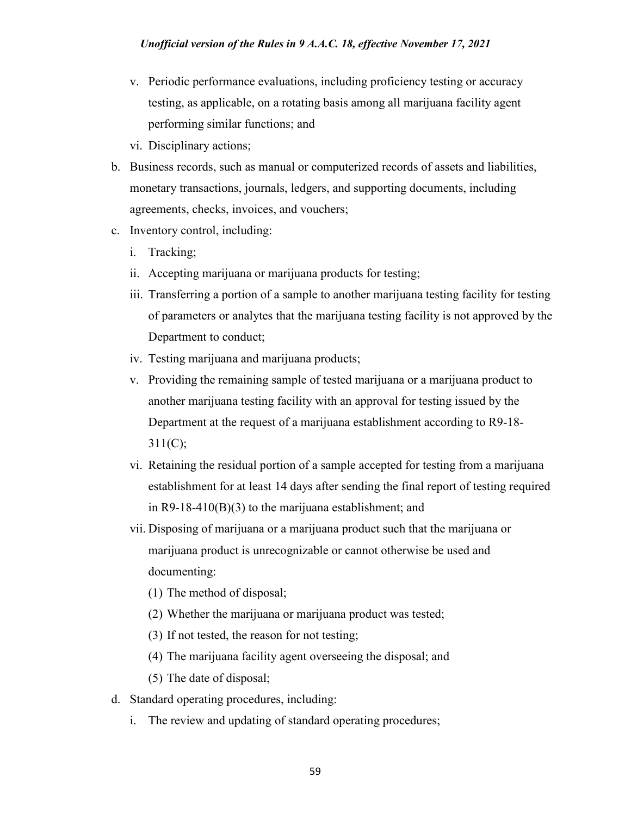- v. Periodic performance evaluations, including proficiency testing or accuracy testing, as applicable, on a rotating basis among all marijuana facility agent performing similar functions; and
- vi. Disciplinary actions;
- b. Business records, such as manual or computerized records of assets and liabilities, monetary transactions, journals, ledgers, and supporting documents, including agreements, checks, invoices, and vouchers;
- c. Inventory control, including:
	- i. Tracking;
	- ii. Accepting marijuana or marijuana products for testing;
	- iii. Transferring a portion of a sample to another marijuana testing facility for testing of parameters or analytes that the marijuana testing facility is not approved by the Department to conduct;
	- iv. Testing marijuana and marijuana products;
	- v. Providing the remaining sample of tested marijuana or a marijuana product to another marijuana testing facility with an approval for testing issued by the Department at the request of a marijuana establishment according to R9-18- 311(C);
	- vi. Retaining the residual portion of a sample accepted for testing from a marijuana establishment for at least 14 days after sending the final report of testing required in R9-18-410(B)(3) to the marijuana establishment; and
	- vii. Disposing of marijuana or a marijuana product such that the marijuana or marijuana product is unrecognizable or cannot otherwise be used and documenting:
		- (1) The method of disposal;
		- (2) Whether the marijuana or marijuana product was tested;
		- (3) If not tested, the reason for not testing;
		- (4) The marijuana facility agent overseeing the disposal; and

(5) The date of disposal;

- d. Standard operating procedures, including:
	- i. The review and updating of standard operating procedures;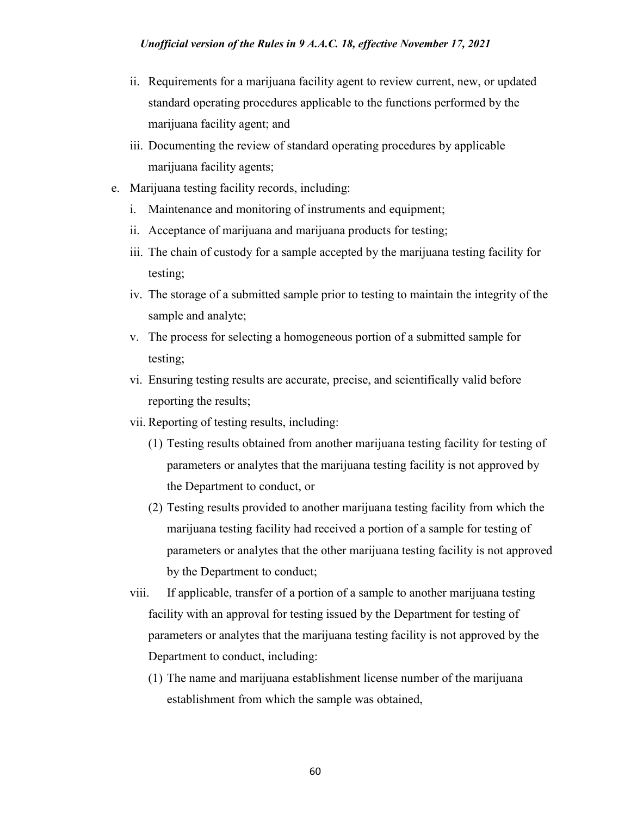- ii. Requirements for a marijuana facility agent to review current, new, or updated standard operating procedures applicable to the functions performed by the marijuana facility agent; and
- iii. Documenting the review of standard operating procedures by applicable marijuana facility agents;
- e. Marijuana testing facility records, including:
	- i. Maintenance and monitoring of instruments and equipment;
	- ii. Acceptance of marijuana and marijuana products for testing;
	- iii. The chain of custody for a sample accepted by the marijuana testing facility for testing;
	- iv. The storage of a submitted sample prior to testing to maintain the integrity of the sample and analyte;
	- v. The process for selecting a homogeneous portion of a submitted sample for testing;
	- vi. Ensuring testing results are accurate, precise, and scientifically valid before reporting the results;
	- vii. Reporting of testing results, including:
		- (1) Testing results obtained from another marijuana testing facility for testing of parameters or analytes that the marijuana testing facility is not approved by the Department to conduct, or
		- (2) Testing results provided to another marijuana testing facility from which the marijuana testing facility had received a portion of a sample for testing of parameters or analytes that the other marijuana testing facility is not approved by the Department to conduct;
	- viii. If applicable, transfer of a portion of a sample to another marijuana testing facility with an approval for testing issued by the Department for testing of parameters or analytes that the marijuana testing facility is not approved by the Department to conduct, including:
		- (1) The name and marijuana establishment license number of the marijuana establishment from which the sample was obtained,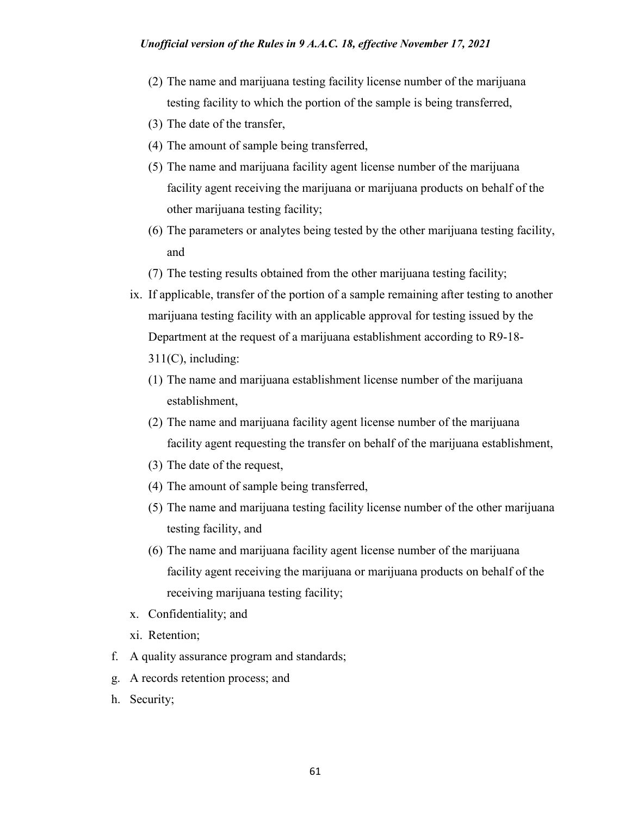- (2) The name and marijuana testing facility license number of the marijuana testing facility to which the portion of the sample is being transferred,
- (3) The date of the transfer,
- (4) The amount of sample being transferred,
- (5) The name and marijuana facility agent license number of the marijuana facility agent receiving the marijuana or marijuana products on behalf of the other marijuana testing facility;
- (6) The parameters or analytes being tested by the other marijuana testing facility, and
- (7) The testing results obtained from the other marijuana testing facility;
- ix. If applicable, transfer of the portion of a sample remaining after testing to another marijuana testing facility with an applicable approval for testing issued by the Department at the request of a marijuana establishment according to R9-18- 311(C), including:
	- (1) The name and marijuana establishment license number of the marijuana establishment,
	- (2) The name and marijuana facility agent license number of the marijuana facility agent requesting the transfer on behalf of the marijuana establishment,
	- (3) The date of the request,
	- (4) The amount of sample being transferred,
	- (5) The name and marijuana testing facility license number of the other marijuana testing facility, and
	- (6) The name and marijuana facility agent license number of the marijuana facility agent receiving the marijuana or marijuana products on behalf of the receiving marijuana testing facility;
- x. Confidentiality; and
- xi. Retention;
- f. A quality assurance program and standards;
- g. A records retention process; and
- h. Security;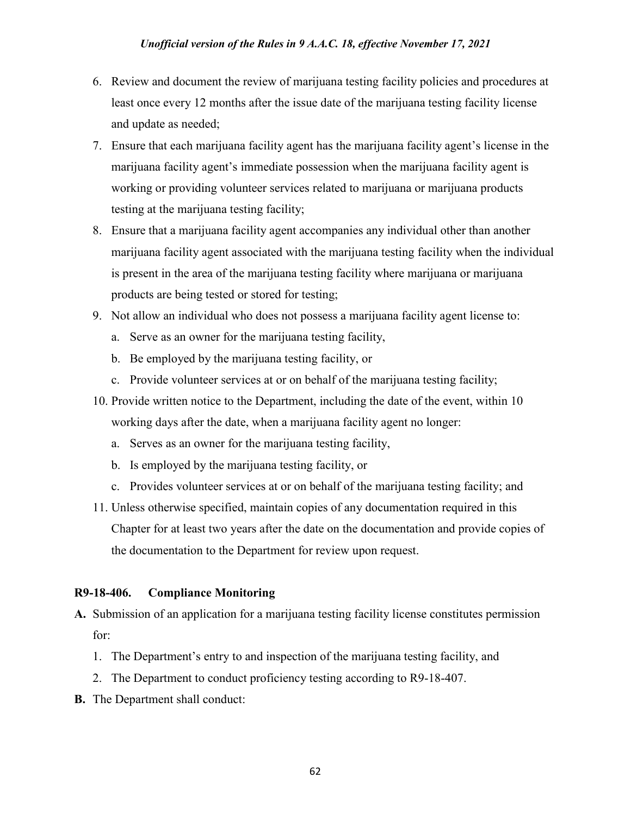- 6. Review and document the review of marijuana testing facility policies and procedures at least once every 12 months after the issue date of the marijuana testing facility license and update as needed;
- 7. Ensure that each marijuana facility agent has the marijuana facility agent's license in the marijuana facility agent's immediate possession when the marijuana facility agent is working or providing volunteer services related to marijuana or marijuana products testing at the marijuana testing facility;
- 8. Ensure that a marijuana facility agent accompanies any individual other than another marijuana facility agent associated with the marijuana testing facility when the individual is present in the area of the marijuana testing facility where marijuana or marijuana products are being tested or stored for testing;
- 9. Not allow an individual who does not possess a marijuana facility agent license to:
	- a. Serve as an owner for the marijuana testing facility,
	- b. Be employed by the marijuana testing facility, or
	- c. Provide volunteer services at or on behalf of the marijuana testing facility;
- 10. Provide written notice to the Department, including the date of the event, within 10 working days after the date, when a marijuana facility agent no longer:
	- a. Serves as an owner for the marijuana testing facility,
	- b. Is employed by the marijuana testing facility, or
	- c. Provides volunteer services at or on behalf of the marijuana testing facility; and
- 11. Unless otherwise specified, maintain copies of any documentation required in this Chapter for at least two years after the date on the documentation and provide copies of the documentation to the Department for review upon request.

#### **R9-18-406. Compliance Monitoring**

- **A.** Submission of an application for a marijuana testing facility license constitutes permission for:
	- 1. The Department's entry to and inspection of the marijuana testing facility, and
	- 2. The Department to conduct proficiency testing according to R9-18-407.
- **B.** The Department shall conduct: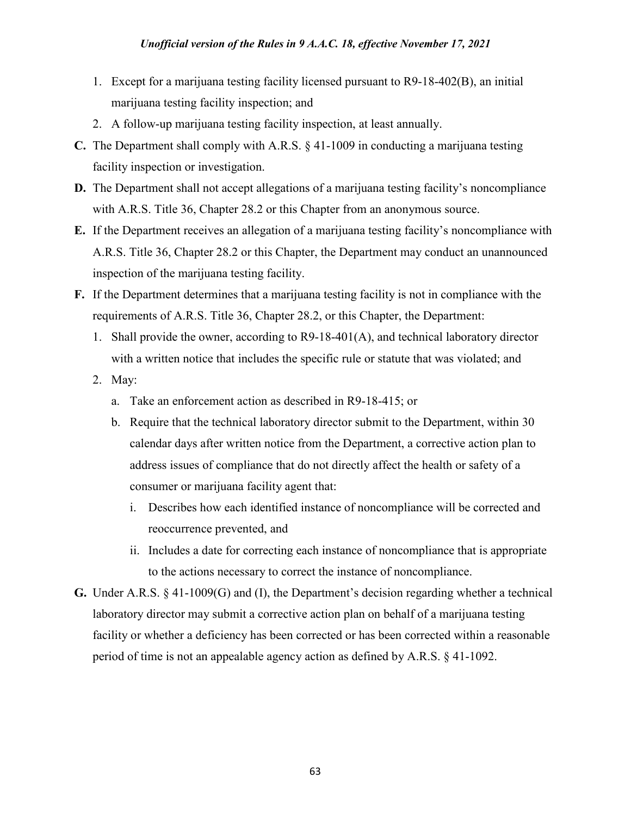#### *Unofficial version of the Rules in 9 A.A.C. 18, effective November 17, 2021*

- 1. Except for a marijuana testing facility licensed pursuant to R9-18-402(B), an initial marijuana testing facility inspection; and
- 2. A follow-up marijuana testing facility inspection, at least annually.
- **C.** The Department shall comply with A.R.S. § 41-1009 in conducting a marijuana testing facility inspection or investigation.
- **D.** The Department shall not accept allegations of a marijuana testing facility's noncompliance with A.R.S. Title 36, Chapter 28.2 or this Chapter from an anonymous source.
- **E.** If the Department receives an allegation of a marijuana testing facility's noncompliance with A.R.S. Title 36, Chapter 28.2 or this Chapter, the Department may conduct an unannounced inspection of the marijuana testing facility.
- **F.** If the Department determines that a marijuana testing facility is not in compliance with the requirements of A.R.S. Title 36, Chapter 28.2, or this Chapter, the Department:
	- 1. Shall provide the owner, according to R9-18-401(A), and technical laboratory director with a written notice that includes the specific rule or statute that was violated; and
	- 2. May:
		- a. Take an enforcement action as described in R9-18-415; or
		- b. Require that the technical laboratory director submit to the Department, within 30 calendar days after written notice from the Department, a corrective action plan to address issues of compliance that do not directly affect the health or safety of a consumer or marijuana facility agent that:
			- i. Describes how each identified instance of noncompliance will be corrected and reoccurrence prevented, and
			- ii. Includes a date for correcting each instance of noncompliance that is appropriate to the actions necessary to correct the instance of noncompliance.
- **G.** Under A.R.S. § 41-1009(G) and (I), the Department's decision regarding whether a technical laboratory director may submit a corrective action plan on behalf of a marijuana testing facility or whether a deficiency has been corrected or has been corrected within a reasonable period of time is not an appealable agency action as defined by A.R.S. § 41-1092.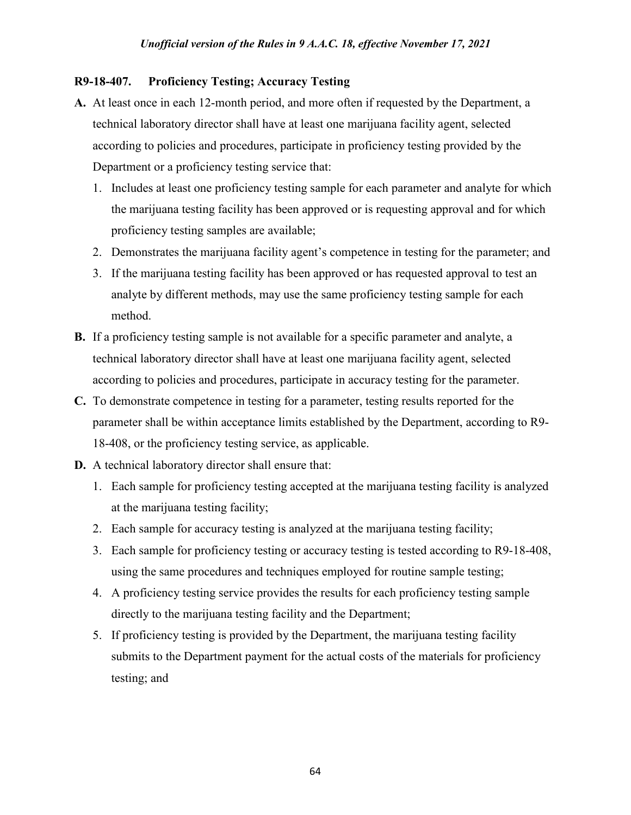### **R9-18-407. Proficiency Testing; Accuracy Testing**

- **A.** At least once in each 12-month period, and more often if requested by the Department, a technical laboratory director shall have at least one marijuana facility agent, selected according to policies and procedures, participate in proficiency testing provided by the Department or a proficiency testing service that:
	- 1. Includes at least one proficiency testing sample for each parameter and analyte for which the marijuana testing facility has been approved or is requesting approval and for which proficiency testing samples are available;
	- 2. Demonstrates the marijuana facility agent's competence in testing for the parameter; and
	- 3. If the marijuana testing facility has been approved or has requested approval to test an analyte by different methods, may use the same proficiency testing sample for each method.
- **B.** If a proficiency testing sample is not available for a specific parameter and analyte, a technical laboratory director shall have at least one marijuana facility agent, selected according to policies and procedures, participate in accuracy testing for the parameter.
- **C.** To demonstrate competence in testing for a parameter, testing results reported for the parameter shall be within acceptance limits established by the Department, according to R9- 18-408, or the proficiency testing service, as applicable.
- **D.** A technical laboratory director shall ensure that:
	- 1. Each sample for proficiency testing accepted at the marijuana testing facility is analyzed at the marijuana testing facility;
	- 2. Each sample for accuracy testing is analyzed at the marijuana testing facility;
	- 3. Each sample for proficiency testing or accuracy testing is tested according to R9-18-408, using the same procedures and techniques employed for routine sample testing;
	- 4. A proficiency testing service provides the results for each proficiency testing sample directly to the marijuana testing facility and the Department;
	- 5. If proficiency testing is provided by the Department, the marijuana testing facility submits to the Department payment for the actual costs of the materials for proficiency testing; and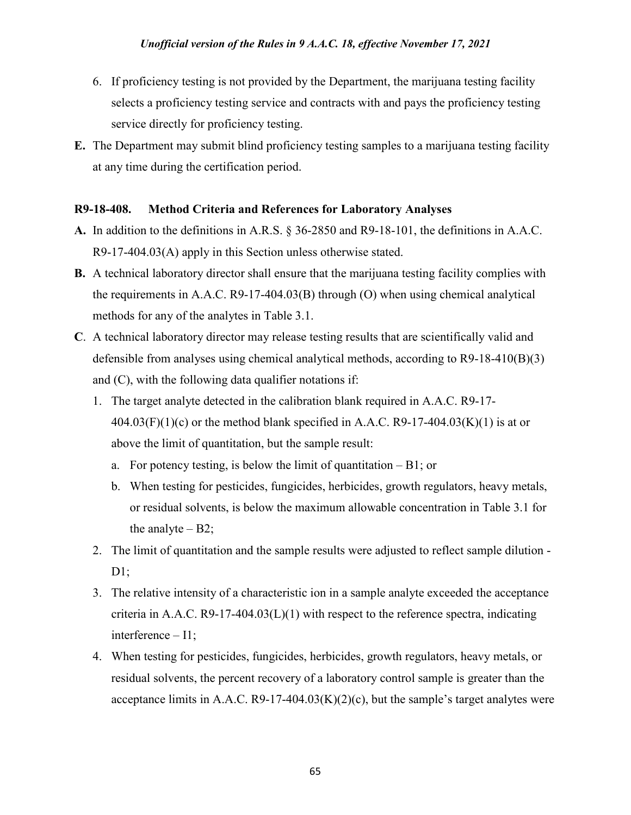- 6. If proficiency testing is not provided by the Department, the marijuana testing facility selects a proficiency testing service and contracts with and pays the proficiency testing service directly for proficiency testing.
- **E.** The Department may submit blind proficiency testing samples to a marijuana testing facility at any time during the certification period.

#### **R9-18-408. Method Criteria and References for Laboratory Analyses**

- **A.** In addition to the definitions in A.R.S. § 36-2850 and R9-18-101, the definitions in A.A.C. R9-17-404.03(A) apply in this Section unless otherwise stated.
- **B.** A technical laboratory director shall ensure that the marijuana testing facility complies with the requirements in A.A.C. R9-17-404.03(B) through (O) when using chemical analytical methods for any of the analytes in Table 3.1.
- **C**. A technical laboratory director may release testing results that are scientifically valid and defensible from analyses using chemical analytical methods, according to R9-18-410(B)(3) and (C), with the following data qualifier notations if:
	- 1. The target analyte detected in the calibration blank required in A.A.C. R9-17-  $404.03(F)(1)(c)$  or the method blank specified in A.A.C. R9-17-404.03(K)(1) is at or above the limit of quantitation, but the sample result:
		- a. For potency testing, is below the limit of quantitation B1; or
		- b. When testing for pesticides, fungicides, herbicides, growth regulators, heavy metals, or residual solvents, is below the maximum allowable concentration in Table 3.1 for the analyte  $- B2$ ;
	- 2. The limit of quantitation and the sample results were adjusted to reflect sample dilution  $D1;$
	- 3. The relative intensity of a characteristic ion in a sample analyte exceeded the acceptance criteria in A.A.C.  $R9-17-404.03(L)(1)$  with respect to the reference spectra, indicating interference – I1;
	- 4. When testing for pesticides, fungicides, herbicides, growth regulators, heavy metals, or residual solvents, the percent recovery of a laboratory control sample is greater than the acceptance limits in A.A.C. R9-17-404.03 $(K)(2)(c)$ , but the sample's target analytes were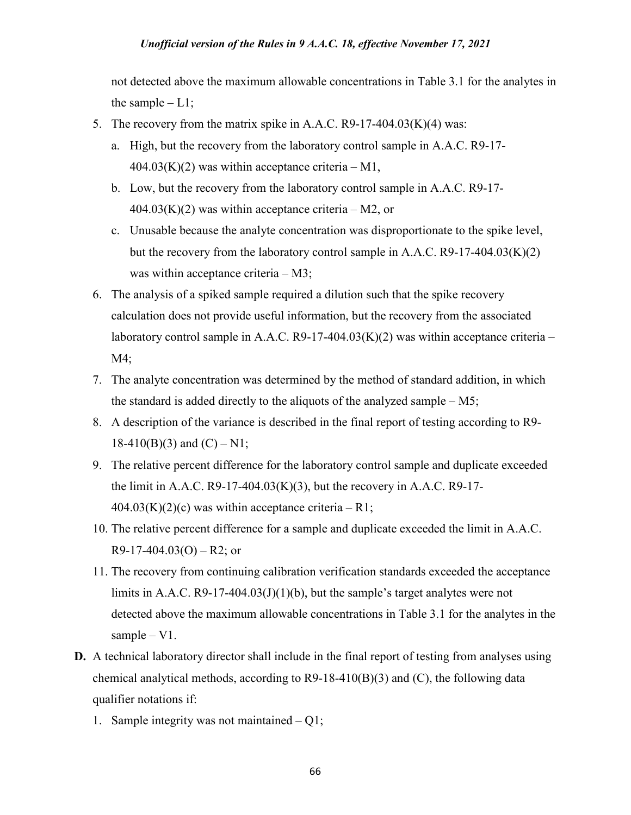not detected above the maximum allowable concentrations in Table 3.1 for the analytes in the sample  $-L1$ ;

- 5. The recovery from the matrix spike in A.A.C. R9-17-404.03 $(K)(4)$  was:
	- a. High, but the recovery from the laboratory control sample in A.A.C. R9-17-  $404.03(K)(2)$  was within acceptance criteria – M1,
	- b. Low, but the recovery from the laboratory control sample in A.A.C. R9-17-  $404.03(K)(2)$  was within acceptance criteria – M2, or
	- c. Unusable because the analyte concentration was disproportionate to the spike level, but the recovery from the laboratory control sample in A.A.C.  $R9-17-404.03(K)(2)$ was within acceptance criteria – M3;
- 6. The analysis of a spiked sample required a dilution such that the spike recovery calculation does not provide useful information, but the recovery from the associated laboratory control sample in A.A.C. R9-17-404.03 $(K)(2)$  was within acceptance criteria – M4;
- 7. The analyte concentration was determined by the method of standard addition, in which the standard is added directly to the aliquots of the analyzed sample  $-M5$ ;
- 8. A description of the variance is described in the final report of testing according to R9-  $18-410(B)(3)$  and  $(C) - N1$ ;
- 9. The relative percent difference for the laboratory control sample and duplicate exceeded the limit in A.A.C. R9-17-404.03 $(K)(3)$ , but the recovery in A.A.C. R9-17- $404.03(K)(2)(c)$  was within acceptance criteria – R1;
- 10. The relative percent difference for a sample and duplicate exceeded the limit in A.A.C.  $R9-17-404.03(O) - R2$ ; or
- 11. The recovery from continuing calibration verification standards exceeded the acceptance limits in A.A.C.  $R9-17-404.03(J)(1)(b)$ , but the sample's target analytes were not detected above the maximum allowable concentrations in Table 3.1 for the analytes in the sample – V1.
- **D.** A technical laboratory director shall include in the final report of testing from analyses using chemical analytical methods, according to R9-18-410(B)(3) and (C), the following data qualifier notations if:
	- 1. Sample integrity was not maintained Q1;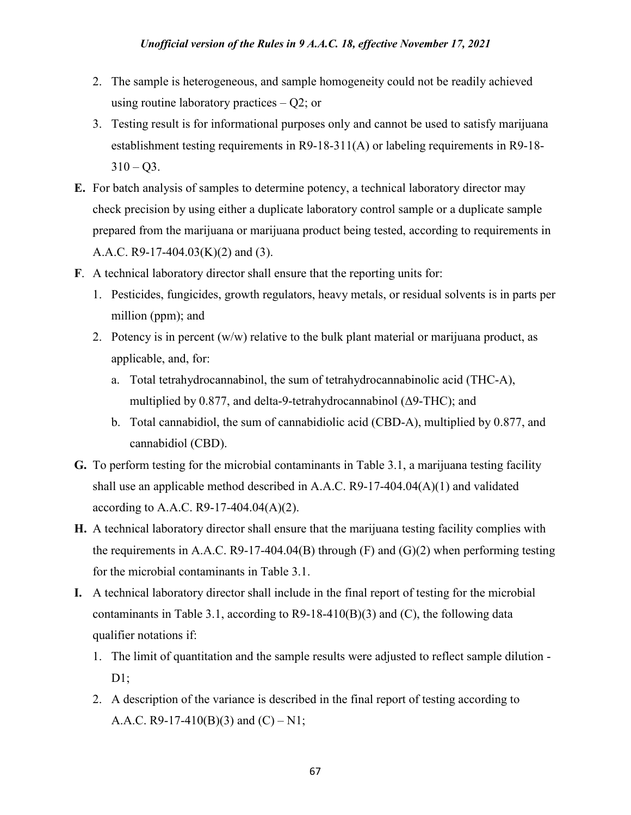- 2. The sample is heterogeneous, and sample homogeneity could not be readily achieved using routine laboratory practices – Q2; or
- 3. Testing result is for informational purposes only and cannot be used to satisfy marijuana establishment testing requirements in R9-18-311(A) or labeling requirements in R9-18-  $310 - Q3$ .
- **E.** For batch analysis of samples to determine potency, a technical laboratory director may check precision by using either a duplicate laboratory control sample or a duplicate sample prepared from the marijuana or marijuana product being tested, according to requirements in A.A.C. R9-17-404.03(K)(2) and (3).
- **F**. A technical laboratory director shall ensure that the reporting units for:
	- 1. Pesticides, fungicides, growth regulators, heavy metals, or residual solvents is in parts per million (ppm); and
	- 2. Potency is in percent  $(w/w)$  relative to the bulk plant material or marijuana product, as applicable, and, for:
		- a. Total tetrahydrocannabinol, the sum of tetrahydrocannabinolic acid (THC-A), multiplied by 0.877, and delta-9-tetrahydrocannabinol (Δ9-THC); and
		- b. Total cannabidiol, the sum of cannabidiolic acid (CBD-A), multiplied by 0.877, and cannabidiol (CBD).
- **G.** To perform testing for the microbial contaminants in Table 3.1, a marijuana testing facility shall use an applicable method described in A.A.C. R9-17-404.04(A)(1) and validated according to A.A.C. R9-17-404.04(A)(2).
- **H.** A technical laboratory director shall ensure that the marijuana testing facility complies with the requirements in A.A.C.  $R9-17-404.04(B)$  through  $(F)$  and  $(G)(2)$  when performing testing for the microbial contaminants in Table 3.1.
- **I.** A technical laboratory director shall include in the final report of testing for the microbial contaminants in Table 3.1, according to  $R9-18-410(B)(3)$  and (C), the following data qualifier notations if:
	- 1. The limit of quantitation and the sample results were adjusted to reflect sample dilution  $D1;$
	- 2. A description of the variance is described in the final report of testing according to A.A.C. R9-17-410(B)(3) and (C) – N1;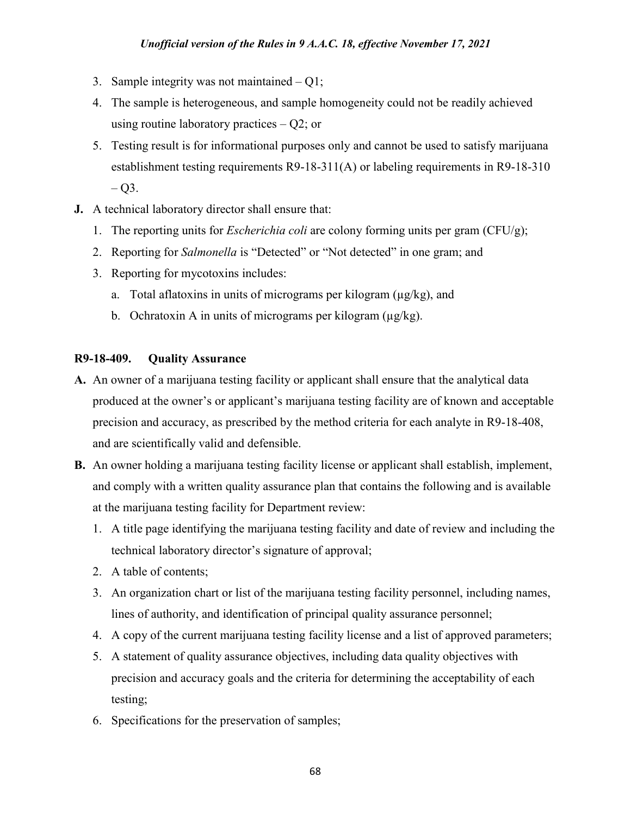- 3. Sample integrity was not maintained Q1;
- 4. The sample is heterogeneous, and sample homogeneity could not be readily achieved using routine laboratory practices  $-$  Q2; or
- 5. Testing result is for informational purposes only and cannot be used to satisfy marijuana establishment testing requirements R9-18-311(A) or labeling requirements in R9-18-310  $-$  Q3.
- **J.** A technical laboratory director shall ensure that:
	- 1. The reporting units for *Escherichia coli* are colony forming units per gram (CFU/g);
	- 2. Reporting for *Salmonella* is "Detected" or "Not detected" in one gram; and
	- 3. Reporting for mycotoxins includes:
		- a. Total aflatoxins in units of micrograms per kilogram  $(\mu g/kg)$ , and
		- b. Ochratoxin A in units of micrograms per kilogram  $(\mu g/kg)$ .

### **R9-18-409. Quality Assurance**

- **A.** An owner of a marijuana testing facility or applicant shall ensure that the analytical data produced at the owner's or applicant's marijuana testing facility are of known and acceptable precision and accuracy, as prescribed by the method criteria for each analyte in R9-18-408, and are scientifically valid and defensible.
- **B.** An owner holding a marijuana testing facility license or applicant shall establish, implement, and comply with a written quality assurance plan that contains the following and is available at the marijuana testing facility for Department review:
	- 1. A title page identifying the marijuana testing facility and date of review and including the technical laboratory director's signature of approval;
	- 2. A table of contents;
	- 3. An organization chart or list of the marijuana testing facility personnel, including names, lines of authority, and identification of principal quality assurance personnel;
	- 4. A copy of the current marijuana testing facility license and a list of approved parameters;
	- 5. A statement of quality assurance objectives, including data quality objectives with precision and accuracy goals and the criteria for determining the acceptability of each testing;
	- 6. Specifications for the preservation of samples;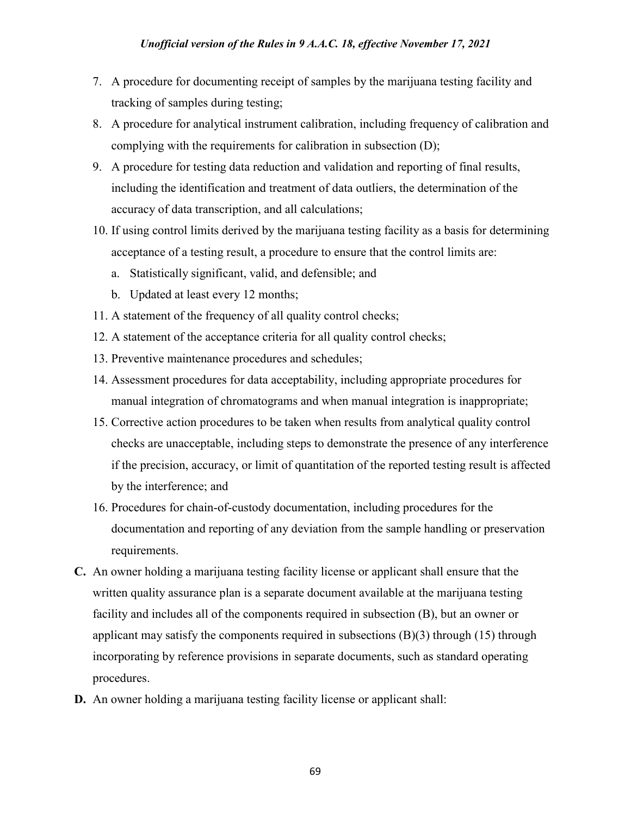- 7. A procedure for documenting receipt of samples by the marijuana testing facility and tracking of samples during testing;
- 8. A procedure for analytical instrument calibration, including frequency of calibration and complying with the requirements for calibration in subsection (D);
- 9. A procedure for testing data reduction and validation and reporting of final results, including the identification and treatment of data outliers, the determination of the accuracy of data transcription, and all calculations;
- 10. If using control limits derived by the marijuana testing facility as a basis for determining acceptance of a testing result, a procedure to ensure that the control limits are:
	- a. Statistically significant, valid, and defensible; and
	- b. Updated at least every 12 months;
- 11. A statement of the frequency of all quality control checks;
- 12. A statement of the acceptance criteria for all quality control checks;
- 13. Preventive maintenance procedures and schedules;
- 14. Assessment procedures for data acceptability, including appropriate procedures for manual integration of chromatograms and when manual integration is inappropriate;
- 15. Corrective action procedures to be taken when results from analytical quality control checks are unacceptable, including steps to demonstrate the presence of any interference if the precision, accuracy, or limit of quantitation of the reported testing result is affected by the interference; and
- 16. Procedures for chain-of-custody documentation, including procedures for the documentation and reporting of any deviation from the sample handling or preservation requirements.
- **C.** An owner holding a marijuana testing facility license or applicant shall ensure that the written quality assurance plan is a separate document available at the marijuana testing facility and includes all of the components required in subsection (B), but an owner or applicant may satisfy the components required in subsections  $(B)(3)$  through  $(15)$  through incorporating by reference provisions in separate documents, such as standard operating procedures.
- **D.** An owner holding a marijuana testing facility license or applicant shall: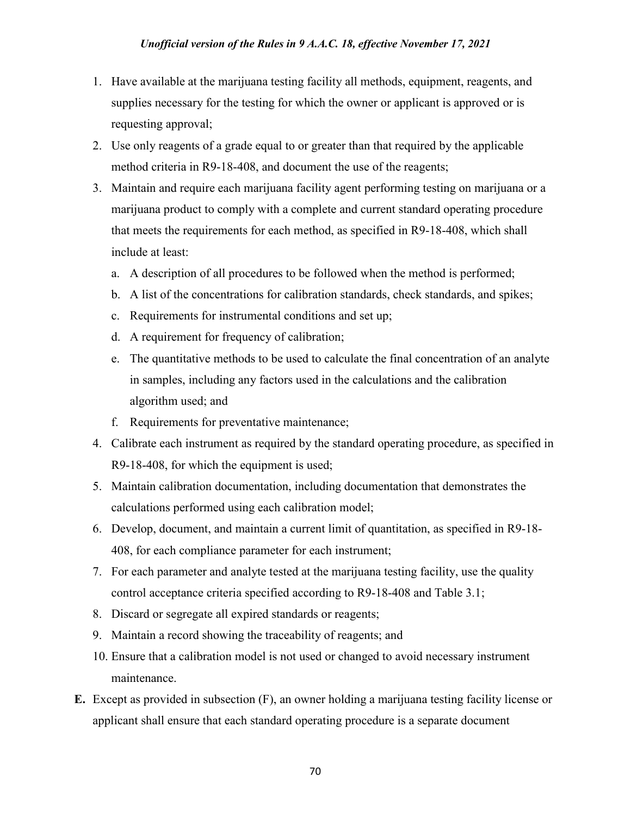- 1. Have available at the marijuana testing facility all methods, equipment, reagents, and supplies necessary for the testing for which the owner or applicant is approved or is requesting approval;
- 2. Use only reagents of a grade equal to or greater than that required by the applicable method criteria in R9-18-408, and document the use of the reagents;
- 3. Maintain and require each marijuana facility agent performing testing on marijuana or a marijuana product to comply with a complete and current standard operating procedure that meets the requirements for each method, as specified in R9-18-408, which shall include at least:
	- a. A description of all procedures to be followed when the method is performed;
	- b. A list of the concentrations for calibration standards, check standards, and spikes;
	- c. Requirements for instrumental conditions and set up;
	- d. A requirement for frequency of calibration;
	- e. The quantitative methods to be used to calculate the final concentration of an analyte in samples, including any factors used in the calculations and the calibration algorithm used; and
	- f. Requirements for preventative maintenance;
- 4. Calibrate each instrument as required by the standard operating procedure, as specified in R9-18-408, for which the equipment is used;
- 5. Maintain calibration documentation, including documentation that demonstrates the calculations performed using each calibration model;
- 6. Develop, document, and maintain a current limit of quantitation, as specified in R9-18- 408, for each compliance parameter for each instrument;
- 7. For each parameter and analyte tested at the marijuana testing facility, use the quality control acceptance criteria specified according to R9-18-408 and Table 3.1;
- 8. Discard or segregate all expired standards or reagents;
- 9. Maintain a record showing the traceability of reagents; and
- 10. Ensure that a calibration model is not used or changed to avoid necessary instrument maintenance.
- **E.** Except as provided in subsection (F), an owner holding a marijuana testing facility license or applicant shall ensure that each standard operating procedure is a separate document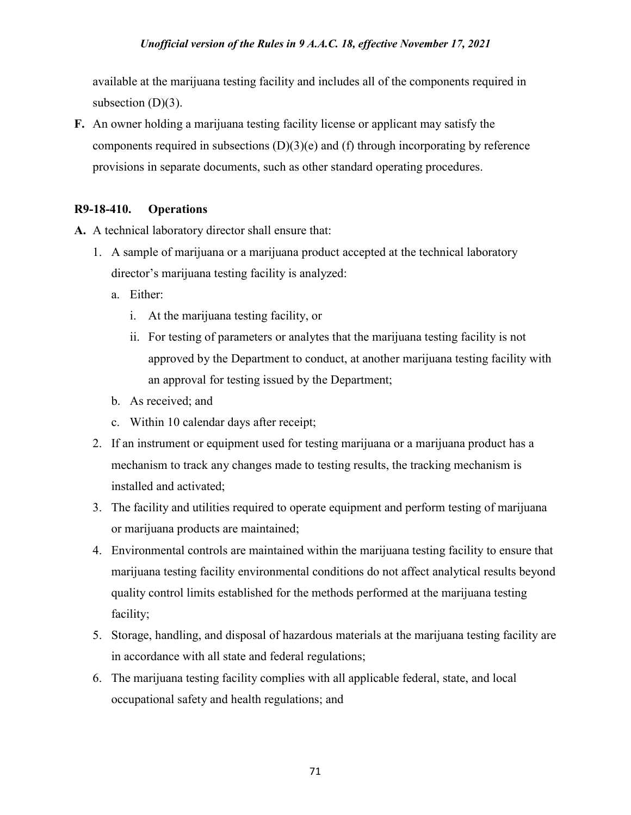available at the marijuana testing facility and includes all of the components required in subsection  $(D)(3)$ .

**F.** An owner holding a marijuana testing facility license or applicant may satisfy the components required in subsections  $(D)(3)(e)$  and  $(f)$  through incorporating by reference provisions in separate documents, such as other standard operating procedures.

# **R9-18-410. Operations**

- **A.** A technical laboratory director shall ensure that:
	- 1. A sample of marijuana or a marijuana product accepted at the technical laboratory director's marijuana testing facility is analyzed:
		- a. Either:
			- i. At the marijuana testing facility, or
			- ii. For testing of parameters or analytes that the marijuana testing facility is not approved by the Department to conduct, at another marijuana testing facility with an approval for testing issued by the Department;
		- b. As received; and
		- c. Within 10 calendar days after receipt;
	- 2. If an instrument or equipment used for testing marijuana or a marijuana product has a mechanism to track any changes made to testing results, the tracking mechanism is installed and activated;
	- 3. The facility and utilities required to operate equipment and perform testing of marijuana or marijuana products are maintained;
	- 4. Environmental controls are maintained within the marijuana testing facility to ensure that marijuana testing facility environmental conditions do not affect analytical results beyond quality control limits established for the methods performed at the marijuana testing facility;
	- 5. Storage, handling, and disposal of hazardous materials at the marijuana testing facility are in accordance with all state and federal regulations;
	- 6. The marijuana testing facility complies with all applicable federal, state, and local occupational safety and health regulations; and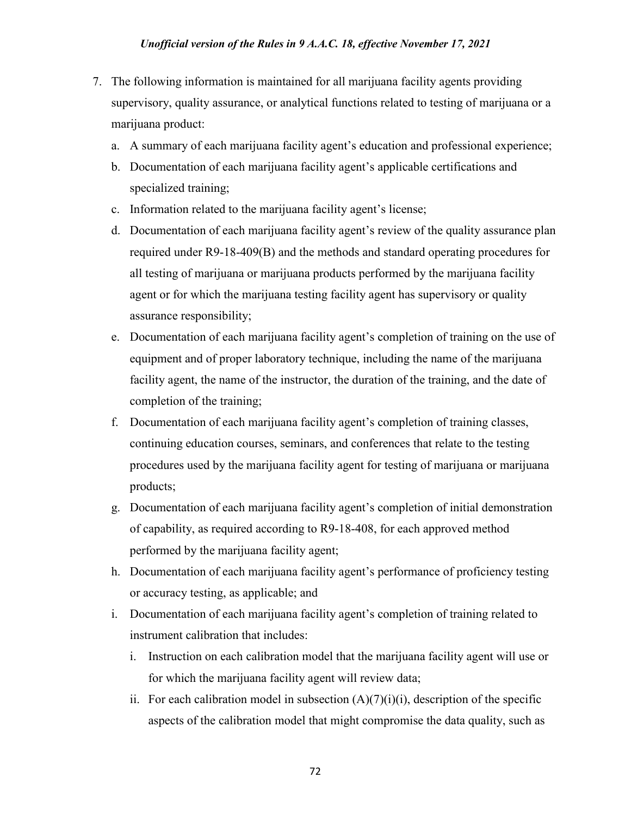- 7. The following information is maintained for all marijuana facility agents providing supervisory, quality assurance, or analytical functions related to testing of marijuana or a marijuana product:
	- a. A summary of each marijuana facility agent's education and professional experience;
	- b. Documentation of each marijuana facility agent's applicable certifications and specialized training;
	- c. Information related to the marijuana facility agent's license;
	- d. Documentation of each marijuana facility agent's review of the quality assurance plan required under R9-18-409(B) and the methods and standard operating procedures for all testing of marijuana or marijuana products performed by the marijuana facility agent or for which the marijuana testing facility agent has supervisory or quality assurance responsibility;
	- e. Documentation of each marijuana facility agent's completion of training on the use of equipment and of proper laboratory technique, including the name of the marijuana facility agent, the name of the instructor, the duration of the training, and the date of completion of the training;
	- f. Documentation of each marijuana facility agent's completion of training classes, continuing education courses, seminars, and conferences that relate to the testing procedures used by the marijuana facility agent for testing of marijuana or marijuana products;
	- g. Documentation of each marijuana facility agent's completion of initial demonstration of capability, as required according to R9-18-408, for each approved method performed by the marijuana facility agent;
	- h. Documentation of each marijuana facility agent's performance of proficiency testing or accuracy testing, as applicable; and
	- i. Documentation of each marijuana facility agent's completion of training related to instrument calibration that includes:
		- i. Instruction on each calibration model that the marijuana facility agent will use or for which the marijuana facility agent will review data;
		- ii. For each calibration model in subsection  $(A)(7)(i)(i)$ , description of the specific aspects of the calibration model that might compromise the data quality, such as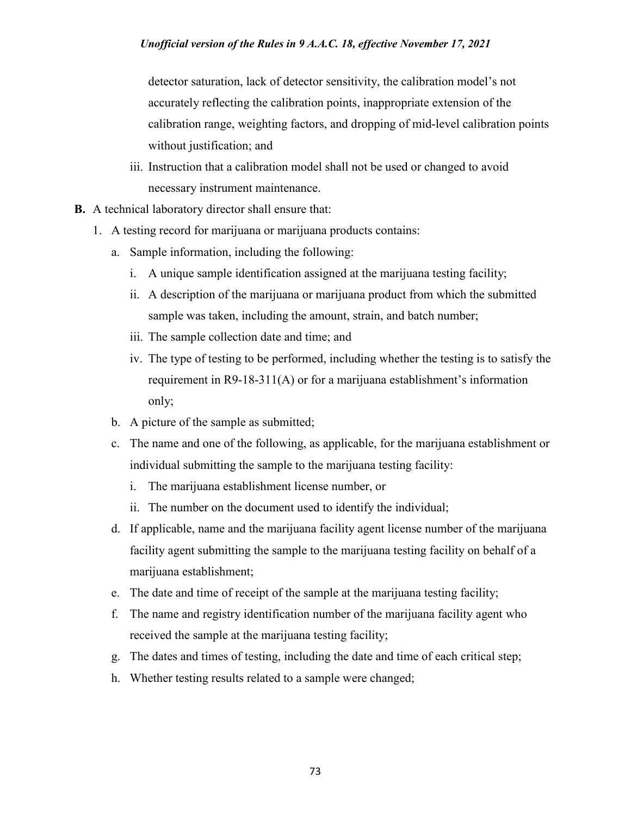detector saturation, lack of detector sensitivity, the calibration model's not accurately reflecting the calibration points, inappropriate extension of the calibration range, weighting factors, and dropping of mid-level calibration points without justification; and

- iii. Instruction that a calibration model shall not be used or changed to avoid necessary instrument maintenance.
- **B.** A technical laboratory director shall ensure that:
	- 1. A testing record for marijuana or marijuana products contains:
		- a. Sample information, including the following:
			- i. A unique sample identification assigned at the marijuana testing facility;
			- ii. A description of the marijuana or marijuana product from which the submitted sample was taken, including the amount, strain, and batch number;
			- iii. The sample collection date and time; and
			- iv. The type of testing to be performed, including whether the testing is to satisfy the requirement in R9-18-311(A) or for a marijuana establishment's information only;
		- b. A picture of the sample as submitted;
		- c. The name and one of the following, as applicable, for the marijuana establishment or individual submitting the sample to the marijuana testing facility:
			- i. The marijuana establishment license number, or
			- ii. The number on the document used to identify the individual;
		- d. If applicable, name and the marijuana facility agent license number of the marijuana facility agent submitting the sample to the marijuana testing facility on behalf of a marijuana establishment;
		- e. The date and time of receipt of the sample at the marijuana testing facility;
		- f. The name and registry identification number of the marijuana facility agent who received the sample at the marijuana testing facility;
		- g. The dates and times of testing, including the date and time of each critical step;
		- h. Whether testing results related to a sample were changed;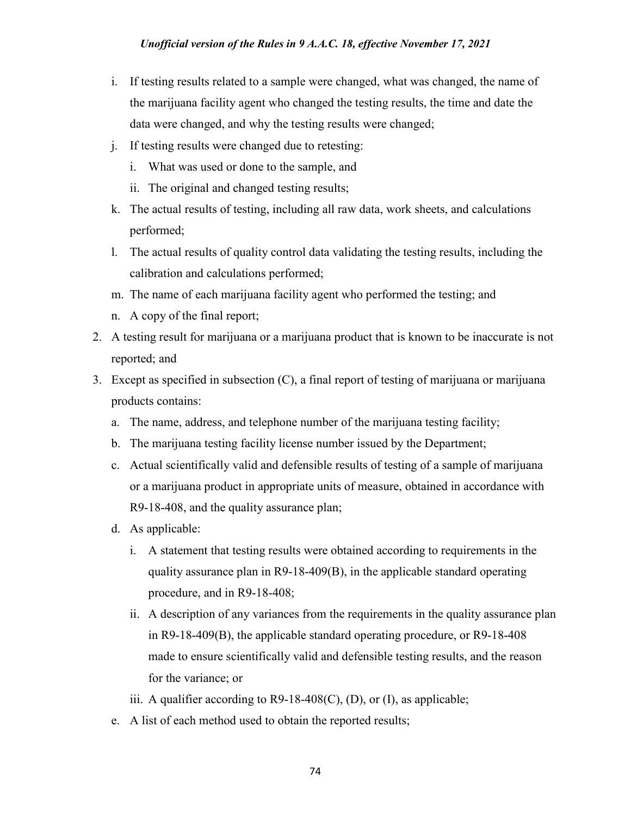- i. If testing results related to a sample were changed, what was changed, the name of the marijuana facility agent who changed the testing results, the time and date the data were changed, and why the testing results were changed;
- j. If testing results were changed due to retesting:
	- i. What was used or done to the sample, and
	- ii. The original and changed testing results;
- k. The actual results of testing, including all raw data, work sheets, and calculations performed;
- l. The actual results of quality control data validating the testing results, including the calibration and calculations performed;
- m. The name of each marijuana facility agent who performed the testing; and
- n. A copy of the final report;
- 2. A testing result for marijuana or a marijuana product that is known to be inaccurate is not reported; and
- 3. Except as specified in subsection (C), a final report of testing of marijuana or marijuana products contains:
	- a. The name, address, and telephone number of the marijuana testing facility;
	- b. The marijuana testing facility license number issued by the Department;
	- c. Actual scientifically valid and defensible results of testing of a sample of marijuana or a marijuana product in appropriate units of measure, obtained in accordance with R9-18-408, and the quality assurance plan;
	- d. As applicable:
		- i. A statement that testing results were obtained according to requirements in the quality assurance plan in R9-18-409(B), in the applicable standard operating procedure, and in R9-18-408;
		- ii. A description of any variances from the requirements in the quality assurance plan in R9-18-409(B), the applicable standard operating procedure, or R9-18-408 made to ensure scientifically valid and defensible testing results, and the reason for the variance; or
		- iii. A qualifier according to  $R9-18-408(C)$ ,  $(D)$ , or  $(I)$ , as applicable;
	- e. A list of each method used to obtain the reported results;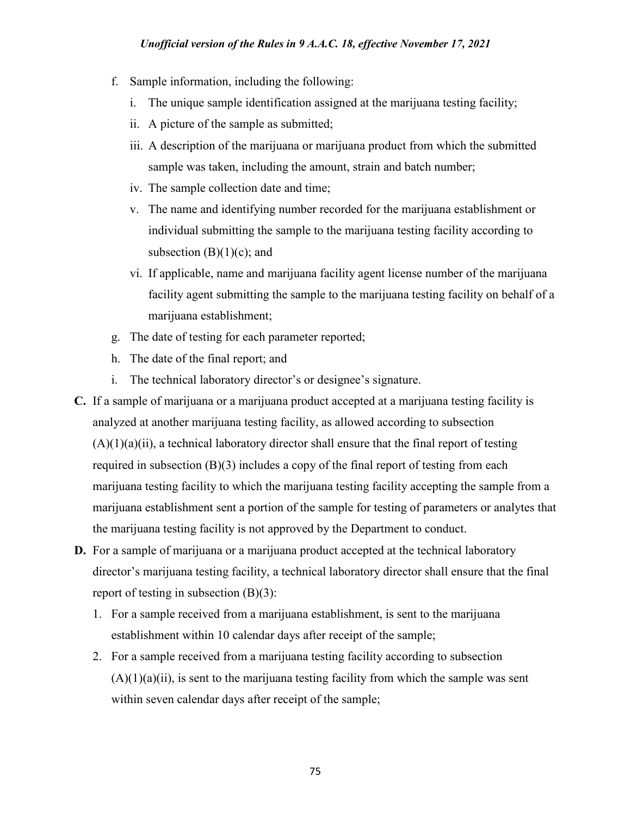- f. Sample information, including the following:
	- i. The unique sample identification assigned at the marijuana testing facility;
	- ii. A picture of the sample as submitted;
	- iii. A description of the marijuana or marijuana product from which the submitted sample was taken, including the amount, strain and batch number;
	- iv. The sample collection date and time;
	- v. The name and identifying number recorded for the marijuana establishment or individual submitting the sample to the marijuana testing facility according to subsection  $(B)(1)(c)$ ; and
	- vi. If applicable, name and marijuana facility agent license number of the marijuana facility agent submitting the sample to the marijuana testing facility on behalf of a marijuana establishment;
- g. The date of testing for each parameter reported;
- h. The date of the final report; and
- i. The technical laboratory director's or designee's signature.
- **C.** If a sample of marijuana or a marijuana product accepted at a marijuana testing facility is analyzed at another marijuana testing facility, as allowed according to subsection  $(A)(1)(a)(ii)$ , a technical laboratory director shall ensure that the final report of testing required in subsection (B)(3) includes a copy of the final report of testing from each marijuana testing facility to which the marijuana testing facility accepting the sample from a marijuana establishment sent a portion of the sample for testing of parameters or analytes that the marijuana testing facility is not approved by the Department to conduct.
- **D.** For a sample of marijuana or a marijuana product accepted at the technical laboratory director's marijuana testing facility, a technical laboratory director shall ensure that the final report of testing in subsection  $(B)(3)$ :
	- 1. For a sample received from a marijuana establishment, is sent to the marijuana establishment within 10 calendar days after receipt of the sample;
	- 2. For a sample received from a marijuana testing facility according to subsection  $(A)(1)(a)(ii)$ , is sent to the marijuana testing facility from which the sample was sent within seven calendar days after receipt of the sample;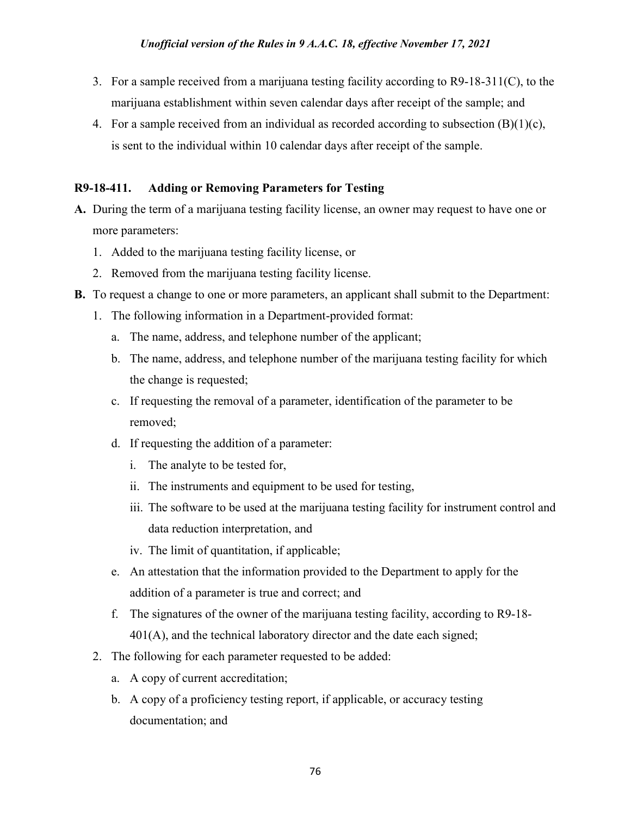- 3. For a sample received from a marijuana testing facility according to R9-18-311(C), to the marijuana establishment within seven calendar days after receipt of the sample; and
- 4. For a sample received from an individual as recorded according to subsection  $(B)(1)(c)$ , is sent to the individual within 10 calendar days after receipt of the sample.

## **R9-18-411. Adding or Removing Parameters for Testing**

- **A.** During the term of a marijuana testing facility license, an owner may request to have one or more parameters:
	- 1. Added to the marijuana testing facility license, or
	- 2. Removed from the marijuana testing facility license.
- **B.** To request a change to one or more parameters, an applicant shall submit to the Department:
	- 1. The following information in a Department-provided format:
		- a. The name, address, and telephone number of the applicant;
		- b. The name, address, and telephone number of the marijuana testing facility for which the change is requested;
		- c. If requesting the removal of a parameter, identification of the parameter to be removed;
		- d. If requesting the addition of a parameter:
			- i. The analyte to be tested for,
			- ii. The instruments and equipment to be used for testing,
			- iii. The software to be used at the marijuana testing facility for instrument control and data reduction interpretation, and
			- iv. The limit of quantitation, if applicable;
		- e. An attestation that the information provided to the Department to apply for the addition of a parameter is true and correct; and
		- f. The signatures of the owner of the marijuana testing facility, according to R9-18- 401(A), and the technical laboratory director and the date each signed;
	- 2. The following for each parameter requested to be added:
		- a. A copy of current accreditation;
		- b. A copy of a proficiency testing report, if applicable, or accuracy testing documentation; and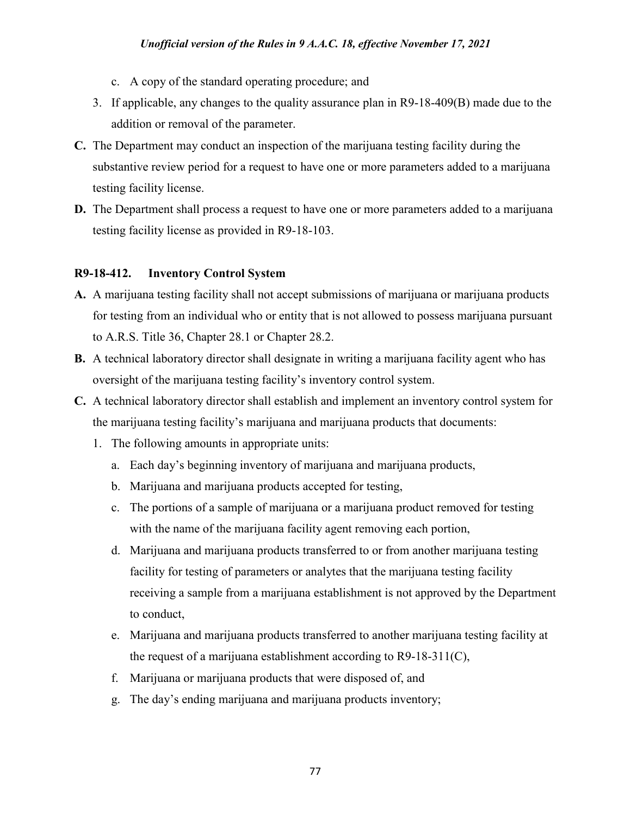- c. A copy of the standard operating procedure; and
- 3. If applicable, any changes to the quality assurance plan in R9-18-409(B) made due to the addition or removal of the parameter.
- **C.** The Department may conduct an inspection of the marijuana testing facility during the substantive review period for a request to have one or more parameters added to a marijuana testing facility license.
- **D.** The Department shall process a request to have one or more parameters added to a marijuana testing facility license as provided in R9-18-103.

#### **R9-18-412. Inventory Control System**

- **A.** A marijuana testing facility shall not accept submissions of marijuana or marijuana products for testing from an individual who or entity that is not allowed to possess marijuana pursuant to A.R.S. Title 36, Chapter 28.1 or Chapter 28.2.
- **B.** A technical laboratory director shall designate in writing a marijuana facility agent who has oversight of the marijuana testing facility's inventory control system.
- **C.** A technical laboratory director shall establish and implement an inventory control system for the marijuana testing facility's marijuana and marijuana products that documents:
	- 1. The following amounts in appropriate units:
		- a. Each day's beginning inventory of marijuana and marijuana products,
		- b. Marijuana and marijuana products accepted for testing,
		- c. The portions of a sample of marijuana or a marijuana product removed for testing with the name of the marijuana facility agent removing each portion,
		- d. Marijuana and marijuana products transferred to or from another marijuana testing facility for testing of parameters or analytes that the marijuana testing facility receiving a sample from a marijuana establishment is not approved by the Department to conduct,
		- e. Marijuana and marijuana products transferred to another marijuana testing facility at the request of a marijuana establishment according to R9-18-311(C),
		- f. Marijuana or marijuana products that were disposed of, and
		- g. The day's ending marijuana and marijuana products inventory;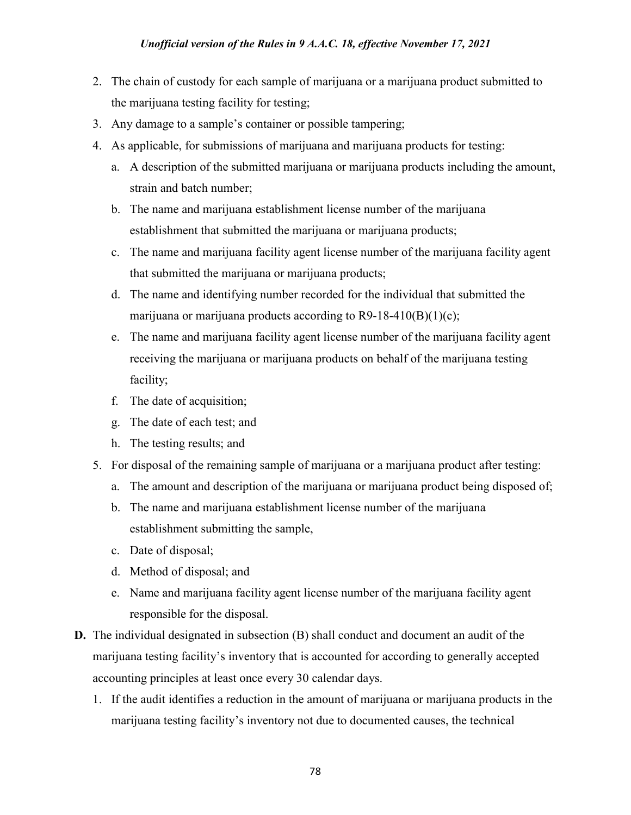- 2. The chain of custody for each sample of marijuana or a marijuana product submitted to the marijuana testing facility for testing;
- 3. Any damage to a sample's container or possible tampering;
- 4. As applicable, for submissions of marijuana and marijuana products for testing:
	- a. A description of the submitted marijuana or marijuana products including the amount, strain and batch number;
	- b. The name and marijuana establishment license number of the marijuana establishment that submitted the marijuana or marijuana products;
	- c. The name and marijuana facility agent license number of the marijuana facility agent that submitted the marijuana or marijuana products;
	- d. The name and identifying number recorded for the individual that submitted the marijuana or marijuana products according to  $R9-18-410(B)(1)(c)$ ;
	- e. The name and marijuana facility agent license number of the marijuana facility agent receiving the marijuana or marijuana products on behalf of the marijuana testing facility;
	- f. The date of acquisition;
	- g. The date of each test; and
	- h. The testing results; and
- 5. For disposal of the remaining sample of marijuana or a marijuana product after testing:
	- a. The amount and description of the marijuana or marijuana product being disposed of;
	- b. The name and marijuana establishment license number of the marijuana establishment submitting the sample,
	- c. Date of disposal;
	- d. Method of disposal; and
	- e. Name and marijuana facility agent license number of the marijuana facility agent responsible for the disposal.
- **D.** The individual designated in subsection (B) shall conduct and document an audit of the marijuana testing facility's inventory that is accounted for according to generally accepted accounting principles at least once every 30 calendar days.
	- 1. If the audit identifies a reduction in the amount of marijuana or marijuana products in the marijuana testing facility's inventory not due to documented causes, the technical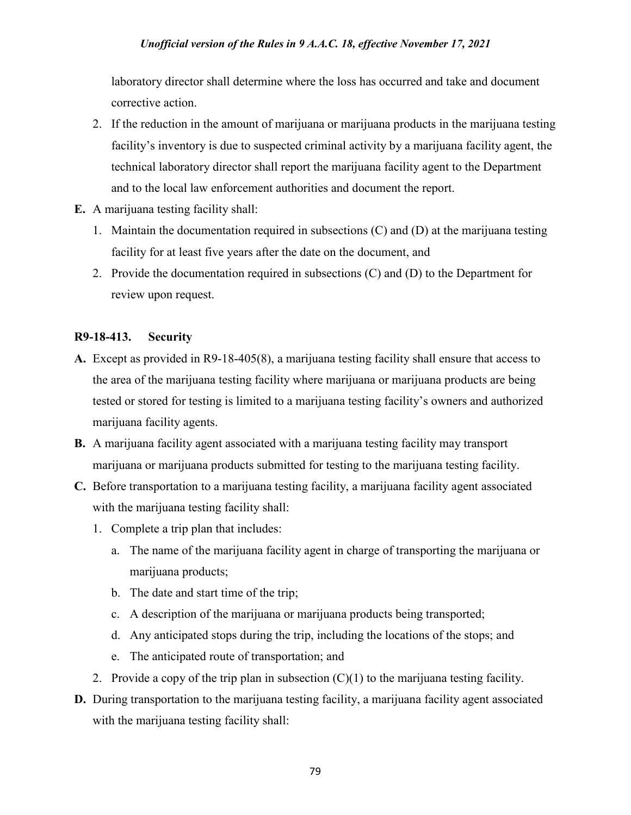#### *Unofficial version of the Rules in 9 A.A.C. 18, effective November 17, 2021*

laboratory director shall determine where the loss has occurred and take and document corrective action.

- 2. If the reduction in the amount of marijuana or marijuana products in the marijuana testing facility's inventory is due to suspected criminal activity by a marijuana facility agent, the technical laboratory director shall report the marijuana facility agent to the Department and to the local law enforcement authorities and document the report.
- **E.** A marijuana testing facility shall:
	- 1. Maintain the documentation required in subsections (C) and (D) at the marijuana testing facility for at least five years after the date on the document, and
	- 2. Provide the documentation required in subsections (C) and (D) to the Department for review upon request.

### **R9-18-413. Security**

- **A.** Except as provided in R9-18-405(8), a marijuana testing facility shall ensure that access to the area of the marijuana testing facility where marijuana or marijuana products are being tested or stored for testing is limited to a marijuana testing facility's owners and authorized marijuana facility agents.
- **B.** A marijuana facility agent associated with a marijuana testing facility may transport marijuana or marijuana products submitted for testing to the marijuana testing facility.
- **C.** Before transportation to a marijuana testing facility, a marijuana facility agent associated with the marijuana testing facility shall:
	- 1. Complete a trip plan that includes:
		- a. The name of the marijuana facility agent in charge of transporting the marijuana or marijuana products;
		- b. The date and start time of the trip;
		- c. A description of the marijuana or marijuana products being transported;
		- d. Any anticipated stops during the trip, including the locations of the stops; and
		- e. The anticipated route of transportation; and
	- 2. Provide a copy of the trip plan in subsection  $(C)(1)$  to the marijuana testing facility.
- **D.** During transportation to the marijuana testing facility, a marijuana facility agent associated with the marijuana testing facility shall: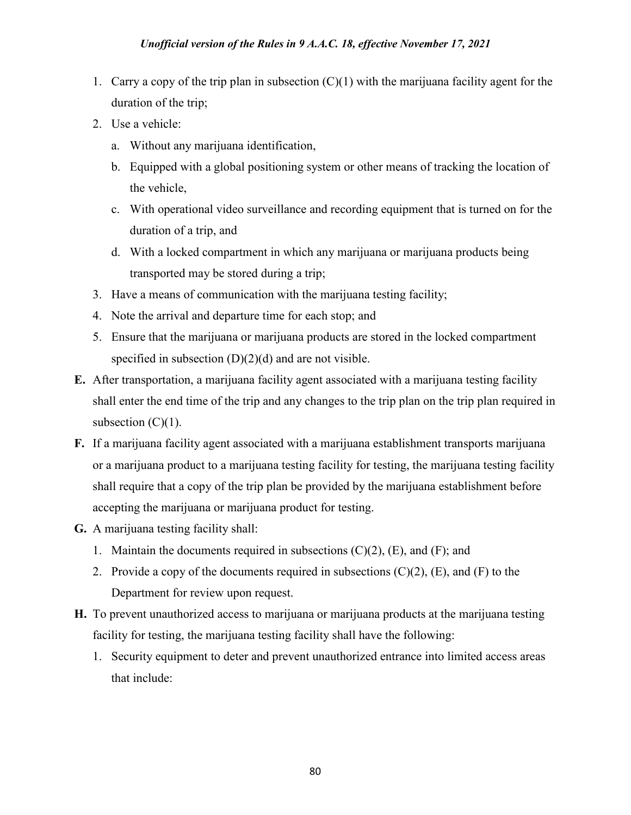- 1. Carry a copy of the trip plan in subsection  $(C)(1)$  with the marijuana facility agent for the duration of the trip;
- 2. Use a vehicle:
	- a. Without any marijuana identification,
	- b. Equipped with a global positioning system or other means of tracking the location of the vehicle,
	- c. With operational video surveillance and recording equipment that is turned on for the duration of a trip, and
	- d. With a locked compartment in which any marijuana or marijuana products being transported may be stored during a trip;
- 3. Have a means of communication with the marijuana testing facility;
- 4. Note the arrival and departure time for each stop; and
- 5. Ensure that the marijuana or marijuana products are stored in the locked compartment specified in subsection  $(D)(2)(d)$  and are not visible.
- **E.** After transportation, a marijuana facility agent associated with a marijuana testing facility shall enter the end time of the trip and any changes to the trip plan on the trip plan required in subsection  $(C)(1)$ .
- **F.** If a marijuana facility agent associated with a marijuana establishment transports marijuana or a marijuana product to a marijuana testing facility for testing, the marijuana testing facility shall require that a copy of the trip plan be provided by the marijuana establishment before accepting the marijuana or marijuana product for testing.
- **G.** A marijuana testing facility shall:
	- 1. Maintain the documents required in subsections  $(C)(2)$ ,  $(E)$ , and  $(F)$ ; and
	- 2. Provide a copy of the documents required in subsections  $(C)(2)$ ,  $(E)$ , and  $(F)$  to the Department for review upon request.
- **H.** To prevent unauthorized access to marijuana or marijuana products at the marijuana testing facility for testing, the marijuana testing facility shall have the following:
	- 1. Security equipment to deter and prevent unauthorized entrance into limited access areas that include: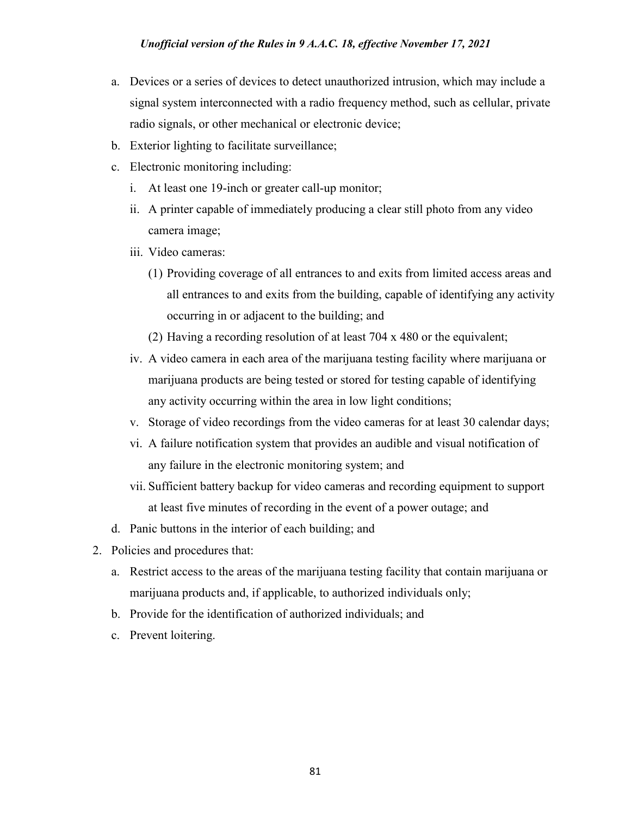- a. Devices or a series of devices to detect unauthorized intrusion, which may include a signal system interconnected with a radio frequency method, such as cellular, private radio signals, or other mechanical or electronic device;
- b. Exterior lighting to facilitate surveillance;
- c. Electronic monitoring including:
	- i. At least one 19-inch or greater call-up monitor;
	- ii. A printer capable of immediately producing a clear still photo from any video camera image;
	- iii. Video cameras:
		- (1) Providing coverage of all entrances to and exits from limited access areas and all entrances to and exits from the building, capable of identifying any activity occurring in or adjacent to the building; and
		- (2) Having a recording resolution of at least 704 x 480 or the equivalent;
	- iv. A video camera in each area of the marijuana testing facility where marijuana or marijuana products are being tested or stored for testing capable of identifying any activity occurring within the area in low light conditions;
	- v. Storage of video recordings from the video cameras for at least 30 calendar days;
	- vi. A failure notification system that provides an audible and visual notification of any failure in the electronic monitoring system; and
	- vii. Sufficient battery backup for video cameras and recording equipment to support at least five minutes of recording in the event of a power outage; and
- d. Panic buttons in the interior of each building; and
- 2. Policies and procedures that:
	- a. Restrict access to the areas of the marijuana testing facility that contain marijuana or marijuana products and, if applicable, to authorized individuals only;
	- b. Provide for the identification of authorized individuals; and
	- c. Prevent loitering.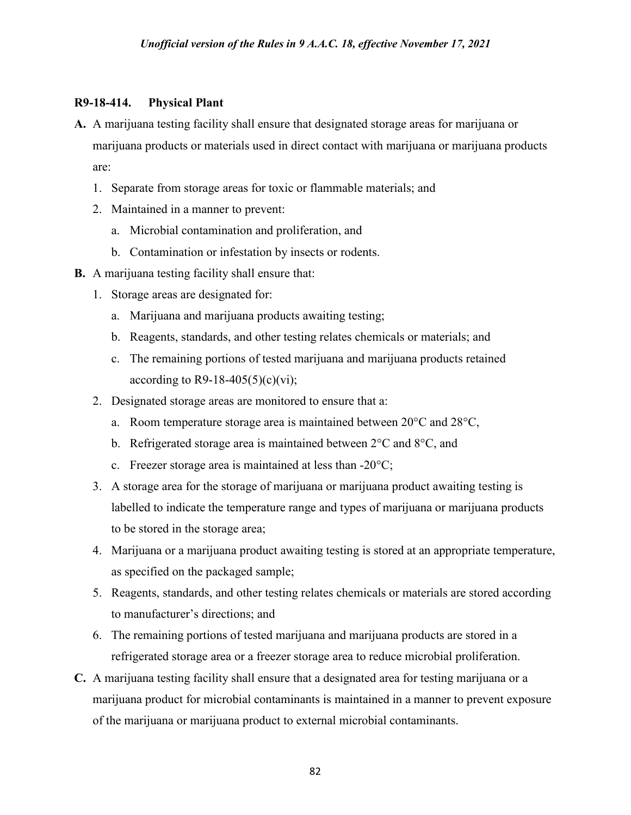#### **R9-18-414. Physical Plant**

- **A.** A marijuana testing facility shall ensure that designated storage areas for marijuana or marijuana products or materials used in direct contact with marijuana or marijuana products are:
	- 1. Separate from storage areas for toxic or flammable materials; and
	- 2. Maintained in a manner to prevent:
		- a. Microbial contamination and proliferation, and
		- b. Contamination or infestation by insects or rodents.
- **B.** A marijuana testing facility shall ensure that:
	- 1. Storage areas are designated for:
		- a. Marijuana and marijuana products awaiting testing;
		- b. Reagents, standards, and other testing relates chemicals or materials; and
		- c. The remaining portions of tested marijuana and marijuana products retained according to R9-18-405(5)(c)(vi);
	- 2. Designated storage areas are monitored to ensure that a:
		- a. Room temperature storage area is maintained between 20°C and 28°C,
		- b. Refrigerated storage area is maintained between  $2^{\circ}C$  and  $8^{\circ}C$ , and
		- c. Freezer storage area is maintained at less than -20°C;
	- 3. A storage area for the storage of marijuana or marijuana product awaiting testing is labelled to indicate the temperature range and types of marijuana or marijuana products to be stored in the storage area;
	- 4. Marijuana or a marijuana product awaiting testing is stored at an appropriate temperature, as specified on the packaged sample;
	- 5. Reagents, standards, and other testing relates chemicals or materials are stored according to manufacturer's directions; and
	- 6. The remaining portions of tested marijuana and marijuana products are stored in a refrigerated storage area or a freezer storage area to reduce microbial proliferation.
- **C.** A marijuana testing facility shall ensure that a designated area for testing marijuana or a marijuana product for microbial contaminants is maintained in a manner to prevent exposure of the marijuana or marijuana product to external microbial contaminants.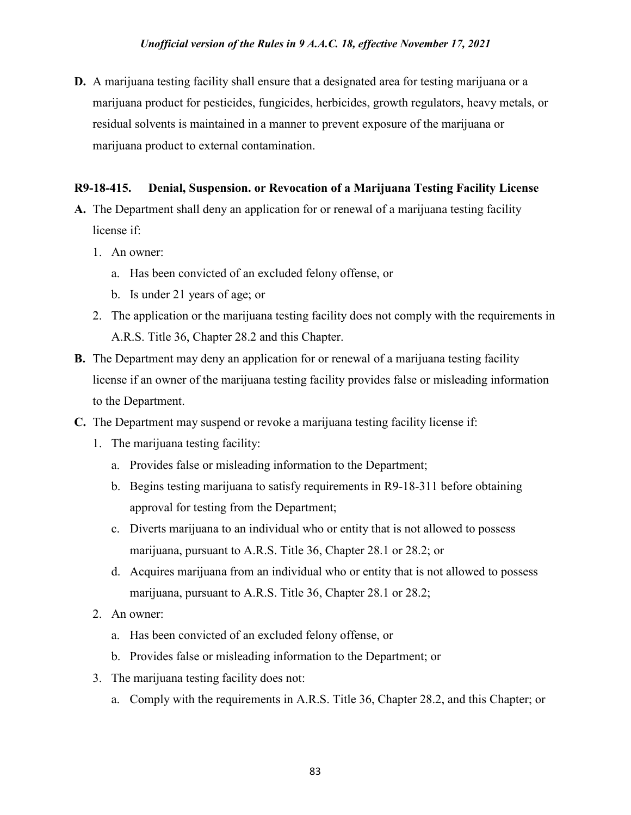**D.** A marijuana testing facility shall ensure that a designated area for testing marijuana or a marijuana product for pesticides, fungicides, herbicides, growth regulators, heavy metals, or residual solvents is maintained in a manner to prevent exposure of the marijuana or marijuana product to external contamination.

# **R9-18-415. Denial, Suspension. or Revocation of a Marijuana Testing Facility License**

- **A.** The Department shall deny an application for or renewal of a marijuana testing facility license if:
	- 1. An owner:
		- a. Has been convicted of an excluded felony offense, or
		- b. Is under 21 years of age; or
	- 2. The application or the marijuana testing facility does not comply with the requirements in A.R.S. Title 36, Chapter 28.2 and this Chapter.
- **B.** The Department may deny an application for or renewal of a marijuana testing facility license if an owner of the marijuana testing facility provides false or misleading information to the Department.
- **C.** The Department may suspend or revoke a marijuana testing facility license if:
	- 1. The marijuana testing facility:
		- a. Provides false or misleading information to the Department;
		- b. Begins testing marijuana to satisfy requirements in R9-18-311 before obtaining approval for testing from the Department;
		- c. Diverts marijuana to an individual who or entity that is not allowed to possess marijuana, pursuant to A.R.S. Title 36, Chapter 28.1 or 28.2; or
		- d. Acquires marijuana from an individual who or entity that is not allowed to possess marijuana, pursuant to A.R.S. Title 36, Chapter 28.1 or 28.2;
	- 2. An owner:
		- a. Has been convicted of an excluded felony offense, or
		- b. Provides false or misleading information to the Department; or
	- 3. The marijuana testing facility does not:
		- a. Comply with the requirements in A.R.S. Title 36, Chapter 28.2, and this Chapter; or